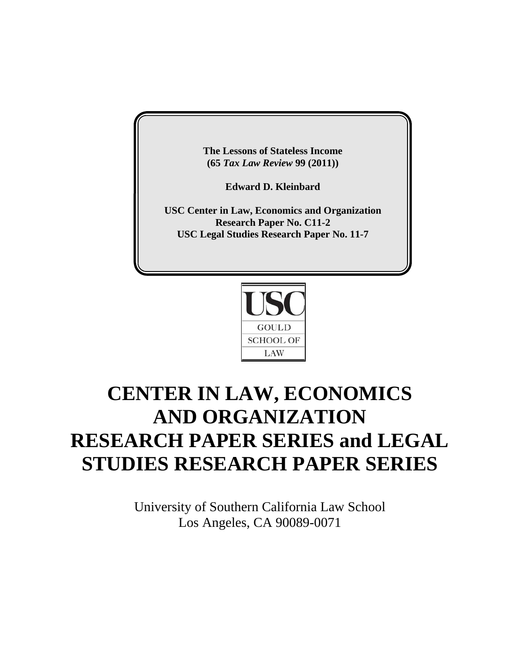**The Lessons of Stateless Income (65** *Tax Law Review* **99 (2011))**

**Edward D. Kleinbard**

**USC Center in Law, Economics and Organization Research Paper No. C11-2 USC Legal Studies Research Paper No. 11-7**



# **CENTER IN LAW, ECONOMICS AND ORGANIZATION RESEARCH PAPER SERIES and LEGAL STUDIES RESEARCH PAPER SERIES**

University of Southern California Law School Los Angeles, CA 90089-0071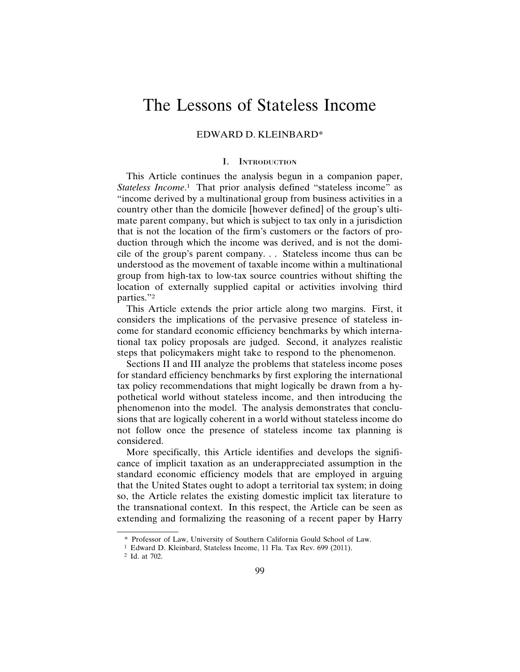# The Lessons of Stateless Income

# EDWARD D. KLEINBARD\*

#### I. INTRODUCTION

This Article continues the analysis begun in a companion paper, Stateless Income.<sup>1</sup> That prior analysis defined "stateless income" as "income derived by a multinational group from business activities in a country other than the domicile [however defined] of the group's ultimate parent company, but which is subject to tax only in a jurisdiction that is not the location of the firm's customers or the factors of production through which the income was derived, and is not the domicile of the group's parent company. . . Stateless income thus can be understood as the movement of taxable income within a multinational group from high-tax to low-tax source countries without shifting the location of externally supplied capital or activities involving third parties."2

This Article extends the prior article along two margins. First, it considers the implications of the pervasive presence of stateless income for standard economic efficiency benchmarks by which international tax policy proposals are judged. Second, it analyzes realistic steps that policymakers might take to respond to the phenomenon.

Sections II and III analyze the problems that stateless income poses for standard efficiency benchmarks by first exploring the international tax policy recommendations that might logically be drawn from a hypothetical world without stateless income, and then introducing the phenomenon into the model. The analysis demonstrates that conclusions that are logically coherent in a world without stateless income do not follow once the presence of stateless income tax planning is considered.

More specifically, this Article identifies and develops the significance of implicit taxation as an underappreciated assumption in the standard economic efficiency models that are employed in arguing that the United States ought to adopt a territorial tax system; in doing so, the Article relates the existing domestic implicit tax literature to the transnational context. In this respect, the Article can be seen as extending and formalizing the reasoning of a recent paper by Harry

<sup>\*</sup> Professor of Law, University of Southern California Gould School of Law.

<sup>1</sup> Edward D. Kleinbard, Stateless Income, 11 Fla. Tax Rev. 699 (2011).

<sup>2</sup> Id. at 702.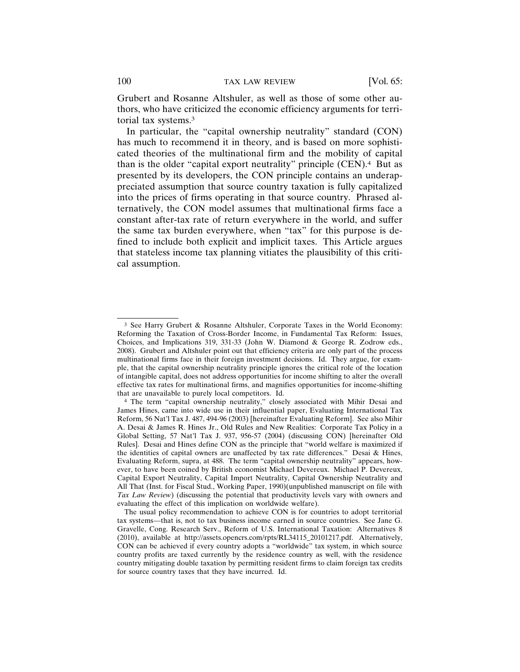Grubert and Rosanne Altshuler, as well as those of some other authors, who have criticized the economic efficiency arguments for territorial tax systems.3

In particular, the "capital ownership neutrality" standard (CON) has much to recommend it in theory, and is based on more sophisticated theories of the multinational firm and the mobility of capital than is the older "capital export neutrality" principle (CEN).4 But as presented by its developers, the CON principle contains an underappreciated assumption that source country taxation is fully capitalized into the prices of firms operating in that source country. Phrased alternatively, the CON model assumes that multinational firms face a constant after-tax rate of return everywhere in the world, and suffer the same tax burden everywhere, when "tax" for this purpose is defined to include both explicit and implicit taxes. This Article argues that stateless income tax planning vitiates the plausibility of this critical assumption.

<sup>3</sup> See Harry Grubert & Rosanne Altshuler, Corporate Taxes in the World Economy: Reforming the Taxation of Cross-Border Income, in Fundamental Tax Reform: Issues, Choices, and Implications 319, 331-33 (John W. Diamond & George R. Zodrow eds., 2008). Grubert and Altshuler point out that efficiency criteria are only part of the process multinational firms face in their foreign investment decisions. Id. They argue, for example, that the capital ownership neutrality principle ignores the critical role of the location of intangible capital, does not address opportunities for income shifting to alter the overall effective tax rates for multinational firms, and magnifies opportunities for income-shifting that are unavailable to purely local competitors. Id.

<sup>4</sup> The term "capital ownership neutrality," closely associated with Mihir Desai and James Hines, came into wide use in their influential paper, Evaluating International Tax Reform, 56 Nat'l Tax J. 487, 494-96 (2003) [hereinafter Evaluating Reform]. See also Mihir A. Desai & James R. Hines Jr., Old Rules and New Realities: Corporate Tax Policy in a Global Setting, 57 Nat'l Tax J. 937, 956-57 (2004) (discussing CON) [hereinafter Old Rules]. Desai and Hines define CON as the principle that "world welfare is maximized if the identities of capital owners are unaffected by tax rate differences." Desai & Hines, Evaluating Reform, supra, at 488. The term "capital ownership neutrality" appears, however, to have been coined by British economist Michael Devereux. Michael P. Devereux, Capital Export Neutrality, Capital Import Neutrality, Capital Ownership Neutrality and All That (Inst. for Fiscal Stud., Working Paper, 1990)(unpublished manuscript on file with *Tax Law Review*) (discussing the potential that productivity levels vary with owners and evaluating the effect of this implication on worldwide welfare).

The usual policy recommendation to achieve CON is for countries to adopt territorial tax systems—that is, not to tax business income earned in source countries. See Jane G. Gravelle, Cong. Research Serv., Reform of U.S. International Taxation: Alternatives 8 (2010), available at http://assets.opencrs.com/rpts/RL34115\_20101217.pdf. Alternatively, CON can be achieved if every country adopts a "worldwide" tax system, in which source country profits are taxed currently by the residence country as well, with the residence country mitigating double taxation by permitting resident firms to claim foreign tax credits for source country taxes that they have incurred. Id.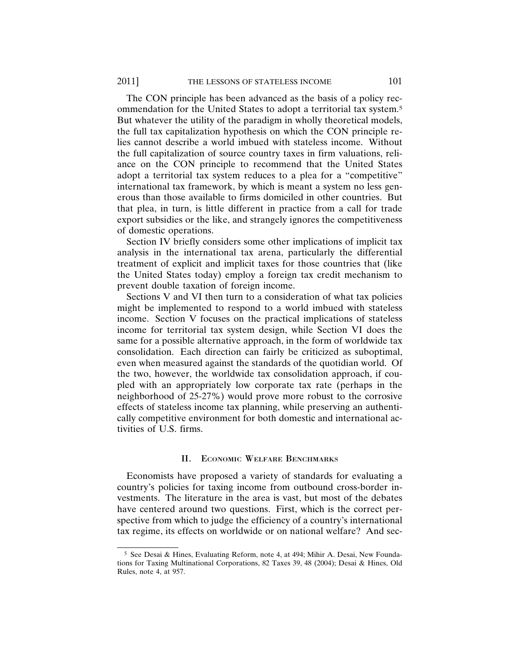The CON principle has been advanced as the basis of a policy recommendation for the United States to adopt a territorial tax system.5 But whatever the utility of the paradigm in wholly theoretical models, the full tax capitalization hypothesis on which the CON principle relies cannot describe a world imbued with stateless income. Without the full capitalization of source country taxes in firm valuations, reliance on the CON principle to recommend that the United States adopt a territorial tax system reduces to a plea for a "competitive" international tax framework, by which is meant a system no less generous than those available to firms domiciled in other countries. But that plea, in turn, is little different in practice from a call for trade export subsidies or the like, and strangely ignores the competitiveness of domestic operations.

Section IV briefly considers some other implications of implicit tax analysis in the international tax arena, particularly the differential treatment of explicit and implicit taxes for those countries that (like the United States today) employ a foreign tax credit mechanism to prevent double taxation of foreign income.

Sections V and VI then turn to a consideration of what tax policies might be implemented to respond to a world imbued with stateless income. Section V focuses on the practical implications of stateless income for territorial tax system design, while Section VI does the same for a possible alternative approach, in the form of worldwide tax consolidation. Each direction can fairly be criticized as suboptimal, even when measured against the standards of the quotidian world. Of the two, however, the worldwide tax consolidation approach, if coupled with an appropriately low corporate tax rate (perhaps in the neighborhood of 25-27%) would prove more robust to the corrosive effects of stateless income tax planning, while preserving an authentically competitive environment for both domestic and international activities of U.S. firms.

#### II. ECONOMIC WELFARE BENCHMARKS

Economists have proposed a variety of standards for evaluating a country's policies for taxing income from outbound cross-border investments. The literature in the area is vast, but most of the debates have centered around two questions. First, which is the correct perspective from which to judge the efficiency of a country's international tax regime, its effects on worldwide or on national welfare? And sec-

<sup>5</sup> See Desai & Hines, Evaluating Reform, note 4, at 494; Mihir A. Desai, New Foundations for Taxing Multinational Corporations, 82 Taxes 39, 48 (2004); Desai & Hines, Old Rules, note 4, at 957.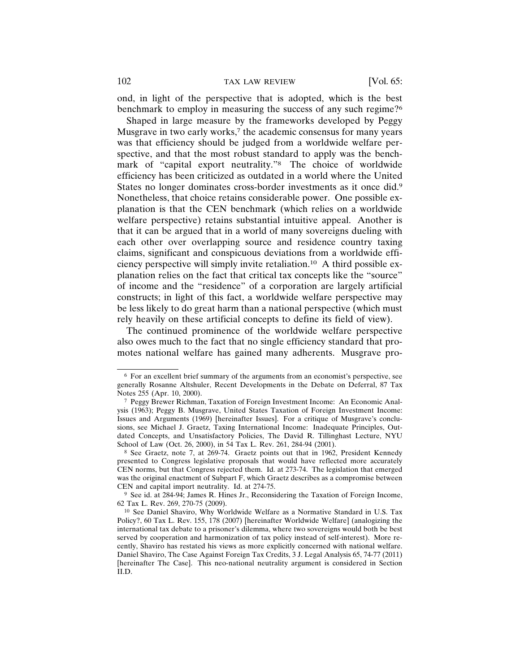ond, in light of the perspective that is adopted, which is the best benchmark to employ in measuring the success of any such regime?6

Shaped in large measure by the frameworks developed by Peggy Musgrave in two early works,<sup>7</sup> the academic consensus for many years was that efficiency should be judged from a worldwide welfare perspective, and that the most robust standard to apply was the benchmark of "capital export neutrality."8 The choice of worldwide efficiency has been criticized as outdated in a world where the United States no longer dominates cross-border investments as it once did.9 Nonetheless, that choice retains considerable power. One possible explanation is that the CEN benchmark (which relies on a worldwide welfare perspective) retains substantial intuitive appeal. Another is that it can be argued that in a world of many sovereigns dueling with each other over overlapping source and residence country taxing claims, significant and conspicuous deviations from a worldwide efficiency perspective will simply invite retaliation.10 A third possible explanation relies on the fact that critical tax concepts like the "source" of income and the "residence" of a corporation are largely artificial constructs; in light of this fact, a worldwide welfare perspective may be less likely to do great harm than a national perspective (which must rely heavily on these artificial concepts to define its field of view).

The continued prominence of the worldwide welfare perspective also owes much to the fact that no single efficiency standard that promotes national welfare has gained many adherents. Musgrave pro-

<sup>6</sup> For an excellent brief summary of the arguments from an economist's perspective, see generally Rosanne Altshuler, Recent Developments in the Debate on Deferral, 87 Tax Notes 255 (Apr. 10, 2000).

<sup>7</sup> Peggy Brewer Richman, Taxation of Foreign Investment Income: An Economic Analysis (1963); Peggy B. Musgrave, United States Taxation of Foreign Investment Income: Issues and Arguments (1969) [hereinafter Issues]. For a critique of Musgrave's conclusions, see Michael J. Graetz, Taxing International Income: Inadequate Principles, Outdated Concepts, and Unsatisfactory Policies, The David R. Tillinghast Lecture, NYU School of Law (Oct. 26, 2000), in 54 Tax L. Rev. 261, 284-94 (2001).

<sup>8</sup> See Graetz, note 7, at 269-74. Graetz points out that in 1962, President Kennedy presented to Congress legislative proposals that would have reflected more accurately CEN norms, but that Congress rejected them. Id. at 273-74. The legislation that emerged was the original enactment of Subpart F, which Graetz describes as a compromise between CEN and capital import neutrality. Id. at 274-75.

<sup>9</sup> See id. at 284-94; James R. Hines Jr., Reconsidering the Taxation of Foreign Income, 62 Tax L. Rev. 269, 270-75 (2009).

<sup>10</sup> See Daniel Shaviro, Why Worldwide Welfare as a Normative Standard in U.S. Tax Policy?, 60 Tax L. Rev. 155, 178 (2007) [hereinafter Worldwide Welfare] (analogizing the international tax debate to a prisoner's dilemma, where two sovereigns would both be best served by cooperation and harmonization of tax policy instead of self-interest). More recently, Shaviro has restated his views as more explicitly concerned with national welfare. Daniel Shaviro, The Case Against Foreign Tax Credits, 3 J. Legal Analysis 65, 74-77 (2011) [hereinafter The Case]. This neo-national neutrality argument is considered in Section II.D.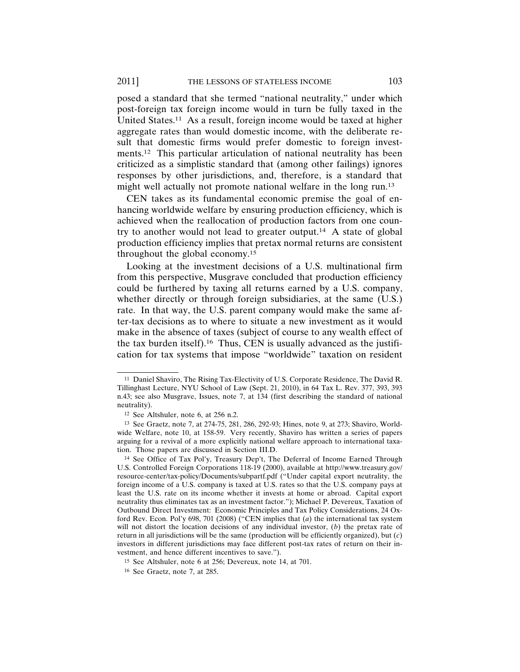posed a standard that she termed "national neutrality," under which post-foreign tax foreign income would in turn be fully taxed in the United States.11 As a result, foreign income would be taxed at higher aggregate rates than would domestic income, with the deliberate result that domestic firms would prefer domestic to foreign investments.12 This particular articulation of national neutrality has been criticized as a simplistic standard that (among other failings) ignores responses by other jurisdictions, and, therefore, is a standard that might well actually not promote national welfare in the long run.13

CEN takes as its fundamental economic premise the goal of enhancing worldwide welfare by ensuring production efficiency, which is achieved when the reallocation of production factors from one country to another would not lead to greater output.14 A state of global production efficiency implies that pretax normal returns are consistent throughout the global economy.15

Looking at the investment decisions of a U.S. multinational firm from this perspective, Musgrave concluded that production efficiency could be furthered by taxing all returns earned by a U.S. company, whether directly or through foreign subsidiaries, at the same (U.S.) rate. In that way, the U.S. parent company would make the same after-tax decisions as to where to situate a new investment as it would make in the absence of taxes (subject of course to any wealth effect of the tax burden itself).16 Thus, CEN is usually advanced as the justification for tax systems that impose "worldwide" taxation on resident

<sup>11</sup> Daniel Shaviro, The Rising Tax-Electivity of U.S. Corporate Residence, The David R. Tillinghast Lecture, NYU School of Law (Sept. 21, 2010), in 64 Tax L. Rev. 377, 393, 393 n.43; see also Musgrave, Issues, note 7, at 134 (first describing the standard of national neutrality).

<sup>12</sup> See Altshuler, note 6, at 256 n.2.

<sup>13</sup> See Graetz, note 7, at 274-75, 281, 286, 292-93; Hines, note 9, at 273; Shaviro, Worldwide Welfare, note 10, at 158-59. Very recently, Shaviro has written a series of papers arguing for a revival of a more explicitly national welfare approach to international taxation. Those papers are discussed in Section III.D.

<sup>14</sup> See Office of Tax Pol'y, Treasury Dep't, The Deferral of Income Earned Through U.S. Controlled Foreign Corporations 118-19 (2000), available at http://www.treasury.gov/ resource-center/tax-policy/Documents/subpartf.pdf ("Under capital export neutrality, the foreign income of a U.S. company is taxed at U.S. rates so that the U.S. company pays at least the U.S. rate on its income whether it invests at home or abroad. Capital export neutrality thus eliminates tax as an investment factor."); Michael P. Devereux, Taxation of Outbound Direct Investment: Economic Principles and Tax Policy Considerations, 24 Oxford Rev. Econ. Pol'y 698, 701 (2008) ("CEN implies that (*a*) the international tax system will not distort the location decisions of any individual investor, (b) the pretax rate of return in all jurisdictions will be the same (production will be efficiently organized), but (*c*) investors in different jurisdictions may face different post-tax rates of return on their investment, and hence different incentives to save.").

<sup>15</sup> See Altshuler, note 6 at 256; Devereux, note 14, at 701.

<sup>16</sup> See Graetz, note 7, at 285.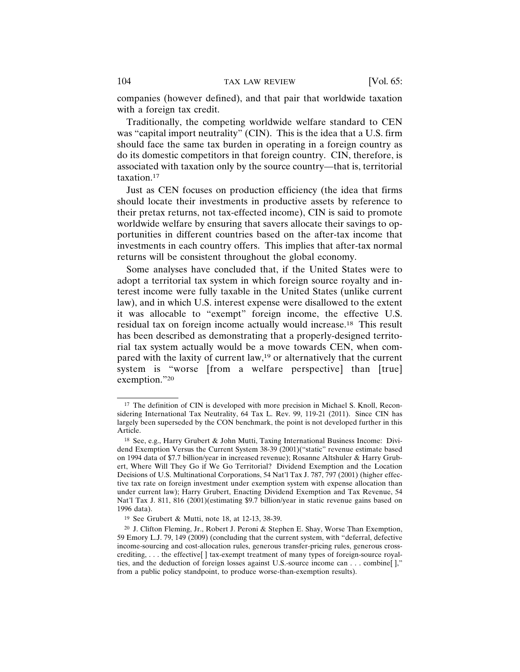companies (however defined), and that pair that worldwide taxation with a foreign tax credit.

Traditionally, the competing worldwide welfare standard to CEN was "capital import neutrality" (CIN). This is the idea that a U.S. firm should face the same tax burden in operating in a foreign country as do its domestic competitors in that foreign country. CIN, therefore, is associated with taxation only by the source country—that is, territorial taxation.17

Just as CEN focuses on production efficiency (the idea that firms should locate their investments in productive assets by reference to their pretax returns, not tax-effected income), CIN is said to promote worldwide welfare by ensuring that savers allocate their savings to opportunities in different countries based on the after-tax income that investments in each country offers. This implies that after-tax normal returns will be consistent throughout the global economy.

Some analyses have concluded that, if the United States were to adopt a territorial tax system in which foreign source royalty and interest income were fully taxable in the United States (unlike current law), and in which U.S. interest expense were disallowed to the extent it was allocable to "exempt" foreign income, the effective U.S. residual tax on foreign income actually would increase.18 This result has been described as demonstrating that a properly-designed territorial tax system actually would be a move towards CEN, when compared with the laxity of current law,19 or alternatively that the current system is "worse [from a welfare perspective] than [true] exemption."20

<sup>&</sup>lt;sup>17</sup> The definition of CIN is developed with more precision in Michael S. Knoll, Reconsidering International Tax Neutrality, 64 Tax L. Rev. 99, 119-21 (2011). Since CIN has largely been superseded by the CON benchmark, the point is not developed further in this Article.

<sup>18</sup> See, e.g., Harry Grubert & John Mutti, Taxing International Business Income: Dividend Exemption Versus the Current System 38-39 (2001)("static" revenue estimate based on 1994 data of \$7.7 billion/year in increased revenue); Rosanne Altshuler & Harry Grubert, Where Will They Go if We Go Territorial? Dividend Exemption and the Location Decisions of U.S. Multinational Corporations, 54 Nat'l Tax J. 787, 797 (2001) (higher effective tax rate on foreign investment under exemption system with expense allocation than under current law); Harry Grubert, Enacting Dividend Exemption and Tax Revenue, 54 Nat'l Tax J. 811, 816 (2001)(estimating \$9.7 billion/year in static revenue gains based on 1996 data).

<sup>19</sup> See Grubert & Mutti, note 18, at 12-13, 38-39.

<sup>20</sup> J. Clifton Fleming, Jr., Robert J. Peroni & Stephen E. Shay, Worse Than Exemption, 59 Emory L.J. 79, 149 (2009) (concluding that the current system, with "deferral, defective income-sourcing and cost-allocation rules, generous transfer-pricing rules, generous crosscrediting, . . . the effective[ ] tax-exempt treatment of many types of foreign-source royalties, and the deduction of foreign losses against U.S.-source income can . . . combine[ ]," from a public policy standpoint, to produce worse-than-exemption results).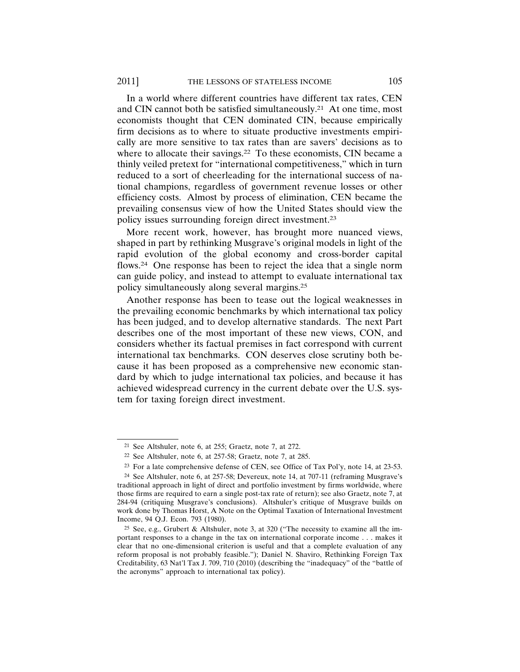In a world where different countries have different tax rates, CEN and CIN cannot both be satisfied simultaneously.21 At one time, most economists thought that CEN dominated CIN, because empirically firm decisions as to where to situate productive investments empirically are more sensitive to tax rates than are savers' decisions as to where to allocate their savings.<sup>22</sup> To these economists, CIN became a thinly veiled pretext for "international competitiveness," which in turn reduced to a sort of cheerleading for the international success of national champions, regardless of government revenue losses or other efficiency costs. Almost by process of elimination, CEN became the prevailing consensus view of how the United States should view the policy issues surrounding foreign direct investment.23

More recent work, however, has brought more nuanced views, shaped in part by rethinking Musgrave's original models in light of the rapid evolution of the global economy and cross-border capital flows.<sup>24</sup> One response has been to reject the idea that a single norm can guide policy, and instead to attempt to evaluate international tax policy simultaneously along several margins.25

Another response has been to tease out the logical weaknesses in the prevailing economic benchmarks by which international tax policy has been judged, and to develop alternative standards. The next Part describes one of the most important of these new views, CON, and considers whether its factual premises in fact correspond with current international tax benchmarks. CON deserves close scrutiny both because it has been proposed as a comprehensive new economic standard by which to judge international tax policies, and because it has achieved widespread currency in the current debate over the U.S. system for taxing foreign direct investment.

<sup>21</sup> See Altshuler, note 6, at 255; Graetz, note 7, at 272.

<sup>22</sup> See Altshuler, note 6, at 257-58; Graetz, note 7, at 285.

<sup>23</sup> For a late comprehensive defense of CEN, see Office of Tax Pol'y, note 14, at 23-53.

<sup>24</sup> See Altshuler, note 6, at 257-58; Devereux, note 14, at 707-11 (reframing Musgrave's traditional approach in light of direct and portfolio investment by firms worldwide, where those firms are required to earn a single post-tax rate of return); see also Graetz, note 7, at 284-94 (critiquing Musgrave's conclusions). Altshuler's critique of Musgrave builds on work done by Thomas Horst, A Note on the Optimal Taxation of International Investment Income, 94 Q.J. Econ. 793 (1980).

<sup>&</sup>lt;sup>25</sup> See, e.g., Grubert & Altshuler, note 3, at 320 ("The necessity to examine all the important responses to a change in the tax on international corporate income . . . makes it clear that no one-dimensional criterion is useful and that a complete evaluation of any reform proposal is not probably feasible."); Daniel N. Shaviro, Rethinking Foreign Tax Creditability, 63 Nat'l Tax J. 709, 710 (2010) (describing the "inadequacy" of the "battle of the acronyms" approach to international tax policy).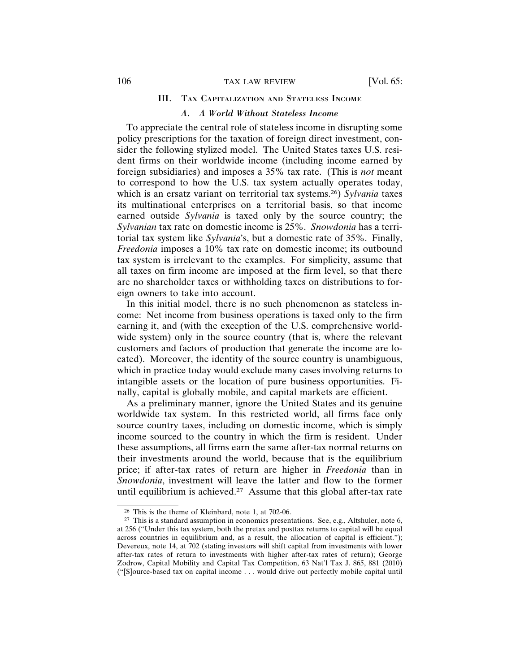# III. TAX CAPITALIZATION AND STATELESS INCOME

# *A. A World Without Stateless Income*

To appreciate the central role of stateless income in disrupting some policy prescriptions for the taxation of foreign direct investment, consider the following stylized model. The United States taxes U.S. resident firms on their worldwide income (including income earned by foreign subsidiaries) and imposes a 35% tax rate. (This is *not* meant to correspond to how the U.S. tax system actually operates today, which is an ersatz variant on territorial tax systems.26) *Sylvania* taxes its multinational enterprises on a territorial basis, so that income earned outside *Sylvania* is taxed only by the source country; the *Sylvanian* tax rate on domestic income is 25%. *Snowdonia* has a territorial tax system like *Sylvania*'s, but a domestic rate of 35%. Finally, *Freedonia* imposes a 10% tax rate on domestic income; its outbound tax system is irrelevant to the examples. For simplicity, assume that all taxes on firm income are imposed at the firm level, so that there are no shareholder taxes or withholding taxes on distributions to foreign owners to take into account.

In this initial model, there is no such phenomenon as stateless income: Net income from business operations is taxed only to the firm earning it, and (with the exception of the U.S. comprehensive worldwide system) only in the source country (that is, where the relevant customers and factors of production that generate the income are located). Moreover, the identity of the source country is unambiguous, which in practice today would exclude many cases involving returns to intangible assets or the location of pure business opportunities. Finally, capital is globally mobile, and capital markets are efficient.

As a preliminary manner, ignore the United States and its genuine worldwide tax system. In this restricted world, all firms face only source country taxes, including on domestic income, which is simply income sourced to the country in which the firm is resident. Under these assumptions, all firms earn the same after-tax normal returns on their investments around the world, because that is the equilibrium price; if after-tax rates of return are higher in *Freedonia* than in *Snowdonia*, investment will leave the latter and flow to the former until equilibrium is achieved.<sup>27</sup> Assume that this global after-tax rate

<sup>26</sup> This is the theme of Kleinbard, note 1, at 702-06.

<sup>27</sup> This is a standard assumption in economics presentations. See, e.g., Altshuler, note 6, at 256 ("Under this tax system, both the pretax and posttax returns to capital will be equal across countries in equilibrium and, as a result, the allocation of capital is efficient."); Devereux, note 14, at 702 (stating investors will shift capital from investments with lower after-tax rates of return to investments with higher after-tax rates of return); George Zodrow, Capital Mobility and Capital Tax Competition, 63 Nat'l Tax J. 865, 881 (2010) ("[S]ource-based tax on capital income . . . would drive out perfectly mobile capital until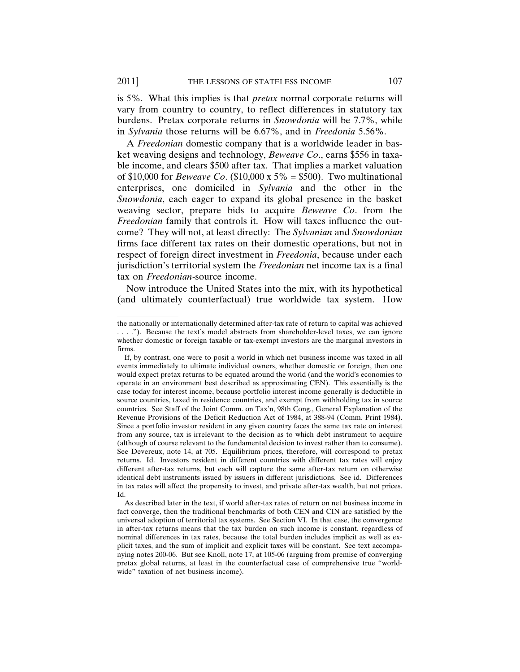is 5%. What this implies is that *pretax* normal corporate returns will vary from country to country, to reflect differences in statutory tax burdens. Pretax corporate returns in *Snowdonia* will be 7.7%, while in *Sylvania* those returns will be 6.67%, and in *Freedonia* 5.56%.

A *Freedonian* domestic company that is a worldwide leader in basket weaving designs and technology, *Beweave Co*., earns \$556 in taxable income, and clears \$500 after tax. That implies a market valuation of \$10,000 for *Beweave Co*. (\$10,000 x 5% = \$500). Two multinational enterprises, one domiciled in *Sylvania* and the other in the *Snowdonia*, each eager to expand its global presence in the basket weaving sector, prepare bids to acquire *Beweave Co*. from the *Freedonian* family that controls it. How will taxes influence the outcome? They will not, at least directly: The *Sylvanian* and *Snowdonian* firms face different tax rates on their domestic operations, but not in respect of foreign direct investment in *Freedonia*, because under each jurisdiction's territorial system the *Freedonian* net income tax is a final tax on *Freedonian*-source income.

Now introduce the United States into the mix, with its hypothetical (and ultimately counterfactual) true worldwide tax system. How

the nationally or internationally determined after-tax rate of return to capital was achieved . . . ."). Because the text's model abstracts from shareholder-level taxes, we can ignore whether domestic or foreign taxable or tax-exempt investors are the marginal investors in firms.

If, by contrast, one were to posit a world in which net business income was taxed in all events immediately to ultimate individual owners, whether domestic or foreign, then one would expect pretax returns to be equated around the world (and the world's economies to operate in an environment best described as approximating CEN). This essentially is the case today for interest income, because portfolio interest income generally is deductible in source countries, taxed in residence countries, and exempt from withholding tax in source countries. See Staff of the Joint Comm. on Tax'n, 98th Cong., General Explanation of the Revenue Provisions of the Deficit Reduction Act of 1984, at 388-94 (Comm. Print 1984). Since a portfolio investor resident in any given country faces the same tax rate on interest from any source, tax is irrelevant to the decision as to which debt instrument to acquire (although of course relevant to the fundamental decision to invest rather than to consume). See Devereux, note 14, at 705. Equilibrium prices, therefore, will correspond to pretax returns. Id. Investors resident in different countries with different tax rates will enjoy different after-tax returns, but each will capture the same after-tax return on otherwise identical debt instruments issued by issuers in different jurisdictions. See id. Differences in tax rates will affect the propensity to invest, and private after-tax wealth, but not prices. Id.

As described later in the text, if world after-tax rates of return on net business income in fact converge, then the traditional benchmarks of both CEN and CIN are satisfied by the universal adoption of territorial tax systems. See Section VI. In that case, the convergence in after-tax returns means that the tax burden on such income is constant, regardless of nominal differences in tax rates, because the total burden includes implicit as well as explicit taxes, and the sum of implicit and explicit taxes will be constant. See text accompanying notes 200-06. But see Knoll, note 17, at 105-06 (arguing from premise of converging pretax global returns, at least in the counterfactual case of comprehensive true "worldwide" taxation of net business income).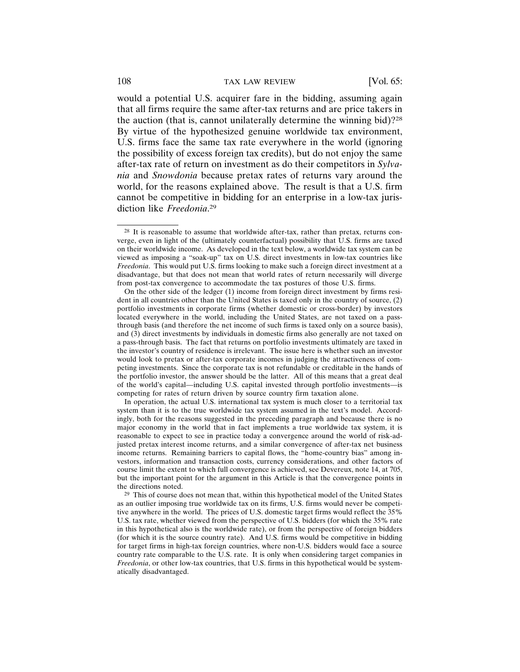would a potential U.S. acquirer fare in the bidding, assuming again that all firms require the same after-tax returns and are price takers in the auction (that is, cannot unilaterally determine the winning bid)?28 By virtue of the hypothesized genuine worldwide tax environment, U.S. firms face the same tax rate everywhere in the world (ignoring the possibility of excess foreign tax credits), but do not enjoy the same after-tax rate of return on investment as do their competitors in *Sylvania* and *Snowdonia* because pretax rates of returns vary around the world, for the reasons explained above. The result is that a U.S. firm cannot be competitive in bidding for an enterprise in a low-tax jurisdiction like *Freedonia*. 29

<sup>28</sup> It is reasonable to assume that worldwide after-tax, rather than pretax, returns converge, even in light of the (ultimately counterfactual) possibility that U.S. firms are taxed on their worldwide income. As developed in the text below, a worldwide tax system can be viewed as imposing a "soak-up" tax on U.S. direct investments in low-tax countries like *Freedonia*. This would put U.S. firms looking to make such a foreign direct investment at a disadvantage, but that does not mean that world rates of return necessarily will diverge from post-tax convergence to accommodate the tax postures of those U.S. firms.

On the other side of the ledger (1) income from foreign direct investment by firms resident in all countries other than the United States is taxed only in the country of source, (2) portfolio investments in corporate firms (whether domestic or cross-border) by investors located everywhere in the world, including the United States, are not taxed on a passthrough basis (and therefore the net income of such firms is taxed only on a source basis), and (3) direct investments by individuals in domestic firms also generally are not taxed on a pass-through basis. The fact that returns on portfolio investments ultimately are taxed in the investor's country of residence is irrelevant. The issue here is whether such an investor would look to pretax or after-tax corporate incomes in judging the attractiveness of competing investments. Since the corporate tax is not refundable or creditable in the hands of the portfolio investor, the answer should be the latter. All of this means that a great deal of the world's capital—including U.S. capital invested through portfolio investments—is competing for rates of return driven by source country firm taxation alone.

In operation, the actual U.S. international tax system is much closer to a territorial tax system than it is to the true worldwide tax system assumed in the text's model. Accordingly, both for the reasons suggested in the preceding paragraph and because there is no major economy in the world that in fact implements a true worldwide tax system, it is reasonable to expect to see in practice today a convergence around the world of risk-adjusted pretax interest income returns, and a similar convergence of after-tax net business income returns. Remaining barriers to capital flows, the "home-country bias" among investors, information and transaction costs, currency considerations, and other factors of course limit the extent to which full convergence is achieved, see Devereux, note 14, at 705, but the important point for the argument in this Article is that the convergence points in the directions noted.

<sup>29</sup> This of course does not mean that, within this hypothetical model of the United States as an outlier imposing true worldwide tax on its firms, U.S. firms would never be competitive anywhere in the world. The prices of U.S. domestic target firms would reflect the 35% U.S. tax rate, whether viewed from the perspective of U.S. bidders (for which the 35% rate in this hypothetical also is the worldwide rate), or from the perspective of foreign bidders (for which it is the source country rate). And U.S. firms would be competitive in bidding for target firms in high-tax foreign countries, where non-U.S. bidders would face a source country rate comparable to the U.S. rate. It is only when considering target companies in *Freedonia*, or other low-tax countries, that U.S. firms in this hypothetical would be systematically disadvantaged.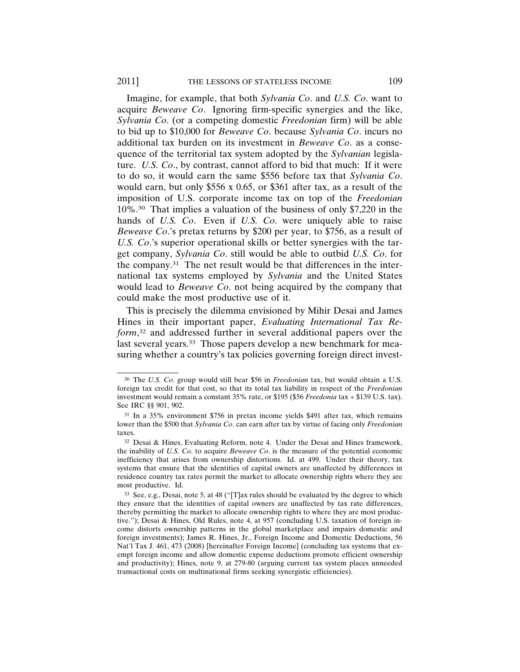Imagine, for example, that both *Sylvania Co*. and *U.S. Co*. want to acquire *Beweave Co*. Ignoring firm-specific synergies and the like, *Sylvania Co*. (or a competing domestic *Freedonian* firm) will be able to bid up to \$10,000 for *Beweave Co*. because *Sylvania Co*. incurs no additional tax burden on its investment in *Beweave Co*. as a consequence of the territorial tax system adopted by the *Sylvanian* legislature. *U.S. Co*., by contrast, cannot afford to bid that much: If it were to do so, it would earn the same \$556 before tax that *Sylvania Co*. would earn, but only \$556 x 0.65, or \$361 after tax, as a result of the imposition of U.S. corporate income tax on top of the *Freedonian* 10%.30 That implies a valuation of the business of only \$7,220 in the hands of *U.S. Co*. Even if *U.S. Co*. were uniquely able to raise *Beweave Co*.'s pretax returns by \$200 per year, to \$756, as a result of *U.S. Co*.'s superior operational skills or better synergies with the target company, *Sylvania Co*. still would be able to outbid *U.S. Co*. for the company.31 The net result would be that differences in the international tax systems employed by *Sylvania* and the United States would lead to *Beweave Co*. not being acquired by the company that could make the most productive use of it.

This is precisely the dilemma envisioned by Mihir Desai and James Hines in their important paper, *Evaluating International Tax Reform*, 32 and addressed further in several additional papers over the last several years.<sup>33</sup> Those papers develop a new benchmark for measuring whether a country's tax policies governing foreign direct invest-

<sup>30</sup> The *U.S. Co*. group would still bear \$56 in *Freedonian* tax, but would obtain a U.S. foreign tax credit for that cost, so that its total tax liability in respect of the *Freedonian* investment would remain a constant 35% rate, or \$195 (\$56 *Freedonia* tax + \$139 U.S. tax). See IRC §§ 901, 902.

<sup>31</sup> In a 35% environment \$756 in pretax income yields \$491 after tax, which remains lower than the \$500 that *Sylvania Co*. can earn after tax by virtue of facing only *Freedonian* taxes.

<sup>32</sup> Desai & Hines, Evaluating Reform, note 4. Under the Desai and Hines framework, the inability of *U.S. Co*. to acquire *Beweave Co*. is the measure of the potential economic inefficiency that arises from ownership distortions. Id. at 499. Under their theory, tax systems that ensure that the identities of capital owners are unaffected by differences in residence country tax rates permit the market to allocate ownership rights where they are most productive. Id.

<sup>33</sup> See, e.g., Desai, note 5, at 48 ("[T]ax rules should be evaluated by the degree to which they ensure that the identities of capital owners are unaffected by tax rate differences, thereby permitting the market to allocate ownership rights to where they are most productive."); Desai & Hines, Old Rules, note 4, at 957 (concluding U.S. taxation of foreign income distorts ownership patterns in the global marketplace and impairs domestic and foreign investments); James R. Hines, Jr., Foreign Income and Domestic Deductions, 56 Nat'l Tax J. 461, 473 (2008) [hereinafter Foreign Income] (concluding tax systems that exempt foreign income and allow domestic expense deductions promote efficient ownership and productivity); Hines, note 9, at 279-80 (arguing current tax system places unneeded transactional costs on multinational firms seeking synergistic efficiencies).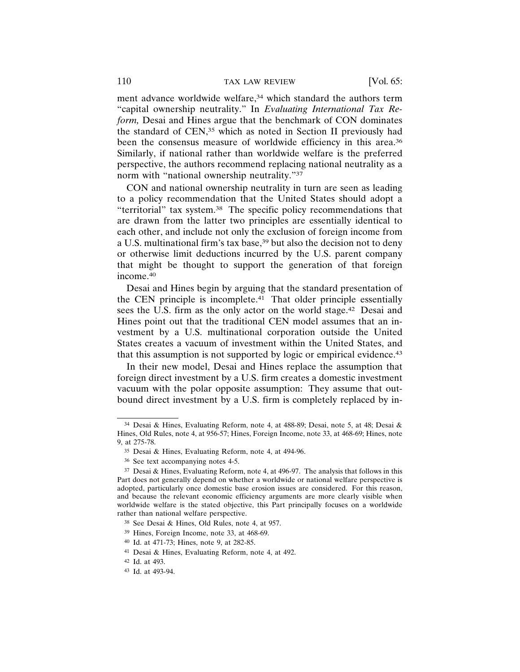ment advance worldwide welfare,<sup>34</sup> which standard the authors term "capital ownership neutrality." In *Evaluating International Tax Reform,* Desai and Hines argue that the benchmark of CON dominates the standard of CEN,<sup>35</sup> which as noted in Section II previously had been the consensus measure of worldwide efficiency in this area.<sup>36</sup> Similarly, if national rather than worldwide welfare is the preferred perspective, the authors recommend replacing national neutrality as a norm with "national ownership neutrality."37

CON and national ownership neutrality in turn are seen as leading to a policy recommendation that the United States should adopt a "territorial" tax system.38 The specific policy recommendations that are drawn from the latter two principles are essentially identical to each other, and include not only the exclusion of foreign income from a U.S. multinational firm's tax base,<sup>39</sup> but also the decision not to deny or otherwise limit deductions incurred by the U.S. parent company that might be thought to support the generation of that foreign income.40

Desai and Hines begin by arguing that the standard presentation of the CEN principle is incomplete. $41$  That older principle essentially sees the U.S. firm as the only actor on the world stage.42 Desai and Hines point out that the traditional CEN model assumes that an investment by a U.S. multinational corporation outside the United States creates a vacuum of investment within the United States, and that this assumption is not supported by logic or empirical evidence.43

In their new model, Desai and Hines replace the assumption that foreign direct investment by a U.S. firm creates a domestic investment vacuum with the polar opposite assumption: They assume that outbound direct investment by a U.S. firm is completely replaced by in-

<sup>34</sup> Desai & Hines, Evaluating Reform, note 4, at 488-89; Desai, note 5, at 48; Desai & Hines, Old Rules, note 4, at 956-57; Hines, Foreign Income, note 33, at 468-69; Hines, note 9, at 275-78.

<sup>35</sup> Desai & Hines, Evaluating Reform, note 4, at 494-96.

<sup>36</sup> See text accompanying notes 4-5.

<sup>37</sup> Desai & Hines, Evaluating Reform, note 4, at 496-97. The analysis that follows in this Part does not generally depend on whether a worldwide or national welfare perspective is adopted, particularly once domestic base erosion issues are considered. For this reason, and because the relevant economic efficiency arguments are more clearly visible when worldwide welfare is the stated objective, this Part principally focuses on a worldwide rather than national welfare perspective.

<sup>38</sup> See Desai & Hines, Old Rules, note 4, at 957.

<sup>39</sup> Hines, Foreign Income, note 33, at 468-69.

<sup>40</sup> Id. at 471-73; Hines, note 9, at 282-85.

<sup>41</sup> Desai & Hines, Evaluating Reform, note 4, at 492.

<sup>42</sup> Id. at 493.

<sup>43</sup> Id. at 493-94.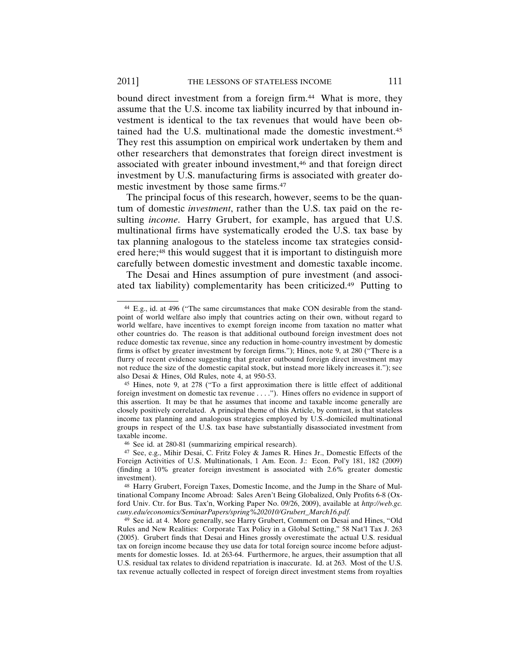bound direct investment from a foreign firm.<sup>44</sup> What is more, they assume that the U.S. income tax liability incurred by that inbound investment is identical to the tax revenues that would have been obtained had the U.S. multinational made the domestic investment.45 They rest this assumption on empirical work undertaken by them and other researchers that demonstrates that foreign direct investment is associated with greater inbound investment,<sup>46</sup> and that foreign direct investment by U.S. manufacturing firms is associated with greater domestic investment by those same firms.47

The principal focus of this research, however, seems to be the quantum of domestic *investment*, rather than the U.S. tax paid on the resulting *income*. Harry Grubert, for example, has argued that U.S. multinational firms have systematically eroded the U.S. tax base by tax planning analogous to the stateless income tax strategies considered here;48 this would suggest that it is important to distinguish more carefully between domestic investment and domestic taxable income.

The Desai and Hines assumption of pure investment (and associated tax liability) complementarity has been criticized.49 Putting to

<sup>44</sup> E.g., id. at 496 ("The same circumstances that make CON desirable from the standpoint of world welfare also imply that countries acting on their own, without regard to world welfare, have incentives to exempt foreign income from taxation no matter what other countries do. The reason is that additional outbound foreign investment does not reduce domestic tax revenue, since any reduction in home-country investment by domestic firms is offset by greater investment by foreign firms."); Hines, note 9, at 280 ("There is a flurry of recent evidence suggesting that greater outbound foreign direct investment may not reduce the size of the domestic capital stock, but instead more likely increases it."); see also Desai & Hines, Old Rules, note 4, at 950-53.

<sup>45</sup> Hines, note 9, at 278 ("To a first approximation there is little effect of additional foreign investment on domestic tax revenue . . . ."). Hines offers no evidence in support of this assertion. It may be that he assumes that income and taxable income generally are closely positively correlated. A principal theme of this Article, by contrast, is that stateless income tax planning and analogous strategies employed by U.S.-domiciled multinational groups in respect of the U.S. tax base have substantially disassociated investment from taxable income.

<sup>46</sup> See id. at 280-81 (summarizing empirical research).

<sup>47</sup> See, e.g., Mihir Desai, C. Fritz Foley & James R. Hines Jr., Domestic Effects of the Foreign Activities of U.S. Multinationals, 1 Am. Econ. J.: Econ. Pol'y 181, 182 (2009) (finding a 10% greater foreign investment is associated with 2.6% greater domestic investment).

<sup>48</sup> Harry Grubert, Foreign Taxes, Domestic Income, and the Jump in the Share of Multinational Company Income Abroad: Sales Aren't Being Globalized, Only Profits 6-8 (Oxford Univ. Ctr. for Bus. Tax'n, Working Paper No. 09/26, 2009), available at *http://web.gc. cuny.edu/economics/SeminarPapers/spring%202010/Grubert\_March16.pdf.*

<sup>49</sup> See id. at 4. More generally, see Harry Grubert, Comment on Desai and Hines, "Old Rules and New Realities: Corporate Tax Policy in a Global Setting," 58 Nat'l Tax J. 263 (2005). Grubert finds that Desai and Hines grossly overestimate the actual U.S. residual tax on foreign income because they use data for total foreign source income before adjustments for domestic losses. Id. at 263-64. Furthermore, he argues, their assumption that all U.S. residual tax relates to dividend repatriation is inaccurate. Id. at 263. Most of the U.S. tax revenue actually collected in respect of foreign direct investment stems from royalties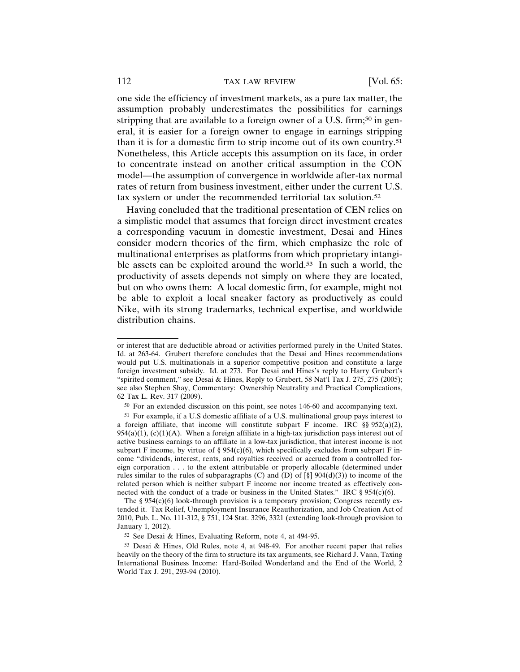one side the efficiency of investment markets, as a pure tax matter, the assumption probably underestimates the possibilities for earnings stripping that are available to a foreign owner of a U.S. firm;<sup>50</sup> in general, it is easier for a foreign owner to engage in earnings stripping than it is for a domestic firm to strip income out of its own country.51 Nonetheless, this Article accepts this assumption on its face, in order to concentrate instead on another critical assumption in the CON model—the assumption of convergence in worldwide after-tax normal rates of return from business investment, either under the current U.S. tax system or under the recommended territorial tax solution.52

Having concluded that the traditional presentation of CEN relies on a simplistic model that assumes that foreign direct investment creates a corresponding vacuum in domestic investment, Desai and Hines consider modern theories of the firm, which emphasize the role of multinational enterprises as platforms from which proprietary intangible assets can be exploited around the world.<sup>53</sup> In such a world, the productivity of assets depends not simply on where they are located, but on who owns them: A local domestic firm, for example, might not be able to exploit a local sneaker factory as productively as could Nike, with its strong trademarks, technical expertise, and worldwide distribution chains.

or interest that are deductible abroad or activities performed purely in the United States. Id. at 263-64. Grubert therefore concludes that the Desai and Hines recommendations would put U.S. multinationals in a superior competitive position and constitute a large foreign investment subsidy. Id. at 273. For Desai and Hines's reply to Harry Grubert's "spirited comment," see Desai & Hines, Reply to Grubert, 58 Nat'l Tax J. 275, 275 (2005); see also Stephen Shay, Commentary: Ownership Neutrality and Practical Complications, 62 Tax L. Rev. 317 (2009).

<sup>50</sup> For an extended discussion on this point, see notes 146-60 and accompanying text.

<sup>51</sup> For example, if a U.S domestic affiliate of a U.S. multinational group pays interest to a foreign affiliate, that income will constitute subpart F income. IRC  $\frac{1}{8}$  952(a)(2),  $954(a)(1)$ , (c)(1)(A). When a foreign affiliate in a high-tax jurisdiction pays interest out of active business earnings to an affiliate in a low-tax jurisdiction, that interest income is not subpart F income, by virtue of §  $954(c)(6)$ , which specifically excludes from subpart F income "dividends, interest, rents, and royalties received or accrued from a controlled foreign corporation . . . to the extent attributable or properly allocable (determined under rules similar to the rules of subparagraphs (C) and  $(D)$  of  $\left[\S\right]$  904(d)(3)) to income of the related person which is neither subpart F income nor income treated as effectively connected with the conduct of a trade or business in the United States." IRC  $\S 954(c)(6)$ .

The §  $954(c)(6)$  look-through provision is a temporary provision; Congress recently extended it. Tax Relief, Unemployment Insurance Reauthorization, and Job Creation Act of 2010, Pub. L. No. 111-312, § 751, 124 Stat. 3296, 3321 (extending look-through provision to January 1, 2012).

<sup>52</sup> See Desai & Hines, Evaluating Reform, note 4, at 494-95.

<sup>53</sup> Desai & Hines, Old Rules, note 4, at 948-49. For another recent paper that relies heavily on the theory of the firm to structure its tax arguments, see Richard J. Vann, Taxing International Business Income: Hard-Boiled Wonderland and the End of the World, 2 World Tax J. 291, 293-94 (2010).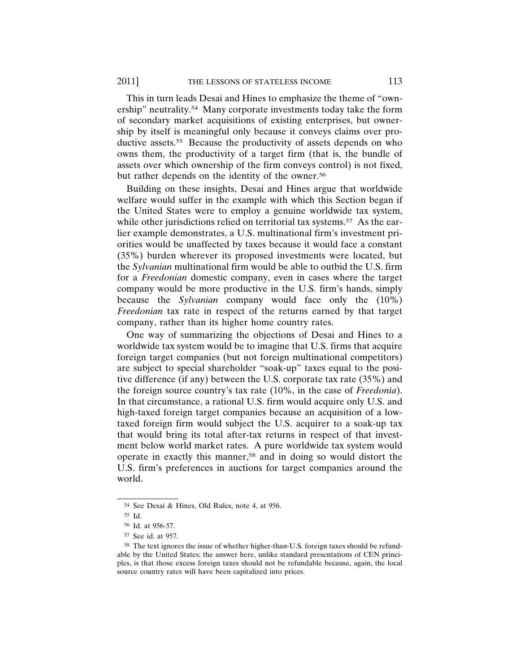This in turn leads Desai and Hines to emphasize the theme of "ownership" neutrality.54 Many corporate investments today take the form of secondary market acquisitions of existing enterprises, but ownership by itself is meaningful only because it conveys claims over productive assets.<sup>55</sup> Because the productivity of assets depends on who owns them, the productivity of a target firm (that is, the bundle of assets over which ownership of the firm conveys control) is not fixed, but rather depends on the identity of the owner.<sup>56</sup>

Building on these insights, Desai and Hines argue that worldwide welfare would suffer in the example with which this Section began if the United States were to employ a genuine worldwide tax system, while other jurisdictions relied on territorial tax systems.<sup>57</sup> As the earlier example demonstrates, a U.S. multinational firm's investment priorities would be unaffected by taxes because it would face a constant (35%) burden wherever its proposed investments were located, but the *Sylvanian* multinational firm would be able to outbid the U.S. firm for a *Freedonian* domestic company, even in cases where the target company would be more productive in the U.S. firm's hands, simply because the *Sylvanian* company would face only the (10%) *Freedonian* tax rate in respect of the returns earned by that target company, rather than its higher home country rates.

One way of summarizing the objections of Desai and Hines to a worldwide tax system would be to imagine that U.S. firms that acquire foreign target companies (but not foreign multinational competitors) are subject to special shareholder "soak-up" taxes equal to the positive difference (if any) between the U.S. corporate tax rate (35%) and the foreign source country's tax rate (10%, in the case of *Freedonia*). In that circumstance, a rational U.S. firm would acquire only U.S. and high-taxed foreign target companies because an acquisition of a lowtaxed foreign firm would subject the U.S. acquirer to a soak-up tax that would bring its total after-tax returns in respect of that investment below world market rates. A pure worldwide tax system would operate in exactly this manner,58 and in doing so would distort the U.S. firm's preferences in auctions for target companies around the world.

<sup>54</sup> See Desai & Hines, Old Rules, note 4, at 956.

<sup>55</sup> Id.

<sup>56</sup> Id. at 956-57.

<sup>57</sup> See id. at 957.

<sup>58</sup> The text ignores the issue of whether higher-than-U.S. foreign taxes should be refundable by the United States; the answer here, unlike standard presentations of CEN principles, is that those excess foreign taxes should not be refundable because, again, the local source country rates will have been capitalized into prices.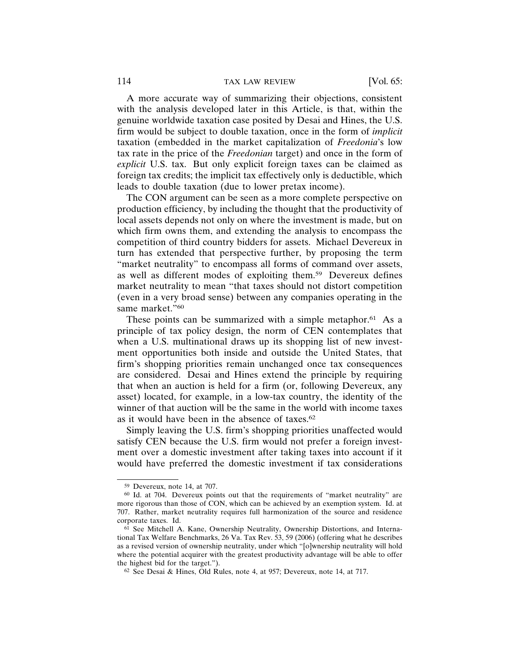A more accurate way of summarizing their objections, consistent with the analysis developed later in this Article, is that, within the genuine worldwide taxation case posited by Desai and Hines, the U.S. firm would be subject to double taxation, once in the form of *implicit* taxation (embedded in the market capitalization of *Freedonia*'s low tax rate in the price of the *Freedonian* target) and once in the form of *explicit* U.S. tax. But only explicit foreign taxes can be claimed as foreign tax credits; the implicit tax effectively only is deductible, which leads to double taxation (due to lower pretax income).

The CON argument can be seen as a more complete perspective on production efficiency, by including the thought that the productivity of local assets depends not only on where the investment is made, but on which firm owns them, and extending the analysis to encompass the competition of third country bidders for assets. Michael Devereux in turn has extended that perspective further, by proposing the term "market neutrality" to encompass all forms of command over assets, as well as different modes of exploiting them.59 Devereux defines market neutrality to mean "that taxes should not distort competition (even in a very broad sense) between any companies operating in the same market."60

These points can be summarized with a simple metaphor.<sup>61</sup> As a principle of tax policy design, the norm of CEN contemplates that when a U.S. multinational draws up its shopping list of new investment opportunities both inside and outside the United States, that firm's shopping priorities remain unchanged once tax consequences are considered. Desai and Hines extend the principle by requiring that when an auction is held for a firm (or, following Devereux, any asset) located, for example, in a low-tax country, the identity of the winner of that auction will be the same in the world with income taxes as it would have been in the absence of taxes.62

Simply leaving the U.S. firm's shopping priorities unaffected would satisfy CEN because the U.S. firm would not prefer a foreign investment over a domestic investment after taking taxes into account if it would have preferred the domestic investment if tax considerations

<sup>59</sup> Devereux, note 14, at 707.

<sup>60</sup> Id. at 704. Devereux points out that the requirements of "market neutrality" are more rigorous than those of CON, which can be achieved by an exemption system. Id. at 707. Rather, market neutrality requires full harmonization of the source and residence corporate taxes. Id.

<sup>61</sup> See Mitchell A. Kane, Ownership Neutrality, Ownership Distortions, and International Tax Welfare Benchmarks, 26 Va. Tax Rev. 53, 59 (2006) (offering what he describes as a revised version of ownership neutrality, under which "[o]wnership neutrality will hold where the potential acquirer with the greatest productivity advantage will be able to offer the highest bid for the target.").

<sup>62</sup> See Desai & Hines, Old Rules, note 4, at 957; Devereux, note 14, at 717.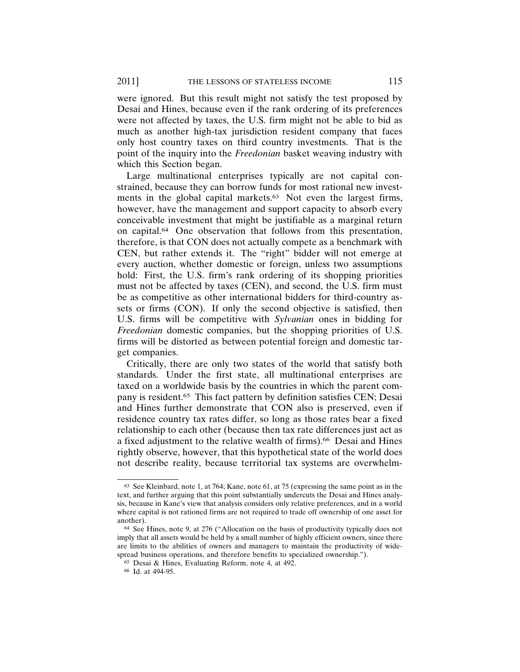were ignored. But this result might not satisfy the test proposed by Desai and Hines, because even if the rank ordering of its preferences were not affected by taxes, the U.S. firm might not be able to bid as much as another high-tax jurisdiction resident company that faces only host country taxes on third country investments. That is the point of the inquiry into the *Freedonian* basket weaving industry with which this Section began.

Large multinational enterprises typically are not capital constrained, because they can borrow funds for most rational new investments in the global capital markets.<sup>63</sup> Not even the largest firms, however, have the management and support capacity to absorb every conceivable investment that might be justifiable as a marginal return on capital.64 One observation that follows from this presentation, therefore, is that CON does not actually compete as a benchmark with CEN, but rather extends it. The "right" bidder will not emerge at every auction, whether domestic or foreign, unless two assumptions hold: First, the U.S. firm's rank ordering of its shopping priorities must not be affected by taxes (CEN), and second, the U.S. firm must be as competitive as other international bidders for third-country assets or firms (CON). If only the second objective is satisfied, then U.S. firms will be competitive with *Sylvanian* ones in bidding for *Freedonian* domestic companies, but the shopping priorities of U.S. firms will be distorted as between potential foreign and domestic target companies.

Critically, there are only two states of the world that satisfy both standards. Under the first state, all multinational enterprises are taxed on a worldwide basis by the countries in which the parent company is resident.65 This fact pattern by definition satisfies CEN; Desai and Hines further demonstrate that CON also is preserved, even if residence country tax rates differ, so long as those rates bear a fixed relationship to each other (because then tax rate differences just act as a fixed adjustment to the relative wealth of firms).66 Desai and Hines rightly observe, however, that this hypothetical state of the world does not describe reality, because territorial tax systems are overwhelm-

<sup>63</sup> See Kleinbard, note 1, at 764; Kane, note 61, at 75 (expressing the same point as in the text, and further arguing that this point substantially undercuts the Desai and Hines analysis, because in Kane's view that analysis considers only relative preferences, and in a world where capital is not rationed firms are not required to trade off ownership of one asset for another).

<sup>64</sup> See Hines, note 9, at 276 ("Allocation on the basis of productivity typically does not imply that all assets would be held by a small number of highly efficient owners, since there are limits to the abilities of owners and managers to maintain the productivity of widespread business operations, and therefore benefits to specialized ownership.").

<sup>65</sup> Desai & Hines, Evaluating Reform, note 4, at 492.

<sup>66</sup> Id. at 494-95.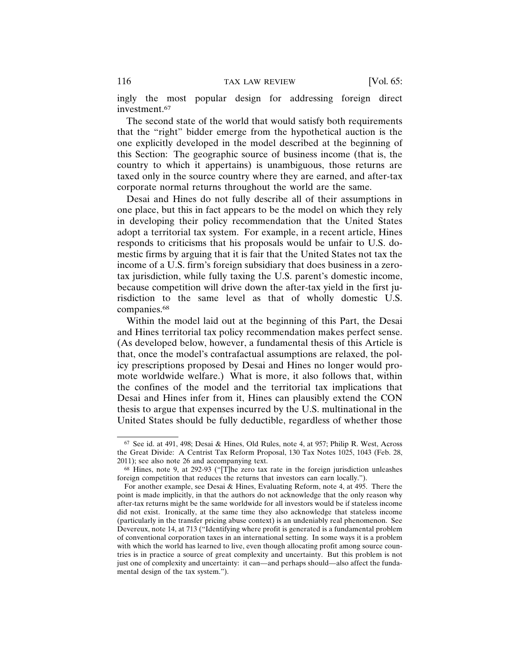ingly the most popular design for addressing foreign direct investment.67

The second state of the world that would satisfy both requirements that the "right" bidder emerge from the hypothetical auction is the one explicitly developed in the model described at the beginning of this Section: The geographic source of business income (that is, the country to which it appertains) is unambiguous, those returns are taxed only in the source country where they are earned, and after-tax corporate normal returns throughout the world are the same.

Desai and Hines do not fully describe all of their assumptions in one place, but this in fact appears to be the model on which they rely in developing their policy recommendation that the United States adopt a territorial tax system. For example, in a recent article, Hines responds to criticisms that his proposals would be unfair to U.S. domestic firms by arguing that it is fair that the United States not tax the income of a U.S. firm's foreign subsidiary that does business in a zerotax jurisdiction, while fully taxing the U.S. parent's domestic income, because competition will drive down the after-tax yield in the first jurisdiction to the same level as that of wholly domestic U.S. companies.68

Within the model laid out at the beginning of this Part, the Desai and Hines territorial tax policy recommendation makes perfect sense. (As developed below, however, a fundamental thesis of this Article is that, once the model's contrafactual assumptions are relaxed, the policy prescriptions proposed by Desai and Hines no longer would promote worldwide welfare.) What is more, it also follows that, within the confines of the model and the territorial tax implications that Desai and Hines infer from it, Hines can plausibly extend the CON thesis to argue that expenses incurred by the U.S. multinational in the United States should be fully deductible, regardless of whether those

<sup>67</sup> See id. at 491, 498; Desai & Hines, Old Rules, note 4, at 957; Philip R. West, Across the Great Divide: A Centrist Tax Reform Proposal, 130 Tax Notes 1025, 1043 (Feb. 28, 2011); see also note 26 and accompanying text.

<sup>68</sup> Hines, note 9, at 292-93 ("[T]he zero tax rate in the foreign jurisdiction unleashes foreign competition that reduces the returns that investors can earn locally.").

For another example, see Desai & Hines, Evaluating Reform, note 4, at 495. There the point is made implicitly, in that the authors do not acknowledge that the only reason why after-tax returns might be the same worldwide for all investors would be if stateless income did not exist. Ironically, at the same time they also acknowledge that stateless income (particularly in the transfer pricing abuse context) is an undeniably real phenomenon. See Devereux, note 14, at 713 ("Identifying where profit is generated is a fundamental problem of conventional corporation taxes in an international setting. In some ways it is a problem with which the world has learned to live, even though allocating profit among source countries is in practice a source of great complexity and uncertainty. But this problem is not just one of complexity and uncertainty: it can—and perhaps should—also affect the fundamental design of the tax system.").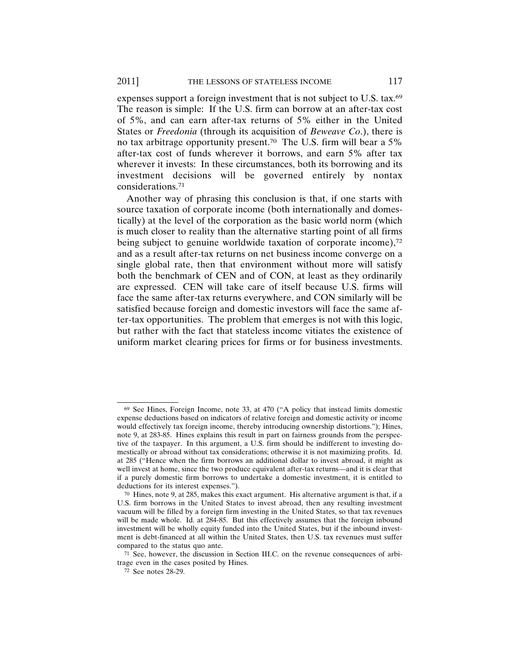expenses support a foreign investment that is not subject to U.S. tax.69 The reason is simple: If the U.S. firm can borrow at an after-tax cost of 5%, and can earn after-tax returns of 5% either in the United States or *Freedonia* (through its acquisition of *Beweave Co*.), there is no tax arbitrage opportunity present.70 The U.S. firm will bear a 5% after-tax cost of funds wherever it borrows, and earn 5% after tax wherever it invests: In these circumstances, both its borrowing and its investment decisions will be governed entirely by nontax considerations.71

Another way of phrasing this conclusion is that, if one starts with source taxation of corporate income (both internationally and domestically) at the level of the corporation as the basic world norm (which is much closer to reality than the alternative starting point of all firms being subject to genuine worldwide taxation of corporate income),<sup>72</sup> and as a result after-tax returns on net business income converge on a single global rate, then that environment without more will satisfy both the benchmark of CEN and of CON, at least as they ordinarily are expressed. CEN will take care of itself because U.S. firms will face the same after-tax returns everywhere, and CON similarly will be satisfied because foreign and domestic investors will face the same after-tax opportunities. The problem that emerges is not with this logic, but rather with the fact that stateless income vitiates the existence of uniform market clearing prices for firms or for business investments.

<sup>69</sup> See Hines, Foreign Income, note 33, at 470 ("A policy that instead limits domestic expense deductions based on indicators of relative foreign and domestic activity or income would effectively tax foreign income, thereby introducing ownership distortions."); Hines, note 9, at 283-85. Hines explains this result in part on fairness grounds from the perspective of the taxpayer. In this argument, a U.S. firm should be indifferent to investing domestically or abroad without tax considerations; otherwise it is not maximizing profits. Id. at 285 ("Hence when the firm borrows an additional dollar to invest abroad, it might as well invest at home, since the two produce equivalent after-tax returns—and it is clear that if a purely domestic firm borrows to undertake a domestic investment, it is entitled to deductions for its interest expenses.").

 $70$  Hines, note 9, at 285, makes this exact argument. His alternative argument is that, if a U.S. firm borrows in the United States to invest abroad, then any resulting investment vacuum will be filled by a foreign firm investing in the United States, so that tax revenues will be made whole. Id. at 284-85. But this effectively assumes that the foreign inbound investment will be wholly equity funded into the United States, but if the inbound investment is debt-financed at all within the United States, then U.S. tax revenues must suffer compared to the status quo ante.

<sup>71</sup> See, however, the discussion in Section III.C. on the revenue consequences of arbitrage even in the cases posited by Hines.

<sup>72</sup> See notes 28-29.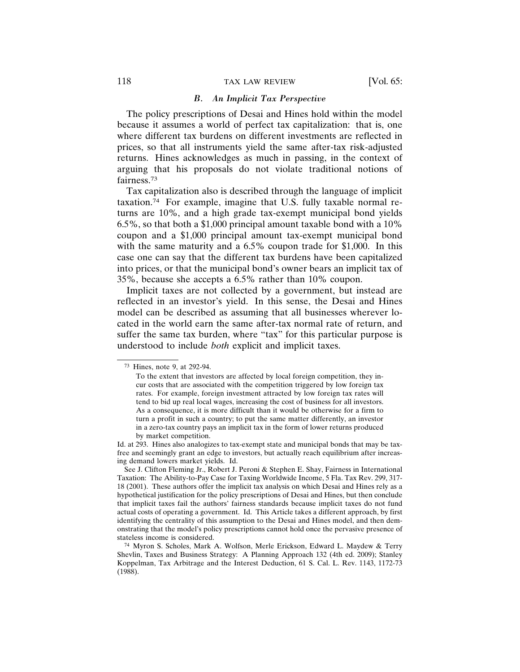# *B. An Implicit Tax Perspective*

The policy prescriptions of Desai and Hines hold within the model because it assumes a world of perfect tax capitalization: that is, one where different tax burdens on different investments are reflected in prices, so that all instruments yield the same after-tax risk-adjusted returns. Hines acknowledges as much in passing, in the context of arguing that his proposals do not violate traditional notions of fairness.73

Tax capitalization also is described through the language of implicit taxation.74 For example, imagine that U.S. fully taxable normal returns are 10%, and a high grade tax-exempt municipal bond yields 6.5%, so that both a \$1,000 principal amount taxable bond with a 10% coupon and a \$1,000 principal amount tax-exempt municipal bond with the same maturity and a 6.5% coupon trade for \$1,000. In this case one can say that the different tax burdens have been capitalized into prices, or that the municipal bond's owner bears an implicit tax of 35%, because she accepts a 6.5% rather than 10% coupon.

Implicit taxes are not collected by a government, but instead are reflected in an investor's yield. In this sense, the Desai and Hines model can be described as assuming that all businesses wherever located in the world earn the same after-tax normal rate of return, and suffer the same tax burden, where "tax" for this particular purpose is understood to include *both* explicit and implicit taxes.

<sup>73</sup> Hines, note 9, at 292-94.

To the extent that investors are affected by local foreign competition, they incur costs that are associated with the competition triggered by low foreign tax rates. For example, foreign investment attracted by low foreign tax rates will tend to bid up real local wages, increasing the cost of business for all investors. As a consequence, it is more difficult than it would be otherwise for a firm to turn a profit in such a country; to put the same matter differently, an investor in a zero-tax country pays an implicit tax in the form of lower returns produced by market competition.

Id. at 293. Hines also analogizes to tax-exempt state and municipal bonds that may be taxfree and seemingly grant an edge to investors, but actually reach equilibrium after increasing demand lowers market yields. Id.

See J. Clifton Fleming Jr., Robert J. Peroni & Stephen E. Shay, Fairness in International Taxation: The Ability-to-Pay Case for Taxing Worldwide Income, 5 Fla. Tax Rev. 299, 317- 18 (2001). These authors offer the implicit tax analysis on which Desai and Hines rely as a hypothetical justification for the policy prescriptions of Desai and Hines, but then conclude that implicit taxes fail the authors' fairness standards because implicit taxes do not fund actual costs of operating a government. Id. This Article takes a different approach, by first identifying the centrality of this assumption to the Desai and Hines model, and then demonstrating that the model's policy prescriptions cannot hold once the pervasive presence of stateless income is considered.

<sup>74</sup> Myron S. Scholes, Mark A. Wolfson, Merle Erickson, Edward L. Maydew & Terry Shevlin, Taxes and Business Strategy: A Planning Approach 132 (4th ed. 2009); Stanley Koppelman, Tax Arbitrage and the Interest Deduction, 61 S. Cal. L. Rev. 1143, 1172-73 (1988).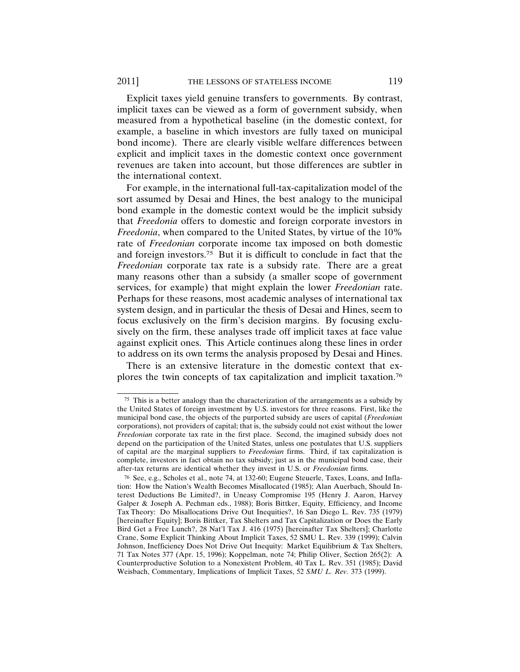Explicit taxes yield genuine transfers to governments. By contrast, implicit taxes can be viewed as a form of government subsidy, when measured from a hypothetical baseline (in the domestic context, for example, a baseline in which investors are fully taxed on municipal bond income). There are clearly visible welfare differences between explicit and implicit taxes in the domestic context once government revenues are taken into account, but those differences are subtler in the international context.

For example, in the international full-tax-capitalization model of the sort assumed by Desai and Hines, the best analogy to the municipal bond example in the domestic context would be the implicit subsidy that *Freedonia* offers to domestic and foreign corporate investors in *Freedonia*, when compared to the United States, by virtue of the 10% rate of *Freedonian* corporate income tax imposed on both domestic and foreign investors.75 But it is difficult to conclude in fact that the *Freedonian* corporate tax rate is a subsidy rate. There are a great many reasons other than a subsidy (a smaller scope of government services, for example) that might explain the lower *Freedonian* rate. Perhaps for these reasons, most academic analyses of international tax system design, and in particular the thesis of Desai and Hines, seem to focus exclusively on the firm's decision margins. By focusing exclusively on the firm, these analyses trade off implicit taxes at face value against explicit ones. This Article continues along these lines in order to address on its own terms the analysis proposed by Desai and Hines.

There is an extensive literature in the domestic context that explores the twin concepts of tax capitalization and implicit taxation.76

<sup>75</sup> This is a better analogy than the characterization of the arrangements as a subsidy by the United States of foreign investment by U.S. investors for three reasons. First, like the municipal bond case, the objects of the purported subsidy are users of capital (*Freedonian* corporations), not providers of capital; that is, the subsidy could not exist without the lower *Freedonian* corporate tax rate in the first place. Second, the imagined subsidy does not depend on the participation of the United States, unless one postulates that U.S. suppliers of capital are the marginal suppliers to *Freedonian* firms. Third, if tax capitalization is complete, investors in fact obtain no tax subsidy; just as in the municipal bond case, their after-tax returns are identical whether they invest in U.S. or *Freedonian* firms.

<sup>76</sup> See, e.g., Scholes et al., note 74, at 132-60; Eugene Steuerle, Taxes, Loans, and Inflation: How the Nation's Wealth Becomes Misallocated (1985); Alan Auerbach, Should Interest Deductions Be Limited?, in Uneasy Compromise 195 (Henry J. Aaron, Harvey Galper & Joseph A. Pechman eds., 1988); Boris Bittker, Equity, Efficiency, and Income Tax Theory: Do Misallocations Drive Out Inequities?, 16 San Diego L. Rev. 735 (1979) [hereinafter Equity]; Boris Bittker, Tax Shelters and Tax Capitalization or Does the Early Bird Get a Free Lunch?, 28 Nat'l Tax J. 416 (1975) [hereinafter Tax Shelters]; Charlotte Crane, Some Explicit Thinking About Implicit Taxes, 52 SMU L. Rev. 339 (1999); Calvin Johnson, Inefficiency Does Not Drive Out Inequity: Market Equilibrium & Tax Shelters, 71 Tax Notes 377 (Apr. 15, 1996); Koppelman, note 74; Philip Oliver, Section 265(2): A Counterproductive Solution to a Nonexistent Problem, 40 Tax L. Rev. 351 (1985); David Weisbach, Commentary, Implications of Implicit Taxes, 52 *SMU L. Rev.* 373 (1999).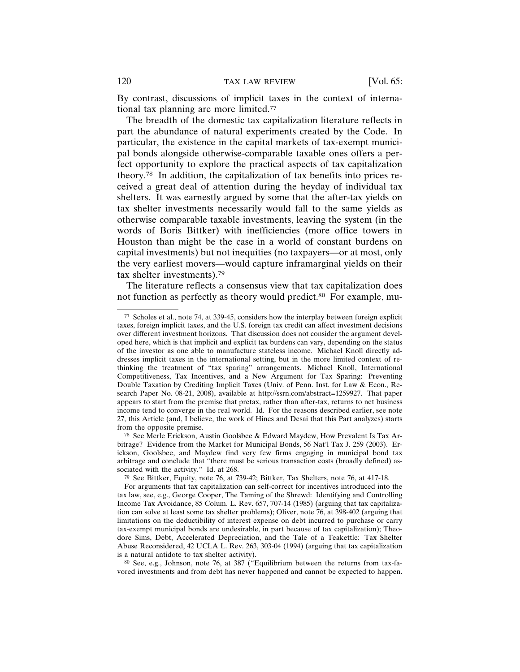By contrast, discussions of implicit taxes in the context of international tax planning are more limited.77

The breadth of the domestic tax capitalization literature reflects in part the abundance of natural experiments created by the Code. In particular, the existence in the capital markets of tax-exempt municipal bonds alongside otherwise-comparable taxable ones offers a perfect opportunity to explore the practical aspects of tax capitalization theory.78 In addition, the capitalization of tax benefits into prices received a great deal of attention during the heyday of individual tax shelters. It was earnestly argued by some that the after-tax yields on tax shelter investments necessarily would fall to the same yields as otherwise comparable taxable investments, leaving the system (in the words of Boris Bittker) with inefficiencies (more office towers in Houston than might be the case in a world of constant burdens on capital investments) but not inequities (no taxpayers—or at most, only the very earliest movers—would capture inframarginal yields on their tax shelter investments).79

The literature reflects a consensus view that tax capitalization does not function as perfectly as theory would predict.<sup>80</sup> For example, mu-

<sup>80</sup> See, e.g., Johnson, note 76, at 387 ("Equilibrium between the returns from tax-favored investments and from debt has never happened and cannot be expected to happen.

<sup>77</sup> Scholes et al., note 74, at 339-45, considers how the interplay between foreign explicit taxes, foreign implicit taxes, and the U.S. foreign tax credit can affect investment decisions over different investment horizons. That discussion does not consider the argument developed here, which is that implicit and explicit tax burdens can vary, depending on the status of the investor as one able to manufacture stateless income. Michael Knoll directly addresses implicit taxes in the international setting, but in the more limited context of rethinking the treatment of "tax sparing" arrangements. Michael Knoll, International Competitiveness, Tax Incentives, and a New Argument for Tax Sparing: Preventing Double Taxation by Crediting Implicit Taxes (Univ. of Penn. Inst. for Law & Econ., Research Paper No. 08-21, 2008), available at http://ssrn.com/abstract=1259927. That paper appears to start from the premise that pretax, rather than after-tax, returns to net business income tend to converge in the real world. Id. For the reasons described earlier, see note 27, this Article (and, I believe, the work of Hines and Desai that this Part analyzes) starts from the opposite premise.

<sup>78</sup> See Merle Erickson, Austin Goolsbee & Edward Maydew, How Prevalent Is Tax Arbitrage? Evidence from the Market for Municipal Bonds, 56 Nat'l Tax J. 259 (2003). Erickson, Goolsbee, and Maydew find very few firms engaging in municipal bond tax arbitrage and conclude that "there must be serious transaction costs (broadly defined) associated with the activity." Id. at 268.

<sup>79</sup> See Bittker, Equity, note 76, at 739-42; Bittker, Tax Shelters, note 76, at 417-18.

For arguments that tax capitalization can self-correct for incentives introduced into the tax law, see, e.g., George Cooper, The Taming of the Shrewd: Identifying and Controlling Income Tax Avoidance, 85 Colum. L. Rev. 657, 707-14 (1985) (arguing that tax capitalization can solve at least some tax shelter problems); Oliver, note 76, at 398-402 (arguing that limitations on the deductibility of interest expense on debt incurred to purchase or carry tax-exempt municipal bonds are undesirable, in part because of tax capitalization); Theodore Sims, Debt, Accelerated Depreciation, and the Tale of a Teakettle: Tax Shelter Abuse Reconsidered, 42 UCLA L. Rev. 263, 303-04 (1994) (arguing that tax capitalization is a natural antidote to tax shelter activity).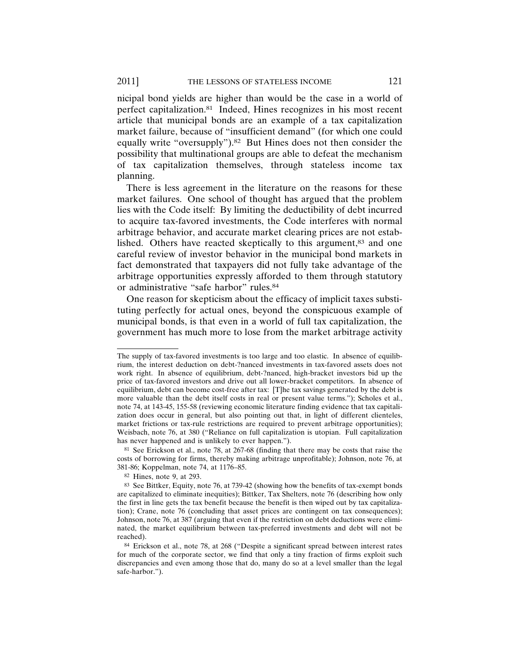nicipal bond yields are higher than would be the case in a world of perfect capitalization.81 Indeed, Hines recognizes in his most recent article that municipal bonds are an example of a tax capitalization market failure, because of "insufficient demand" (for which one could equally write "oversupply").82 But Hines does not then consider the possibility that multinational groups are able to defeat the mechanism of tax capitalization themselves, through stateless income tax planning.

There is less agreement in the literature on the reasons for these market failures. One school of thought has argued that the problem lies with the Code itself: By limiting the deductibility of debt incurred to acquire tax-favored investments, the Code interferes with normal arbitrage behavior, and accurate market clearing prices are not established. Others have reacted skeptically to this argument,<sup>83</sup> and one careful review of investor behavior in the municipal bond markets in fact demonstrated that taxpayers did not fully take advantage of the arbitrage opportunities expressly afforded to them through statutory or administrative "safe harbor" rules.84

One reason for skepticism about the efficacy of implicit taxes substituting perfectly for actual ones, beyond the conspicuous example of municipal bonds, is that even in a world of full tax capitalization, the government has much more to lose from the market arbitrage activity

The supply of tax-favored investments is too large and too elastic. In absence of equilibrium, the interest deduction on debt-?nanced investments in tax-favored assets does not work right. In absence of equilibrium, debt-?nanced, high-bracket investors bid up the price of tax-favored investors and drive out all lower-bracket competitors. In absence of equilibrium, debt can become cost-free after tax: [T]he tax savings generated by the debt is more valuable than the debt itself costs in real or present value terms."); Scholes et al., note 74, at 143-45, 155-58 (reviewing economic literature finding evidence that tax capitalization does occur in general, but also pointing out that, in light of different clienteles, market frictions or tax-rule restrictions are required to prevent arbitrage opportunities); Weisbach, note 76, at 380 ("Reliance on full capitalization is utopian. Full capitalization has never happened and is unlikely to ever happen.").

<sup>81</sup> See Erickson et al., note 78, at 267-68 (finding that there may be costs that raise the costs of borrowing for firms, thereby making arbitrage unprofitable); Johnson, note 76, at 381-86; Koppelman, note 74, at 1176–85.

<sup>82</sup> Hines, note 9, at 293.

<sup>83</sup> See Bittker, Equity, note 76, at 739-42 (showing how the benefits of tax-exempt bonds are capitalized to eliminate inequities); Bittker, Tax Shelters, note 76 (describing how only the first in line gets the tax benefit because the benefit is then wiped out by tax capitalization); Crane, note 76 (concluding that asset prices are contingent on tax consequences); Johnson, note 76, at 387 (arguing that even if the restriction on debt deductions were eliminated, the market equilibrium between tax-preferred investments and debt will not be reached).

<sup>84</sup> Erickson et al., note 78, at 268 ("Despite a significant spread between interest rates for much of the corporate sector, we find that only a tiny fraction of firms exploit such discrepancies and even among those that do, many do so at a level smaller than the legal safe-harbor.").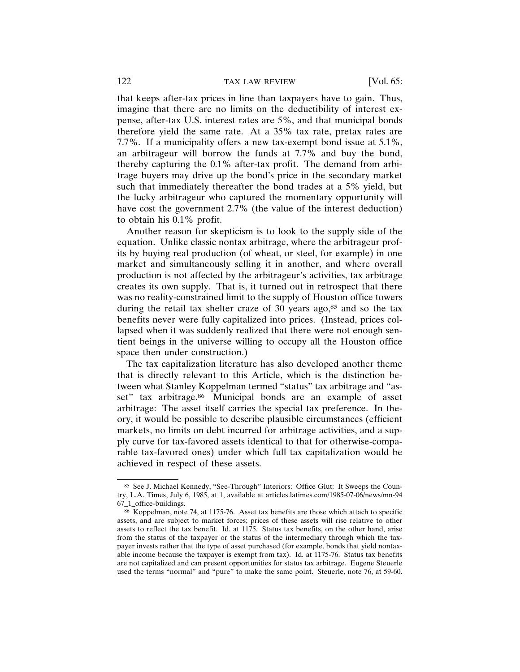that keeps after-tax prices in line than taxpayers have to gain. Thus, imagine that there are no limits on the deductibility of interest expense, after-tax U.S. interest rates are 5%, and that municipal bonds therefore yield the same rate. At a 35% tax rate, pretax rates are 7.7%. If a municipality offers a new tax-exempt bond issue at 5.1%, an arbitrageur will borrow the funds at 7.7% and buy the bond, thereby capturing the 0.1% after-tax profit. The demand from arbitrage buyers may drive up the bond's price in the secondary market such that immediately thereafter the bond trades at a 5% yield, but the lucky arbitrageur who captured the momentary opportunity will have cost the government 2.7% (the value of the interest deduction) to obtain his 0.1% profit.

Another reason for skepticism is to look to the supply side of the equation. Unlike classic nontax arbitrage, where the arbitrageur profits by buying real production (of wheat, or steel, for example) in one market and simultaneously selling it in another, and where overall production is not affected by the arbitrageur's activities, tax arbitrage creates its own supply. That is, it turned out in retrospect that there was no reality-constrained limit to the supply of Houston office towers during the retail tax shelter craze of 30 years ago, $85$  and so the tax benefits never were fully capitalized into prices. (Instead, prices collapsed when it was suddenly realized that there were not enough sentient beings in the universe willing to occupy all the Houston office space then under construction.)

The tax capitalization literature has also developed another theme that is directly relevant to this Article, which is the distinction between what Stanley Koppelman termed "status" tax arbitrage and "asset" tax arbitrage.<sup>86</sup> Municipal bonds are an example of asset arbitrage: The asset itself carries the special tax preference. In theory, it would be possible to describe plausible circumstances (efficient markets, no limits on debt incurred for arbitrage activities, and a supply curve for tax-favored assets identical to that for otherwise-comparable tax-favored ones) under which full tax capitalization would be achieved in respect of these assets.

<sup>85</sup> See J. Michael Kennedy, "See-Through" Interiors: Office Glut: It Sweeps the Country, L.A. Times, July 6, 1985, at 1, available at articles.latimes.com/1985-07-06/news/mn-94 67\_1\_office-buildings.

<sup>86</sup> Koppelman, note 74, at 1175-76. Asset tax benefits are those which attach to specific assets, and are subject to market forces; prices of these assets will rise relative to other assets to reflect the tax benefit. Id. at 1175. Status tax benefits, on the other hand, arise from the status of the taxpayer or the status of the intermediary through which the taxpayer invests rather that the type of asset purchased (for example, bonds that yield nontaxable income because the taxpayer is exempt from tax). Id. at 1175-76. Status tax benefits are not capitalized and can present opportunities for status tax arbitrage. Eugene Steuerle used the terms "normal" and "pure" to make the same point. Steuerle, note 76, at 59-60.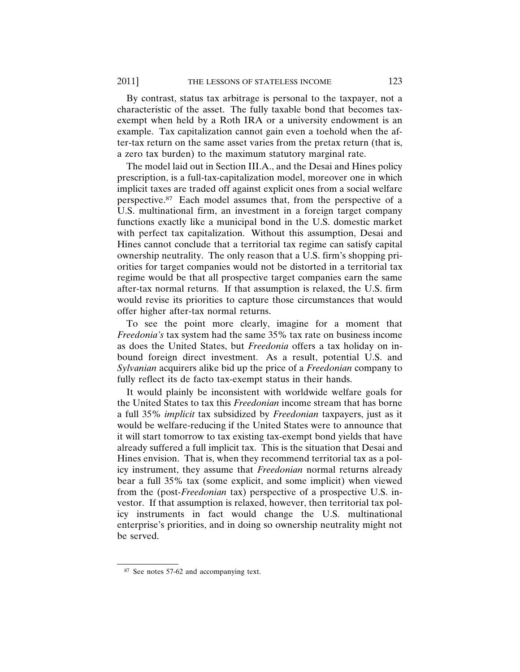By contrast, status tax arbitrage is personal to the taxpayer, not a characteristic of the asset. The fully taxable bond that becomes taxexempt when held by a Roth IRA or a university endowment is an example. Tax capitalization cannot gain even a toehold when the after-tax return on the same asset varies from the pretax return (that is, a zero tax burden) to the maximum statutory marginal rate.

The model laid out in Section III.A., and the Desai and Hines policy prescription, is a full-tax-capitalization model, moreover one in which implicit taxes are traded off against explicit ones from a social welfare perspective.87 Each model assumes that, from the perspective of a U.S. multinational firm, an investment in a foreign target company functions exactly like a municipal bond in the U.S. domestic market with perfect tax capitalization. Without this assumption, Desai and Hines cannot conclude that a territorial tax regime can satisfy capital ownership neutrality. The only reason that a U.S. firm's shopping priorities for target companies would not be distorted in a territorial tax regime would be that all prospective target companies earn the same after-tax normal returns. If that assumption is relaxed, the U.S. firm would revise its priorities to capture those circumstances that would offer higher after-tax normal returns.

To see the point more clearly, imagine for a moment that *Freedonia's* tax system had the same 35% tax rate on business income as does the United States, but *Freedonia* offers a tax holiday on inbound foreign direct investment. As a result, potential U.S. and *Sylvanian* acquirers alike bid up the price of a *Freedonian* company to fully reflect its de facto tax-exempt status in their hands.

It would plainly be inconsistent with worldwide welfare goals for the United States to tax this *Freedonian* income stream that has borne a full 35% *implicit* tax subsidized by *Freedonian* taxpayers, just as it would be welfare-reducing if the United States were to announce that it will start tomorrow to tax existing tax-exempt bond yields that have already suffered a full implicit tax. This is the situation that Desai and Hines envision. That is, when they recommend territorial tax as a policy instrument, they assume that *Freedonian* normal returns already bear a full 35% tax (some explicit, and some implicit) when viewed from the (post-*Freedonian* tax) perspective of a prospective U.S. investor. If that assumption is relaxed, however, then territorial tax policy instruments in fact would change the U.S. multinational enterprise's priorities, and in doing so ownership neutrality might not be served.

<sup>87</sup> See notes 57-62 and accompanying text.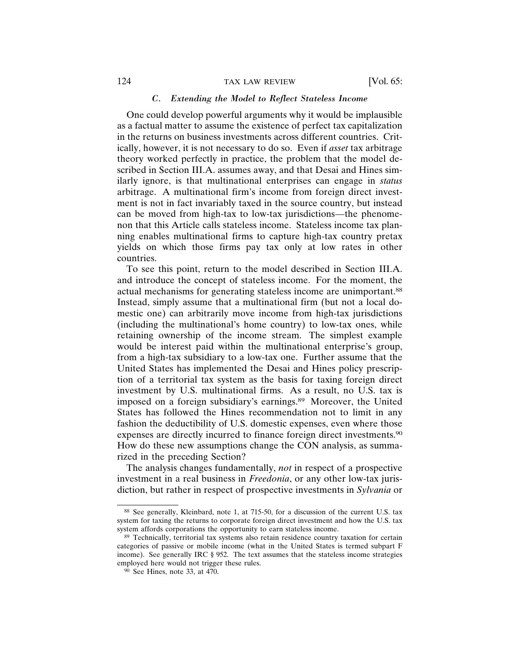# *C. Extending the Model to Reflect Stateless Income*

One could develop powerful arguments why it would be implausible as a factual matter to assume the existence of perfect tax capitalization in the returns on business investments across different countries. Critically, however, it is not necessary to do so. Even if *asset* tax arbitrage theory worked perfectly in practice, the problem that the model described in Section III.A. assumes away, and that Desai and Hines similarly ignore, is that multinational enterprises can engage in *status* arbitrage. A multinational firm's income from foreign direct investment is not in fact invariably taxed in the source country, but instead can be moved from high-tax to low-tax jurisdictions—the phenomenon that this Article calls stateless income. Stateless income tax planning enables multinational firms to capture high-tax country pretax yields on which those firms pay tax only at low rates in other countries.

To see this point, return to the model described in Section III.A. and introduce the concept of stateless income. For the moment, the actual mechanisms for generating stateless income are unimportant.88 Instead, simply assume that a multinational firm (but not a local domestic one) can arbitrarily move income from high-tax jurisdictions (including the multinational's home country) to low-tax ones, while retaining ownership of the income stream. The simplest example would be interest paid within the multinational enterprise's group, from a high-tax subsidiary to a low-tax one. Further assume that the United States has implemented the Desai and Hines policy prescription of a territorial tax system as the basis for taxing foreign direct investment by U.S. multinational firms. As a result, no U.S. tax is imposed on a foreign subsidiary's earnings.89 Moreover, the United States has followed the Hines recommendation not to limit in any fashion the deductibility of U.S. domestic expenses, even where those expenses are directly incurred to finance foreign direct investments.90 How do these new assumptions change the CON analysis, as summarized in the preceding Section?

The analysis changes fundamentally, *not* in respect of a prospective investment in a real business in *Freedonia*, or any other low-tax jurisdiction, but rather in respect of prospective investments in *Sylvania* or

<sup>88</sup> See generally, Kleinbard, note 1, at 715-50, for a discussion of the current U.S. tax system for taxing the returns to corporate foreign direct investment and how the U.S. tax system affords corporations the opportunity to earn stateless income.

<sup>89</sup> Technically, territorial tax systems also retain residence country taxation for certain categories of passive or mobile income (what in the United States is termed subpart F income). See generally IRC § 952. The text assumes that the stateless income strategies employed here would not trigger these rules.

<sup>90</sup> See Hines, note 33, at 470.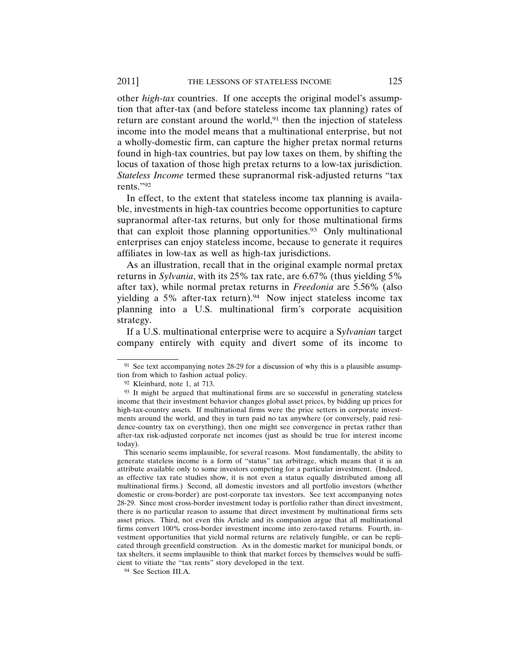other *high-tax* countries. If one accepts the original model's assumption that after-tax (and before stateless income tax planning) rates of return are constant around the world,<sup>91</sup> then the injection of stateless income into the model means that a multinational enterprise, but not a wholly-domestic firm, can capture the higher pretax normal returns found in high-tax countries, but pay low taxes on them, by shifting the locus of taxation of those high pretax returns to a low-tax jurisdiction. *Stateless Income* termed these supranormal risk-adjusted returns "tax rents."92

In effect, to the extent that stateless income tax planning is available, investments in high-tax countries become opportunities to capture supranormal after-tax returns, but only for those multinational firms that can exploit those planning opportunities.93 Only multinational enterprises can enjoy stateless income, because to generate it requires affiliates in low-tax as well as high-tax jurisdictions.

As an illustration, recall that in the original example normal pretax returns in *Sylvania*, with its 25% tax rate, are 6.67% (thus yielding 5% after tax), while normal pretax returns in *Freedonia* are 5.56% (also yielding a 5% after-tax return).<sup>94</sup> Now inject stateless income tax planning into a U.S. multinational firm's corporate acquisition strategy.

If a U.S. multinational enterprise were to acquire a S*ylvanian* target company entirely with equity and divert some of its income to

<sup>94</sup> See Section III.A.

<sup>91</sup> See text accompanying notes 28-29 for a discussion of why this is a plausible assumption from which to fashion actual policy.

<sup>92</sup> Kleinbard, note 1, at 713.

<sup>&</sup>lt;sup>93</sup> It might be argued that multinational firms are so successful in generating stateless income that their investment behavior changes global asset prices, by bidding up prices for high-tax-country assets. If multinational firms were the price setters in corporate investments around the world, and they in turn paid no tax anywhere (or conversely, paid residence-country tax on everything), then one might see convergence in pretax rather than after-tax risk-adjusted corporate net incomes (just as should be true for interest income today).

This scenario seems implausible, for several reasons. Most fundamentally, the ability to generate stateless income is a form of "status" tax arbitrage, which means that it is an attribute available only to some investors competing for a particular investment. (Indeed, as effective tax rate studies show, it is not even a status equally distributed among all multinational firms.) Second, all domestic investors and all portfolio investors (whether domestic or cross-border) are post-corporate tax investors. See text accompanying notes 28-29. Since most cross-border investment today is portfolio rather than direct investment, there is no particular reason to assume that direct investment by multinational firms sets asset prices. Third, not even this Article and its companion argue that all multinational firms convert 100% cross-border investment income into zero-taxed returns. Fourth, investment opportunities that yield normal returns are relatively fungible, or can be replicated through greenfield construction. As in the domestic market for municipal bonds, or tax shelters, it seems implausible to think that market forces by themselves would be sufficient to vitiate the "tax rents" story developed in the text.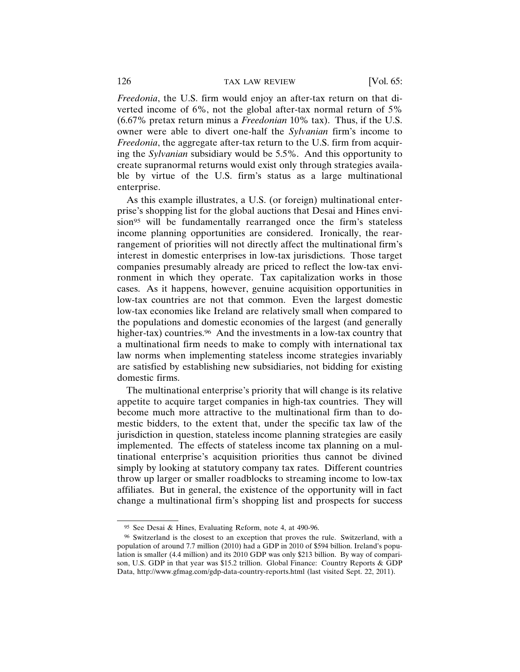*Freedonia*, the U.S. firm would enjoy an after-tax return on that diverted income of 6%, not the global after-tax normal return of 5% (6.67% pretax return minus a *Freedonian* 10% tax). Thus, if the U.S. owner were able to divert one-half the *Sylvanian* firm's income to *Freedonia*, the aggregate after-tax return to the U.S. firm from acquiring the *Sylvanian* subsidiary would be 5.5%. And this opportunity to create supranormal returns would exist only through strategies available by virtue of the U.S. firm's status as a large multinational enterprise.

As this example illustrates, a U.S. (or foreign) multinational enterprise's shopping list for the global auctions that Desai and Hines envision<sup>95</sup> will be fundamentally rearranged once the firm's stateless income planning opportunities are considered. Ironically, the rearrangement of priorities will not directly affect the multinational firm's interest in domestic enterprises in low-tax jurisdictions. Those target companies presumably already are priced to reflect the low-tax environment in which they operate. Tax capitalization works in those cases. As it happens, however, genuine acquisition opportunities in low-tax countries are not that common. Even the largest domestic low-tax economies like Ireland are relatively small when compared to the populations and domestic economies of the largest (and generally higher-tax) countries.<sup>96</sup> And the investments in a low-tax country that a multinational firm needs to make to comply with international tax law norms when implementing stateless income strategies invariably are satisfied by establishing new subsidiaries, not bidding for existing domestic firms.

The multinational enterprise's priority that will change is its relative appetite to acquire target companies in high-tax countries. They will become much more attractive to the multinational firm than to domestic bidders, to the extent that, under the specific tax law of the jurisdiction in question, stateless income planning strategies are easily implemented. The effects of stateless income tax planning on a multinational enterprise's acquisition priorities thus cannot be divined simply by looking at statutory company tax rates. Different countries throw up larger or smaller roadblocks to streaming income to low-tax affiliates. But in general, the existence of the opportunity will in fact change a multinational firm's shopping list and prospects for success

<sup>95</sup> See Desai & Hines, Evaluating Reform, note 4, at 490-96.

<sup>96</sup> Switzerland is the closest to an exception that proves the rule. Switzerland, with a population of around 7.7 million (2010) had a GDP in 2010 of \$594 billion. Ireland's population is smaller (4.4 million) and its 2010 GDP was only \$213 billion. By way of comparison, U.S. GDP in that year was \$15.2 trillion. Global Finance: Country Reports & GDP Data, http://www.gfmag.com/gdp-data-country-reports.html (last visited Sept. 22, 2011).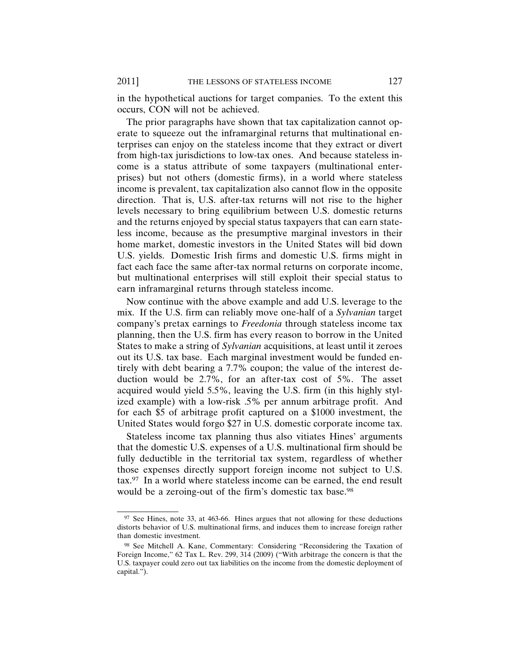in the hypothetical auctions for target companies. To the extent this occurs, CON will not be achieved.

The prior paragraphs have shown that tax capitalization cannot operate to squeeze out the inframarginal returns that multinational enterprises can enjoy on the stateless income that they extract or divert from high-tax jurisdictions to low-tax ones. And because stateless income is a status attribute of some taxpayers (multinational enterprises) but not others (domestic firms), in a world where stateless income is prevalent, tax capitalization also cannot flow in the opposite direction. That is, U.S. after-tax returns will not rise to the higher levels necessary to bring equilibrium between U.S. domestic returns and the returns enjoyed by special status taxpayers that can earn stateless income, because as the presumptive marginal investors in their home market, domestic investors in the United States will bid down U.S. yields. Domestic Irish firms and domestic U.S. firms might in fact each face the same after-tax normal returns on corporate income, but multinational enterprises will still exploit their special status to earn inframarginal returns through stateless income.

Now continue with the above example and add U.S. leverage to the mix. If the U.S. firm can reliably move one-half of a *Sylvanian* target company's pretax earnings to *Freedonia* through stateless income tax planning, then the U.S. firm has every reason to borrow in the United States to make a string of *Sylvanian* acquisitions, at least until it zeroes out its U.S. tax base. Each marginal investment would be funded entirely with debt bearing a 7.7% coupon; the value of the interest deduction would be 2.7%, for an after-tax cost of 5%. The asset acquired would yield 5.5%, leaving the U.S. firm (in this highly stylized example) with a low-risk .5% per annum arbitrage profit. And for each \$5 of arbitrage profit captured on a \$1000 investment, the United States would forgo \$27 in U.S. domestic corporate income tax.

Stateless income tax planning thus also vitiates Hines' arguments that the domestic U.S. expenses of a U.S. multinational firm should be fully deductible in the territorial tax system, regardless of whether those expenses directly support foreign income not subject to U.S. tax.97 In a world where stateless income can be earned, the end result would be a zeroing-out of the firm's domestic tax base.<sup>98</sup>

<sup>97</sup> See Hines, note 33, at 463-66. Hines argues that not allowing for these deductions distorts behavior of U.S. multinational firms, and induces them to increase foreign rather than domestic investment.

<sup>98</sup> See Mitchell A. Kane, Commentary: Considering "Reconsidering the Taxation of Foreign Income," 62 Tax L. Rev. 299, 314 (2009) ("With arbitrage the concern is that the U.S. taxpayer could zero out tax liabilities on the income from the domestic deployment of capital.").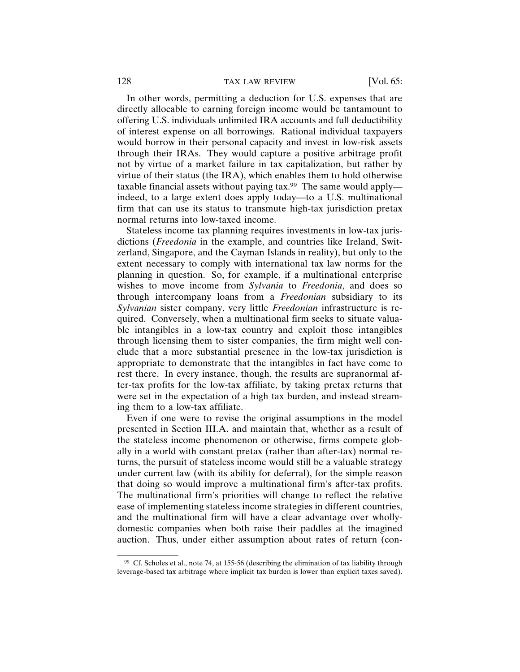In other words, permitting a deduction for U.S. expenses that are directly allocable to earning foreign income would be tantamount to offering U.S. individuals unlimited IRA accounts and full deductibility of interest expense on all borrowings. Rational individual taxpayers would borrow in their personal capacity and invest in low-risk assets through their IRAs. They would capture a positive arbitrage profit not by virtue of a market failure in tax capitalization, but rather by virtue of their status (the IRA), which enables them to hold otherwise taxable financial assets without paying tax.99 The same would apply indeed, to a large extent does apply today—to a U.S. multinational firm that can use its status to transmute high-tax jurisdiction pretax normal returns into low-taxed income.

Stateless income tax planning requires investments in low-tax jurisdictions (*Freedonia* in the example, and countries like Ireland, Switzerland, Singapore, and the Cayman Islands in reality), but only to the extent necessary to comply with international tax law norms for the planning in question. So, for example, if a multinational enterprise wishes to move income from *Sylvania* to *Freedonia*, and does so through intercompany loans from a *Freedonian* subsidiary to its *Sylvanian* sister company, very little *Freedonian* infrastructure is required. Conversely, when a multinational firm seeks to situate valuable intangibles in a low-tax country and exploit those intangibles through licensing them to sister companies, the firm might well conclude that a more substantial presence in the low-tax jurisdiction is appropriate to demonstrate that the intangibles in fact have come to rest there. In every instance, though, the results are supranormal after-tax profits for the low-tax affiliate, by taking pretax returns that were set in the expectation of a high tax burden, and instead streaming them to a low-tax affiliate.

Even if one were to revise the original assumptions in the model presented in Section III.A. and maintain that, whether as a result of the stateless income phenomenon or otherwise, firms compete globally in a world with constant pretax (rather than after-tax) normal returns, the pursuit of stateless income would still be a valuable strategy under current law (with its ability for deferral), for the simple reason that doing so would improve a multinational firm's after-tax profits. The multinational firm's priorities will change to reflect the relative ease of implementing stateless income strategies in different countries, and the multinational firm will have a clear advantage over whollydomestic companies when both raise their paddles at the imagined auction. Thus, under either assumption about rates of return (con-

<sup>&</sup>lt;sup>99</sup> Cf. Scholes et al., note 74, at 155-56 (describing the elimination of tax liability through leverage-based tax arbitrage where implicit tax burden is lower than explicit taxes saved).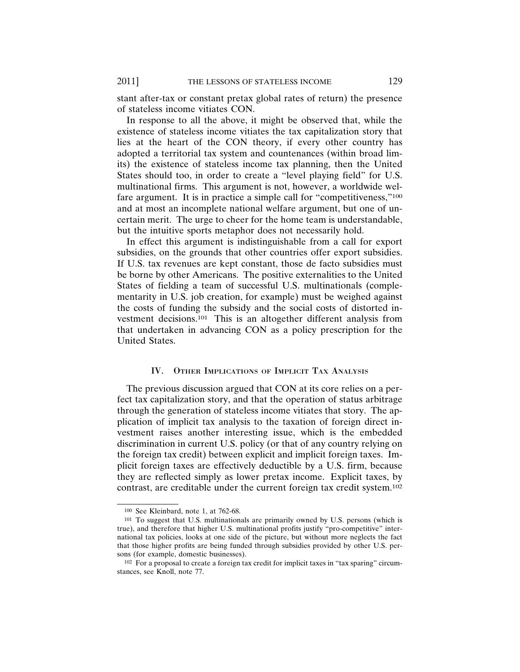stant after-tax or constant pretax global rates of return) the presence of stateless income vitiates CON.

In response to all the above, it might be observed that, while the existence of stateless income vitiates the tax capitalization story that lies at the heart of the CON theory, if every other country has adopted a territorial tax system and countenances (within broad limits) the existence of stateless income tax planning, then the United States should too, in order to create a "level playing field" for U.S. multinational firms. This argument is not, however, a worldwide welfare argument. It is in practice a simple call for "competitiveness,"<sup>100</sup> and at most an incomplete national welfare argument, but one of uncertain merit. The urge to cheer for the home team is understandable, but the intuitive sports metaphor does not necessarily hold.

In effect this argument is indistinguishable from a call for export subsidies, on the grounds that other countries offer export subsidies. If U.S. tax revenues are kept constant, those de facto subsidies must be borne by other Americans. The positive externalities to the United States of fielding a team of successful U.S. multinationals (complementarity in U.S. job creation, for example) must be weighed against the costs of funding the subsidy and the social costs of distorted investment decisions.101 This is an altogether different analysis from that undertaken in advancing CON as a policy prescription for the United States.

# IV. OTHER IMPLICATIONS OF IMPLICIT TAX ANALYSIS

The previous discussion argued that CON at its core relies on a perfect tax capitalization story, and that the operation of status arbitrage through the generation of stateless income vitiates that story. The application of implicit tax analysis to the taxation of foreign direct investment raises another interesting issue, which is the embedded discrimination in current U.S. policy (or that of any country relying on the foreign tax credit) between explicit and implicit foreign taxes. Implicit foreign taxes are effectively deductible by a U.S. firm, because they are reflected simply as lower pretax income. Explicit taxes, by contrast, are creditable under the current foreign tax credit system.102

<sup>100</sup> See Kleinbard, note 1, at 762-68.

<sup>101</sup> To suggest that U.S. multinationals are primarily owned by U.S. persons (which is true), and therefore that higher U.S. multinational profits justify "pro-competitive" international tax policies, looks at one side of the picture, but without more neglects the fact that those higher profits are being funded through subsidies provided by other U.S. persons (for example, domestic businesses).

<sup>102</sup> For a proposal to create a foreign tax credit for implicit taxes in "tax sparing" circumstances, see Knoll, note 77.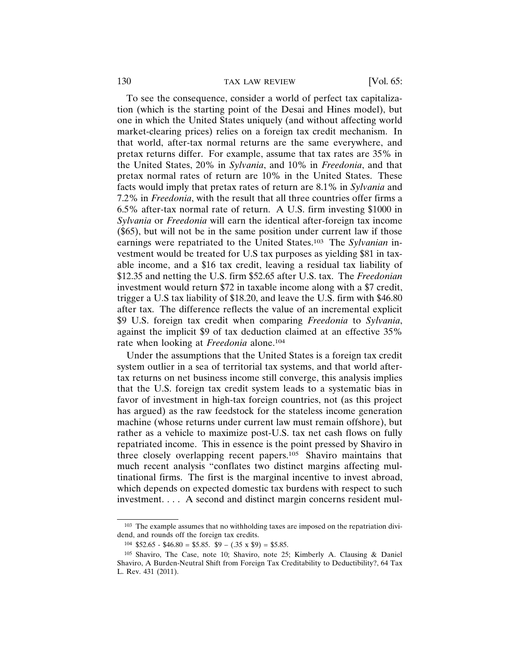To see the consequence, consider a world of perfect tax capitalization (which is the starting point of the Desai and Hines model), but one in which the United States uniquely (and without affecting world market-clearing prices) relies on a foreign tax credit mechanism. In that world, after-tax normal returns are the same everywhere, and pretax returns differ. For example, assume that tax rates are 35% in the United States, 20% in *Sylvania*, and 10% in *Freedonia*, and that pretax normal rates of return are 10% in the United States. These facts would imply that pretax rates of return are 8.1% in *Sylvania* and 7.2% in *Freedonia*, with the result that all three countries offer firms a 6.5% after-tax normal rate of return. A U.S. firm investing \$1000 in *Sylvania* or *Freedonia* will earn the identical after-foreign tax income (\$65), but will not be in the same position under current law if those earnings were repatriated to the United States.103 The *Sylvanian* investment would be treated for U.S tax purposes as yielding \$81 in taxable income, and a \$16 tax credit, leaving a residual tax liability of \$12.35 and netting the U.S. firm \$52.65 after U.S. tax. The *Freedonian* investment would return \$72 in taxable income along with a \$7 credit, trigger a U.S tax liability of \$18.20, and leave the U.S. firm with \$46.80 after tax. The difference reflects the value of an incremental explicit \$9 U.S. foreign tax credit when comparing *Freedonia* to *Sylvania*, against the implicit \$9 of tax deduction claimed at an effective 35% rate when looking at *Freedonia* alone.104

Under the assumptions that the United States is a foreign tax credit system outlier in a sea of territorial tax systems, and that world aftertax returns on net business income still converge, this analysis implies that the U.S. foreign tax credit system leads to a systematic bias in favor of investment in high-tax foreign countries, not (as this project has argued) as the raw feedstock for the stateless income generation machine (whose returns under current law must remain offshore), but rather as a vehicle to maximize post-U.S. tax net cash flows on fully repatriated income. This in essence is the point pressed by Shaviro in three closely overlapping recent papers.105 Shaviro maintains that much recent analysis "conflates two distinct margins affecting multinational firms. The first is the marginal incentive to invest abroad, which depends on expected domestic tax burdens with respect to such investment. . . . A second and distinct margin concerns resident mul-

<sup>103</sup> The example assumes that no withholding taxes are imposed on the repatriation dividend, and rounds off the foreign tax credits.

<sup>104</sup>  $$52.65 - $46.80 = $5.85$ .  $$9 - (.35 \times $9) = $5.85$ .

<sup>105</sup> Shaviro, The Case, note 10; Shaviro, note 25; Kimberly A. Clausing & Daniel Shaviro, A Burden-Neutral Shift from Foreign Tax Creditability to Deductibility?, 64 Tax L. Rev. 431 (2011).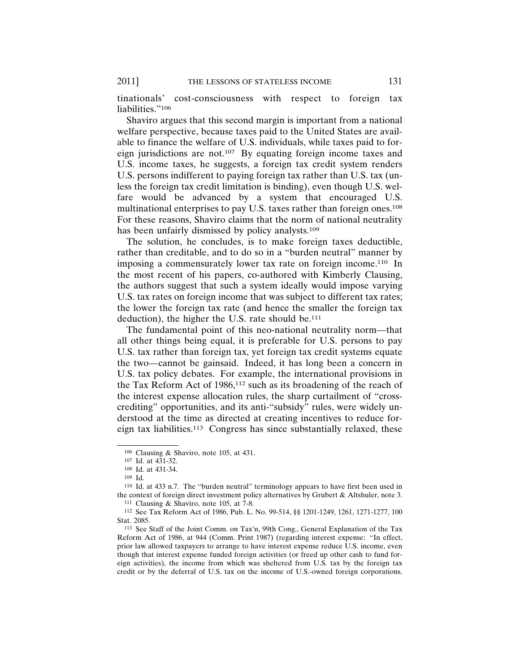tinationals' cost-consciousness with respect to foreign tax liabilities."<sup>106</sup>

Shaviro argues that this second margin is important from a national welfare perspective, because taxes paid to the United States are available to finance the welfare of U.S. individuals, while taxes paid to foreign jurisdictions are not.107 By equating foreign income taxes and U.S. income taxes, he suggests, a foreign tax credit system renders U.S. persons indifferent to paying foreign tax rather than U.S. tax (unless the foreign tax credit limitation is binding), even though U.S. welfare would be advanced by a system that encouraged U.S. multinational enterprises to pay U.S. taxes rather than foreign ones.108 For these reasons, Shaviro claims that the norm of national neutrality has been unfairly dismissed by policy analysts.<sup>109</sup>

The solution, he concludes, is to make foreign taxes deductible, rather than creditable, and to do so in a "burden neutral" manner by imposing a commensurately lower tax rate on foreign income.110 In the most recent of his papers, co-authored with Kimberly Clausing, the authors suggest that such a system ideally would impose varying U.S. tax rates on foreign income that was subject to different tax rates; the lower the foreign tax rate (and hence the smaller the foreign tax deduction), the higher the U.S. rate should be.<sup>111</sup>

The fundamental point of this neo-national neutrality norm—that all other things being equal, it is preferable for U.S. persons to pay U.S. tax rather than foreign tax, yet foreign tax credit systems equate the two—cannot be gainsaid. Indeed, it has long been a concern in U.S. tax policy debates. For example, the international provisions in the Tax Reform Act of 1986,112 such as its broadening of the reach of the interest expense allocation rules, the sharp curtailment of "crosscrediting" opportunities, and its anti-"subsidy" rules, were widely understood at the time as directed at creating incentives to reduce foreign tax liabilities.113 Congress has since substantially relaxed, these

<sup>106</sup> Clausing & Shaviro, note 105, at 431.

<sup>107</sup> Id. at 431-32.

<sup>108</sup> Id. at 431-34.

<sup>109</sup> Id.

<sup>110</sup> Id. at 433 n.7. The "burden neutral" terminology appears to have first been used in the context of foreign direct investment policy alternatives by Grubert & Altshuler, note 3.

<sup>111</sup> Clausing & Shaviro, note 105, at 7-8.

<sup>112</sup> See Tax Reform Act of 1986, Pub. L. No. 99-514, §§ 1201-1249, 1261, 1271-1277, 100 Stat. 2085.

<sup>113</sup> See Staff of the Joint Comm. on Tax'n, 99th Cong., General Explanation of the Tax Reform Act of 1986, at 944 (Comm. Print 1987) (regarding interest expense: "In effect, prior law allowed taxpayers to arrange to have interest expense reduce U.S. income, even though that interest expense funded foreign activities (or freed up other cash to fund foreign activities), the income from which was sheltered from U.S. tax by the foreign tax credit or by the deferral of U.S. tax on the income of U.S.-owned foreign corporations.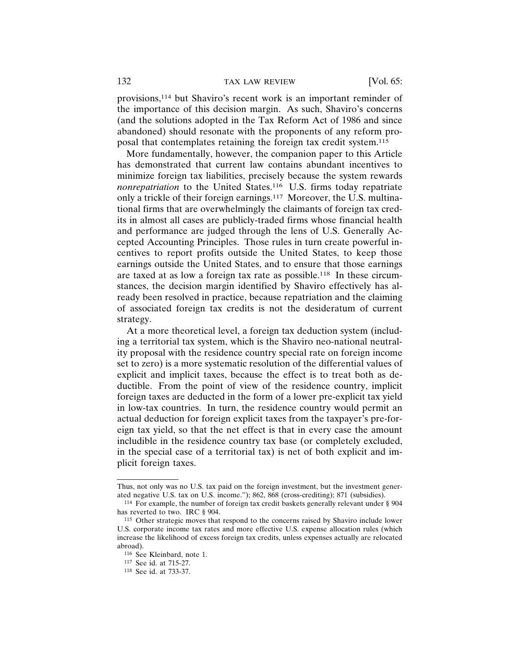provisions,114 but Shaviro's recent work is an important reminder of the importance of this decision margin. As such, Shaviro's concerns (and the solutions adopted in the Tax Reform Act of 1986 and since abandoned) should resonate with the proponents of any reform proposal that contemplates retaining the foreign tax credit system.115

More fundamentally, however, the companion paper to this Article has demonstrated that current law contains abundant incentives to minimize foreign tax liabilities, precisely because the system rewards *nonrepatriation* to the United States.<sup>116</sup> U.S. firms today repatriate only a trickle of their foreign earnings.117 Moreover, the U.S. multinational firms that are overwhelmingly the claimants of foreign tax credits in almost all cases are publicly-traded firms whose financial health and performance are judged through the lens of U.S. Generally Accepted Accounting Principles. Those rules in turn create powerful incentives to report profits outside the United States, to keep those earnings outside the United States, and to ensure that those earnings are taxed at as low a foreign tax rate as possible.118 In these circumstances, the decision margin identified by Shaviro effectively has already been resolved in practice, because repatriation and the claiming of associated foreign tax credits is not the desideratum of current strategy.

At a more theoretical level, a foreign tax deduction system (including a territorial tax system, which is the Shaviro neo-national neutrality proposal with the residence country special rate on foreign income set to zero) is a more systematic resolution of the differential values of explicit and implicit taxes, because the effect is to treat both as deductible. From the point of view of the residence country, implicit foreign taxes are deducted in the form of a lower pre-explicit tax yield in low-tax countries. In turn, the residence country would permit an actual deduction for foreign explicit taxes from the taxpayer's pre-foreign tax yield, so that the net effect is that in every case the amount includible in the residence country tax base (or completely excluded, in the special case of a territorial tax) is net of both explicit and implicit foreign taxes.

Thus, not only was no U.S. tax paid on the foreign investment, but the investment generated negative U.S. tax on U.S. income."); 862, 868 (cross-crediting); 871 (subsidies).

<sup>114</sup> For example, the number of foreign tax credit baskets generally relevant under § 904 has reverted to two. IRC § 904.

<sup>115</sup> Other strategic moves that respond to the concerns raised by Shaviro include lower U.S. corporate income tax rates and more effective U.S. expense allocation rules (which increase the likelihood of excess foreign tax credits, unless expenses actually are relocated abroad).

<sup>116</sup> See Kleinbard, note 1.

<sup>117</sup> See id. at 715-27.

<sup>118</sup> See id. at 733-37.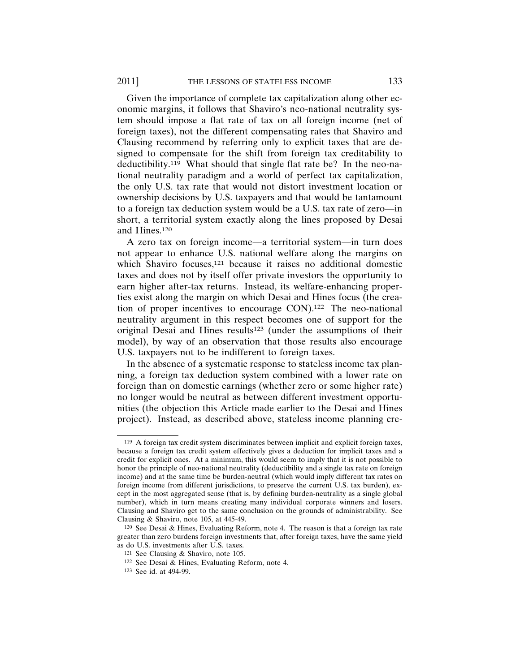Given the importance of complete tax capitalization along other economic margins, it follows that Shaviro's neo-national neutrality system should impose a flat rate of tax on all foreign income (net of foreign taxes), not the different compensating rates that Shaviro and Clausing recommend by referring only to explicit taxes that are designed to compensate for the shift from foreign tax creditability to deductibility.119 What should that single flat rate be? In the neo-national neutrality paradigm and a world of perfect tax capitalization, the only U.S. tax rate that would not distort investment location or ownership decisions by U.S. taxpayers and that would be tantamount to a foreign tax deduction system would be a U.S. tax rate of zero—in short, a territorial system exactly along the lines proposed by Desai and Hines.120

A zero tax on foreign income—a territorial system—in turn does not appear to enhance U.S. national welfare along the margins on which Shaviro focuses,<sup>121</sup> because it raises no additional domestic taxes and does not by itself offer private investors the opportunity to earn higher after-tax returns. Instead, its welfare-enhancing properties exist along the margin on which Desai and Hines focus (the creation of proper incentives to encourage CON).122 The neo-national neutrality argument in this respect becomes one of support for the original Desai and Hines results<sup>123</sup> (under the assumptions of their model), by way of an observation that those results also encourage U.S. taxpayers not to be indifferent to foreign taxes.

In the absence of a systematic response to stateless income tax planning, a foreign tax deduction system combined with a lower rate on foreign than on domestic earnings (whether zero or some higher rate) no longer would be neutral as between different investment opportunities (the objection this Article made earlier to the Desai and Hines project). Instead, as described above, stateless income planning cre-

<sup>119</sup> A foreign tax credit system discriminates between implicit and explicit foreign taxes, because a foreign tax credit system effectively gives a deduction for implicit taxes and a credit for explicit ones. At a minimum, this would seem to imply that it is not possible to honor the principle of neo-national neutrality (deductibility and a single tax rate on foreign income) and at the same time be burden-neutral (which would imply different tax rates on foreign income from different jurisdictions, to preserve the current U.S. tax burden), except in the most aggregated sense (that is, by defining burden-neutrality as a single global number), which in turn means creating many individual corporate winners and losers. Clausing and Shaviro get to the same conclusion on the grounds of administrability. See Clausing & Shaviro, note 105, at 445-49.

<sup>120</sup> See Desai & Hines, Evaluating Reform, note 4. The reason is that a foreign tax rate greater than zero burdens foreign investments that, after foreign taxes, have the same yield as do U.S. investments after U.S. taxes.

<sup>121</sup> See Clausing & Shaviro, note 105.

<sup>122</sup> See Desai & Hines, Evaluating Reform, note 4.

<sup>123</sup> See id. at 494-99.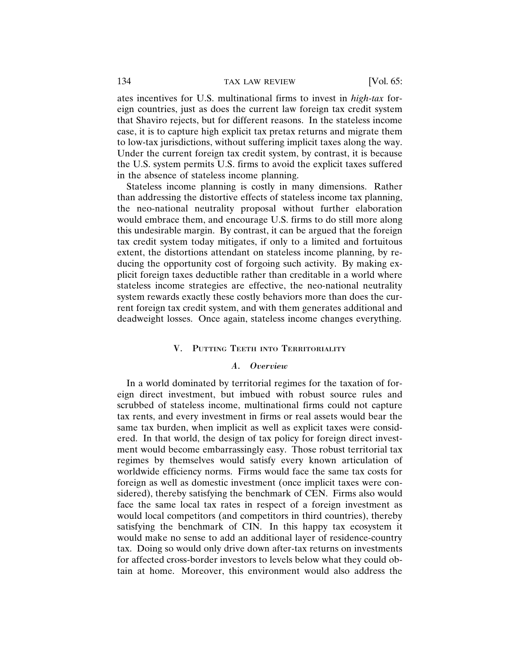ates incentives for U.S. multinational firms to invest in *high-tax* foreign countries, just as does the current law foreign tax credit system that Shaviro rejects, but for different reasons. In the stateless income case, it is to capture high explicit tax pretax returns and migrate them to low-tax jurisdictions, without suffering implicit taxes along the way. Under the current foreign tax credit system, by contrast, it is because the U.S. system permits U.S. firms to avoid the explicit taxes suffered in the absence of stateless income planning.

Stateless income planning is costly in many dimensions. Rather than addressing the distortive effects of stateless income tax planning, the neo-national neutrality proposal without further elaboration would embrace them, and encourage U.S. firms to do still more along this undesirable margin. By contrast, it can be argued that the foreign tax credit system today mitigates, if only to a limited and fortuitous extent, the distortions attendant on stateless income planning, by reducing the opportunity cost of forgoing such activity. By making explicit foreign taxes deductible rather than creditable in a world where stateless income strategies are effective, the neo-national neutrality system rewards exactly these costly behaviors more than does the current foreign tax credit system, and with them generates additional and deadweight losses. Once again, stateless income changes everything.

### V. PUTTING TEETH INTO TERRITORIALITY

## *A. Overview*

In a world dominated by territorial regimes for the taxation of foreign direct investment, but imbued with robust source rules and scrubbed of stateless income, multinational firms could not capture tax rents, and every investment in firms or real assets would bear the same tax burden, when implicit as well as explicit taxes were considered. In that world, the design of tax policy for foreign direct investment would become embarrassingly easy. Those robust territorial tax regimes by themselves would satisfy every known articulation of worldwide efficiency norms. Firms would face the same tax costs for foreign as well as domestic investment (once implicit taxes were considered), thereby satisfying the benchmark of CEN. Firms also would face the same local tax rates in respect of a foreign investment as would local competitors (and competitors in third countries), thereby satisfying the benchmark of CIN. In this happy tax ecosystem it would make no sense to add an additional layer of residence-country tax. Doing so would only drive down after-tax returns on investments for affected cross-border investors to levels below what they could obtain at home. Moreover, this environment would also address the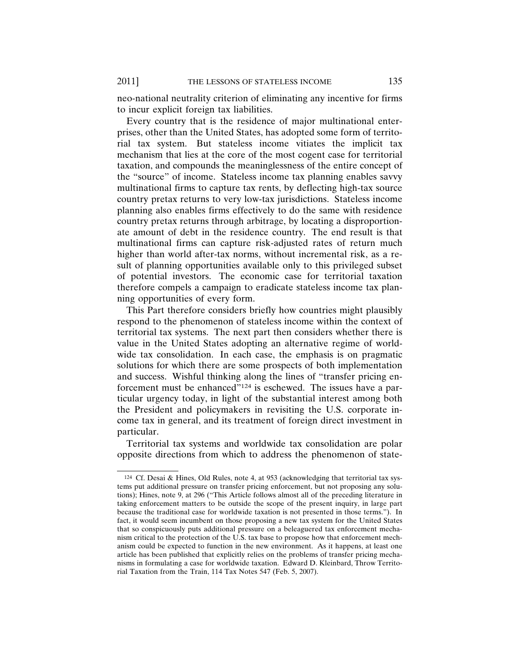neo-national neutrality criterion of eliminating any incentive for firms to incur explicit foreign tax liabilities.

Every country that is the residence of major multinational enterprises, other than the United States, has adopted some form of territorial tax system. But stateless income vitiates the implicit tax mechanism that lies at the core of the most cogent case for territorial taxation, and compounds the meaninglessness of the entire concept of the "source" of income. Stateless income tax planning enables savvy multinational firms to capture tax rents, by deflecting high-tax source country pretax returns to very low-tax jurisdictions. Stateless income planning also enables firms effectively to do the same with residence country pretax returns through arbitrage, by locating a disproportionate amount of debt in the residence country. The end result is that multinational firms can capture risk-adjusted rates of return much higher than world after-tax norms, without incremental risk, as a result of planning opportunities available only to this privileged subset of potential investors. The economic case for territorial taxation therefore compels a campaign to eradicate stateless income tax planning opportunities of every form.

This Part therefore considers briefly how countries might plausibly respond to the phenomenon of stateless income within the context of territorial tax systems. The next part then considers whether there is value in the United States adopting an alternative regime of worldwide tax consolidation. In each case, the emphasis is on pragmatic solutions for which there are some prospects of both implementation and success. Wishful thinking along the lines of "transfer pricing enforcement must be enhanced"124 is eschewed. The issues have a particular urgency today, in light of the substantial interest among both the President and policymakers in revisiting the U.S. corporate income tax in general, and its treatment of foreign direct investment in particular.

Territorial tax systems and worldwide tax consolidation are polar opposite directions from which to address the phenomenon of state-

<sup>124</sup> Cf. Desai & Hines, Old Rules, note 4, at 953 (acknowledging that territorial tax systems put additional pressure on transfer pricing enforcement, but not proposing any solutions); Hines, note 9, at 296 ("This Article follows almost all of the preceding literature in taking enforcement matters to be outside the scope of the present inquiry, in large part because the traditional case for worldwide taxation is not presented in those terms."). In fact, it would seem incumbent on those proposing a new tax system for the United States that so conspicuously puts additional pressure on a beleaguered tax enforcement mechanism critical to the protection of the U.S. tax base to propose how that enforcement mechanism could be expected to function in the new environment. As it happens, at least one article has been published that explicitly relies on the problems of transfer pricing mechanisms in formulating a case for worldwide taxation. Edward D. Kleinbard, Throw Territorial Taxation from the Train, 114 Tax Notes 547 (Feb. 5, 2007).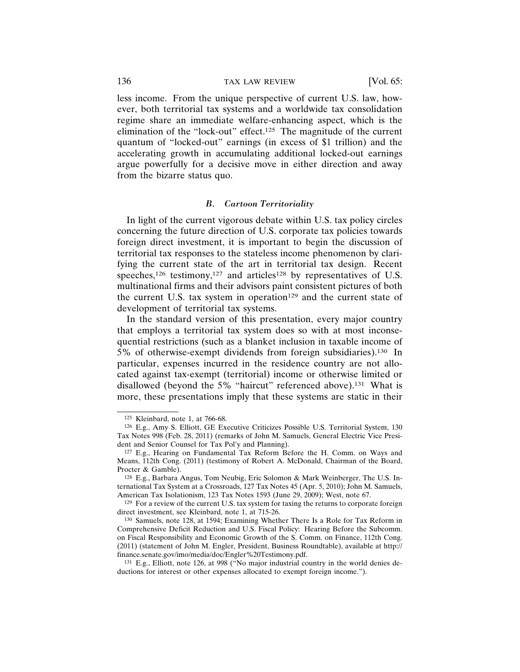less income. From the unique perspective of current U.S. law, however, both territorial tax systems and a worldwide tax consolidation regime share an immediate welfare-enhancing aspect, which is the elimination of the "lock-out" effect.<sup>125</sup> The magnitude of the current quantum of "locked-out" earnings (in excess of \$1 trillion) and the accelerating growth in accumulating additional locked-out earnings argue powerfully for a decisive move in either direction and away from the bizarre status quo.

#### *B. Cartoon Territoriality*

In light of the current vigorous debate within U.S. tax policy circles concerning the future direction of U.S. corporate tax policies towards foreign direct investment, it is important to begin the discussion of territorial tax responses to the stateless income phenomenon by clarifying the current state of the art in territorial tax design. Recent speeches,<sup>126</sup> testimony,<sup>127</sup> and articles<sup>128</sup> by representatives of U.S. multinational firms and their advisors paint consistent pictures of both the current U.S. tax system in operation<sup>129</sup> and the current state of development of territorial tax systems.

In the standard version of this presentation, every major country that employs a territorial tax system does so with at most inconsequential restrictions (such as a blanket inclusion in taxable income of 5% of otherwise-exempt dividends from foreign subsidiaries).130 In particular, expenses incurred in the residence country are not allocated against tax-exempt (territorial) income or otherwise limited or disallowed (beyond the 5% "haircut" referenced above).131 What is more, these presentations imply that these systems are static in their

<sup>125</sup> Kleinbard, note 1, at 766-68.

<sup>126</sup> E.g., Amy S. Elliott, GE Executive Criticizes Possible U.S. Territorial System, 130 Tax Notes 998 (Feb. 28, 2011) (remarks of John M. Samuels, General Electric Vice President and Senior Counsel for Tax Pol'y and Planning).

<sup>127</sup> E.g., Hearing on Fundamental Tax Reform Before the H. Comm. on Ways and Means, 112th Cong. (2011) (testimony of Robert A. McDonald, Chairman of the Board, Procter & Gamble).

<sup>128</sup> E.g., Barbara Angus, Tom Neubig, Eric Solomon & Mark Weinberger, The U.S. International Tax System at a Crossroads, 127 Tax Notes 45 (Apr. 5, 2010); John M. Samuels, American Tax Isolationism, 123 Tax Notes 1593 (June 29, 2009); West, note 67.

<sup>&</sup>lt;sup>129</sup> For a review of the current U.S. tax system for taxing the returns to corporate foreign direct investment, see Kleinbard, note 1, at 715-26.

<sup>130</sup> Samuels, note 128, at 1594; Examining Whether There Is a Role for Tax Reform in Comprehensive Deficit Reduction and U.S. Fiscal Policy: Hearing Before the Subcomm. on Fiscal Responsibility and Economic Growth of the S. Comm. on Finance, 112th Cong. (2011) (statement of John M. Engler, President, Business Roundtable), available at http:// finance.senate.gov/imo/media/doc/Engler%20Testimony.pdf.

<sup>131</sup> E.g., Elliott, note 126, at 998 ("No major industrial country in the world denies deductions for interest or other expenses allocated to exempt foreign income.").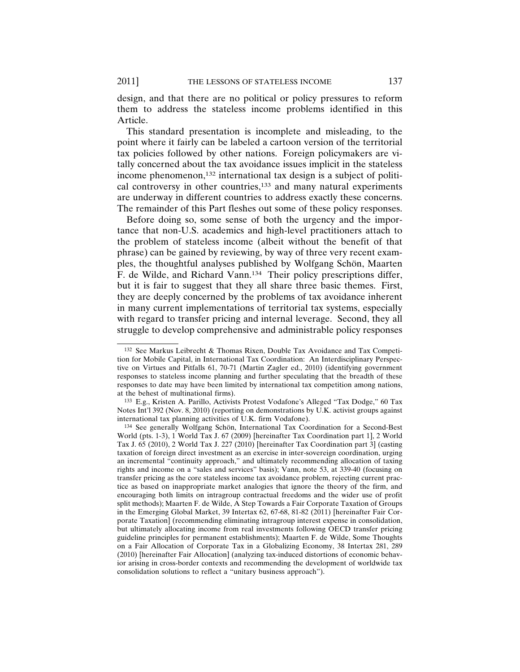design, and that there are no political or policy pressures to reform them to address the stateless income problems identified in this Article.

This standard presentation is incomplete and misleading, to the point where it fairly can be labeled a cartoon version of the territorial tax policies followed by other nations. Foreign policymakers are vitally concerned about the tax avoidance issues implicit in the stateless income phenomenon,<sup>132</sup> international tax design is a subject of political controversy in other countries,133 and many natural experiments are underway in different countries to address exactly these concerns. The remainder of this Part fleshes out some of these policy responses.

Before doing so, some sense of both the urgency and the importance that non-U.S. academics and high-level practitioners attach to the problem of stateless income (albeit without the benefit of that phrase) can be gained by reviewing, by way of three very recent examples, the thoughtful analyses published by Wolfgang Schön, Maarten F. de Wilde, and Richard Vann.134 Their policy prescriptions differ, but it is fair to suggest that they all share three basic themes. First, they are deeply concerned by the problems of tax avoidance inherent in many current implementations of territorial tax systems, especially with regard to transfer pricing and internal leverage. Second, they all struggle to develop comprehensive and administrable policy responses

<sup>132</sup> See Markus Leibrecht & Thomas Rixen, Double Tax Avoidance and Tax Competition for Mobile Capital, in International Tax Coordination: An Interdisciplinary Perspective on Virtues and Pitfalls 61, 70-71 (Martin Zagler ed., 2010) (identifying government responses to stateless income planning and further speculating that the breadth of these responses to date may have been limited by international tax competition among nations, at the behest of multinational firms).

<sup>133</sup> E.g., Kristen A. Parillo, Activists Protest Vodafone's Alleged "Tax Dodge," 60 Tax Notes Int'l 392 (Nov. 8, 2010) (reporting on demonstrations by U.K. activist groups against international tax planning activities of U.K. firm Vodafone).

<sup>134</sup> See generally Wolfgang Schön, International Tax Coordination for a Second-Best World (pts. 1-3), 1 World Tax J. 67 (2009) [hereinafter Tax Coordination part 1], 2 World Tax J. 65 (2010), 2 World Tax J. 227 (2010) [hereinafter Tax Coordination part 3] (casting taxation of foreign direct investment as an exercise in inter-sovereign coordination, urging an incremental "continuity approach," and ultimately recommending allocation of taxing rights and income on a "sales and services" basis); Vann, note 53, at 339-40 (focusing on transfer pricing as the core stateless income tax avoidance problem, rejecting current practice as based on inappropriate market analogies that ignore the theory of the firm, and encouraging both limits on intragroup contractual freedoms and the wider use of profit split methods); Maarten F. de Wilde, A Step Towards a Fair Corporate Taxation of Groups in the Emerging Global Market, 39 Intertax 62, 67-68, 81-82 (2011) [hereinafter Fair Corporate Taxation] (recommending eliminating intragroup interest expense in consolidation, but ultimately allocating income from real investments following OECD transfer pricing guideline principles for permanent establishments); Maarten F. de Wilde, Some Thoughts on a Fair Allocation of Corporate Tax in a Globalizing Economy, 38 Intertax 281, 289 (2010) [hereinafter Fair Allocation] (analyzing tax-induced distortions of economic behavior arising in cross-border contexts and recommending the development of worldwide tax consolidation solutions to reflect a "unitary business approach").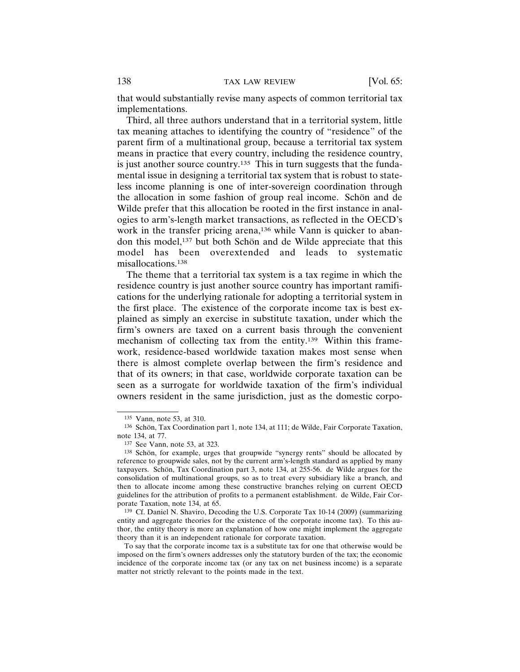that would substantially revise many aspects of common territorial tax implementations.

Third, all three authors understand that in a territorial system, little tax meaning attaches to identifying the country of "residence" of the parent firm of a multinational group, because a territorial tax system means in practice that every country, including the residence country, is just another source country.<sup>135</sup> This in turn suggests that the fundamental issue in designing a territorial tax system that is robust to stateless income planning is one of inter-sovereign coordination through the allocation in some fashion of group real income. Schön and de Wilde prefer that this allocation be rooted in the first instance in analogies to arm's-length market transactions, as reflected in the OECD's work in the transfer pricing arena,<sup>136</sup> while Vann is quicker to abandon this model,<sup>137</sup> but both Schön and de Wilde appreciate that this model has been overextended and leads to systematic misallocations.138

The theme that a territorial tax system is a tax regime in which the residence country is just another source country has important ramifications for the underlying rationale for adopting a territorial system in the first place. The existence of the corporate income tax is best explained as simply an exercise in substitute taxation, under which the firm's owners are taxed on a current basis through the convenient mechanism of collecting tax from the entity.139 Within this framework, residence-based worldwide taxation makes most sense when there is almost complete overlap between the firm's residence and that of its owners; in that case, worldwide corporate taxation can be seen as a surrogate for worldwide taxation of the firm's individual owners resident in the same jurisdiction, just as the domestic corpo-

<sup>135</sup> Vann, note 53, at 310.

<sup>&</sup>lt;sup>136</sup> Schön, Tax Coordination part 1, note 134, at 111; de Wilde, Fair Corporate Taxation, note 134, at 77.

<sup>137</sup> See Vann, note 53, at 323.

 $138$  Schön, for example, urges that groupwide "synergy rents" should be allocated by reference to groupwide sales, not by the current arm's-length standard as applied by many taxpayers. Schön, Tax Coordination part 3, note 134, at 255-56. de Wilde argues for the consolidation of multinational groups, so as to treat every subsidiary like a branch, and then to allocate income among these constructive branches relying on current OECD guidelines for the attribution of profits to a permanent establishment. de Wilde, Fair Corporate Taxation, note 134, at 65.

<sup>139</sup> Cf. Daniel N. Shaviro, Decoding the U.S. Corporate Tax 10-14 (2009) (summarizing entity and aggregate theories for the existence of the corporate income tax). To this author, the entity theory is more an explanation of how one might implement the aggregate theory than it is an independent rationale for corporate taxation.

To say that the corporate income tax is a substitute tax for one that otherwise would be imposed on the firm's owners addresses only the statutory burden of the tax; the economic incidence of the corporate income tax (or any tax on net business income) is a separate matter not strictly relevant to the points made in the text.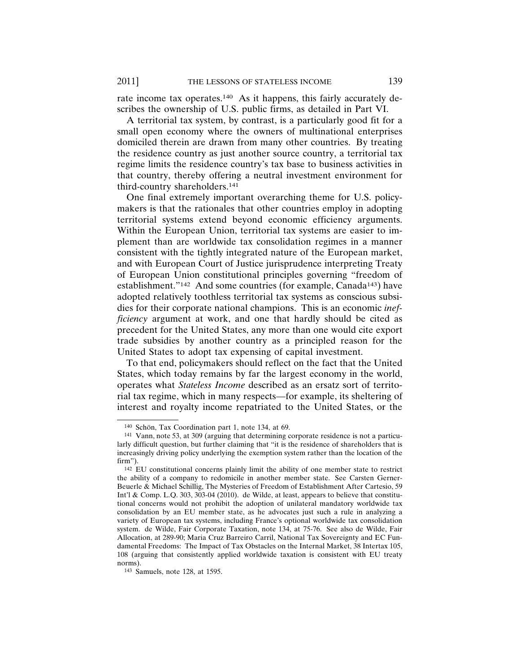rate income tax operates.<sup>140</sup> As it happens, this fairly accurately describes the ownership of U.S. public firms, as detailed in Part VI.

A territorial tax system, by contrast, is a particularly good fit for a small open economy where the owners of multinational enterprises domiciled therein are drawn from many other countries. By treating the residence country as just another source country, a territorial tax regime limits the residence country's tax base to business activities in that country, thereby offering a neutral investment environment for third-country shareholders.141

One final extremely important overarching theme for U.S. policymakers is that the rationales that other countries employ in adopting territorial systems extend beyond economic efficiency arguments. Within the European Union, territorial tax systems are easier to implement than are worldwide tax consolidation regimes in a manner consistent with the tightly integrated nature of the European market, and with European Court of Justice jurisprudence interpreting Treaty of European Union constitutional principles governing "freedom of establishment."142 And some countries (for example, Canada143) have adopted relatively toothless territorial tax systems as conscious subsidies for their corporate national champions. This is an economic *inefficiency* argument at work, and one that hardly should be cited as precedent for the United States, any more than one would cite export trade subsidies by another country as a principled reason for the United States to adopt tax expensing of capital investment.

To that end, policymakers should reflect on the fact that the United States, which today remains by far the largest economy in the world, operates what *Stateless Income* described as an ersatz sort of territorial tax regime, which in many respects—for example, its sheltering of interest and royalty income repatriated to the United States, or the

 $140$  Schön, Tax Coordination part 1, note 134, at 69.

<sup>141</sup> Vann, note 53, at 309 (arguing that determining corporate residence is not a particularly difficult question, but further claiming that "it is the residence of shareholders that is increasingly driving policy underlying the exemption system rather than the location of the firm").

 $142$  EU constitutional concerns plainly limit the ability of one member state to restrict the ability of a company to redomicile in another member state. See Carsten Gerner-Beuerle & Michael Schillig, The Mysteries of Freedom of Establishment After Cartesio, 59 Int'l & Comp. L.Q. 303, 303-04 (2010). de Wilde, at least, appears to believe that constitutional concerns would not prohibit the adoption of unilateral mandatory worldwide tax consolidation by an EU member state, as he advocates just such a rule in analyzing a variety of European tax systems, including France's optional worldwide tax consolidation system. de Wilde, Fair Corporate Taxation, note 134, at 75-76. See also de Wilde, Fair Allocation, at 289-90; Maria Cruz Barreiro Carril, National Tax Sovereignty and EC Fundamental Freedoms: The Impact of Tax Obstacles on the Internal Market, 38 Intertax 105, 108 (arguing that consistently applied worldwide taxation is consistent with EU treaty norms).

<sup>143</sup> Samuels, note 128, at 1595.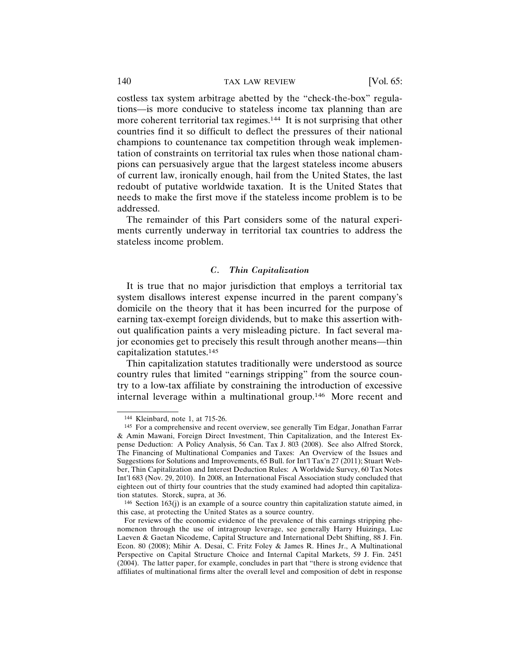costless tax system arbitrage abetted by the "check-the-box" regulations—is more conducive to stateless income tax planning than are more coherent territorial tax regimes.<sup>144</sup> It is not surprising that other countries find it so difficult to deflect the pressures of their national champions to countenance tax competition through weak implementation of constraints on territorial tax rules when those national champions can persuasively argue that the largest stateless income abusers of current law, ironically enough, hail from the United States, the last redoubt of putative worldwide taxation. It is the United States that needs to make the first move if the stateless income problem is to be addressed.

The remainder of this Part considers some of the natural experiments currently underway in territorial tax countries to address the stateless income problem.

## *C. Thin Capitalization*

It is true that no major jurisdiction that employs a territorial tax system disallows interest expense incurred in the parent company's domicile on the theory that it has been incurred for the purpose of earning tax-exempt foreign dividends, but to make this assertion without qualification paints a very misleading picture. In fact several major economies get to precisely this result through another means—thin capitalization statutes.145

Thin capitalization statutes traditionally were understood as source country rules that limited "earnings stripping" from the source country to a low-tax affiliate by constraining the introduction of excessive internal leverage within a multinational group.146 More recent and

<sup>144</sup> Kleinbard, note 1, at 715-26.

<sup>145</sup> For a comprehensive and recent overview, see generally Tim Edgar, Jonathan Farrar & Amin Mawani, Foreign Direct Investment, Thin Capitalization, and the Interest Expense Deduction: A Policy Analysis, 56 Can. Tax J. 803 (2008). See also Alfred Storck, The Financing of Multinational Companies and Taxes: An Overview of the Issues and Suggestions for Solutions and Improvements, 65 Bull. for Int'l Tax'n 27 (2011); Stuart Webber, Thin Capitalization and Interest Deduction Rules: A Worldwide Survey, 60 Tax Notes Int'l 683 (Nov. 29, 2010). In 2008, an International Fiscal Association study concluded that eighteen out of thirty four countries that the study examined had adopted thin capitalization statutes. Storck, supra, at 36.

<sup>&</sup>lt;sup>146</sup> Section 163(j) is an example of a source country thin capitalization statute aimed, in this case, at protecting the United States as a source country.

For reviews of the economic evidence of the prevalence of this earnings stripping phenomenon through the use of intragroup leverage, see generally Harry Huizinga, Luc Laeven & Gaetan Nicodeme, Capital Structure and International Debt Shifting, 88 J. Fin. Econ. 80 (2008); Mihir A. Desai, C. Fritz Foley & James R. Hines Jr., A Multinational Perspective on Capital Structure Choice and Internal Capital Markets, 59 J. Fin. 2451 (2004). The latter paper, for example, concludes in part that "there is strong evidence that affiliates of multinational firms alter the overall level and composition of debt in response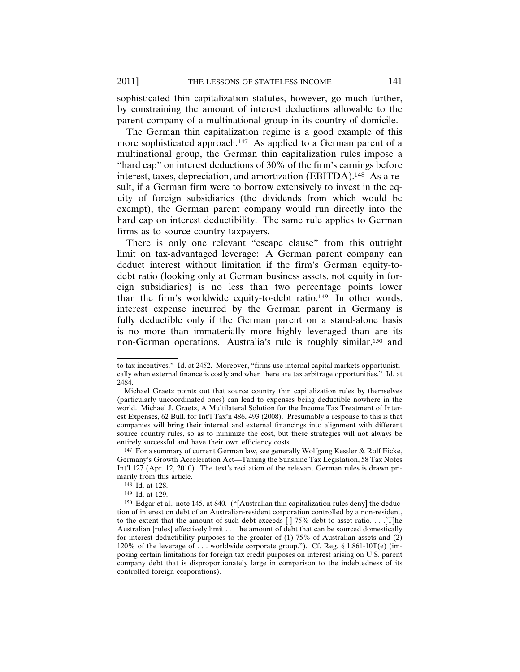sophisticated thin capitalization statutes, however, go much further, by constraining the amount of interest deductions allowable to the parent company of a multinational group in its country of domicile.

The German thin capitalization regime is a good example of this more sophisticated approach.<sup>147</sup> As applied to a German parent of a multinational group, the German thin capitalization rules impose a "hard cap" on interest deductions of 30% of the firm's earnings before interest, taxes, depreciation, and amortization (EBITDA).148 As a result, if a German firm were to borrow extensively to invest in the equity of foreign subsidiaries (the dividends from which would be exempt), the German parent company would run directly into the hard cap on interest deductibility. The same rule applies to German firms as to source country taxpayers.

There is only one relevant "escape clause" from this outright limit on tax-advantaged leverage: A German parent company can deduct interest without limitation if the firm's German equity-todebt ratio (looking only at German business assets, not equity in foreign subsidiaries) is no less than two percentage points lower than the firm's worldwide equity-to-debt ratio.149 In other words, interest expense incurred by the German parent in Germany is fully deductible only if the German parent on a stand-alone basis is no more than immaterially more highly leveraged than are its non-German operations. Australia's rule is roughly similar,150 and

to tax incentives." Id. at 2452. Moreover, "firms use internal capital markets opportunistically when external finance is costly and when there are tax arbitrage opportunities." Id. at 2484.

Michael Graetz points out that source country thin capitalization rules by themselves (particularly uncoordinated ones) can lead to expenses being deductible nowhere in the world. Michael J. Graetz, A Multilateral Solution for the Income Tax Treatment of Interest Expenses, 62 Bull. for Int'l Tax'n 486, 493 (2008). Presumably a response to this is that companies will bring their internal and external financings into alignment with different source country rules, so as to minimize the cost, but these strategies will not always be entirely successful and have their own efficiency costs.

<sup>&</sup>lt;sup>147</sup> For a summary of current German law, see generally Wolfgang Kessler & Rolf Eicke, Germany's Growth Acceleration Act—Taming the Sunshine Tax Legislation, 58 Tax Notes Int'l 127 (Apr. 12, 2010). The text's recitation of the relevant German rules is drawn primarily from this article.

<sup>148</sup> Id. at 128.

<sup>149</sup> Id. at 129.

<sup>150</sup> Edgar et al., note 145, at 840. ("[Australian thin capitalization rules deny] the deduction of interest on debt of an Australian-resident corporation controlled by a non-resident, to the extent that the amount of such debt exceeds [ ] 75% debt-to-asset ratio. . . .[T]he Australian [rules] effectively limit . . . the amount of debt that can be sourced domestically for interest deductibility purposes to the greater of  $(1)$  75% of Australian assets and  $(2)$ 120% of the leverage of . . . worldwide corporate group."). Cf. Reg. § 1.861-10T(e) (imposing certain limitations for foreign tax credit purposes on interest arising on U.S. parent company debt that is disproportionately large in comparison to the indebtedness of its controlled foreign corporations).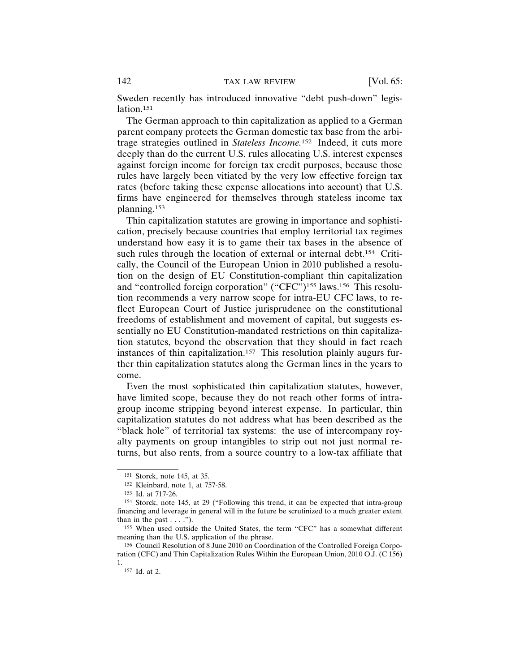Sweden recently has introduced innovative "debt push-down" legislation.151

The German approach to thin capitalization as applied to a German parent company protects the German domestic tax base from the arbitrage strategies outlined in *Stateless Income.*152 Indeed, it cuts more deeply than do the current U.S. rules allocating U.S. interest expenses against foreign income for foreign tax credit purposes, because those rules have largely been vitiated by the very low effective foreign tax rates (before taking these expense allocations into account) that U.S. firms have engineered for themselves through stateless income tax planning.153

Thin capitalization statutes are growing in importance and sophistication, precisely because countries that employ territorial tax regimes understand how easy it is to game their tax bases in the absence of such rules through the location of external or internal debt.<sup>154</sup> Critically, the Council of the European Union in 2010 published a resolution on the design of EU Constitution-compliant thin capitalization and "controlled foreign corporation" ("CFC")<sup>155</sup> laws.<sup>156</sup> This resolution recommends a very narrow scope for intra-EU CFC laws, to reflect European Court of Justice jurisprudence on the constitutional freedoms of establishment and movement of capital, but suggests essentially no EU Constitution-mandated restrictions on thin capitalization statutes, beyond the observation that they should in fact reach instances of thin capitalization.<sup>157</sup> This resolution plainly augurs further thin capitalization statutes along the German lines in the years to come.

Even the most sophisticated thin capitalization statutes, however, have limited scope, because they do not reach other forms of intragroup income stripping beyond interest expense. In particular, thin capitalization statutes do not address what has been described as the "black hole" of territorial tax systems: the use of intercompany royalty payments on group intangibles to strip out not just normal returns, but also rents, from a source country to a low-tax affiliate that

<sup>151</sup> Storck, note 145, at 35.

<sup>152</sup> Kleinbard, note 1, at 757-58.

<sup>153</sup> Id. at 717-26.

<sup>154</sup> Storck, note 145, at 29 ("Following this trend, it can be expected that intra-group financing and leverage in general will in the future be scrutinized to a much greater extent than in the past  $\dots$ .").

<sup>155</sup> When used outside the United States, the term "CFC" has a somewhat different meaning than the U.S. application of the phrase.

<sup>156</sup> Council Resolution of 8 June 2010 on Coordination of the Controlled Foreign Corporation (CFC) and Thin Capitalization Rules Within the European Union, 2010 O.J. (C 156) 1.

<sup>157</sup> Id. at 2.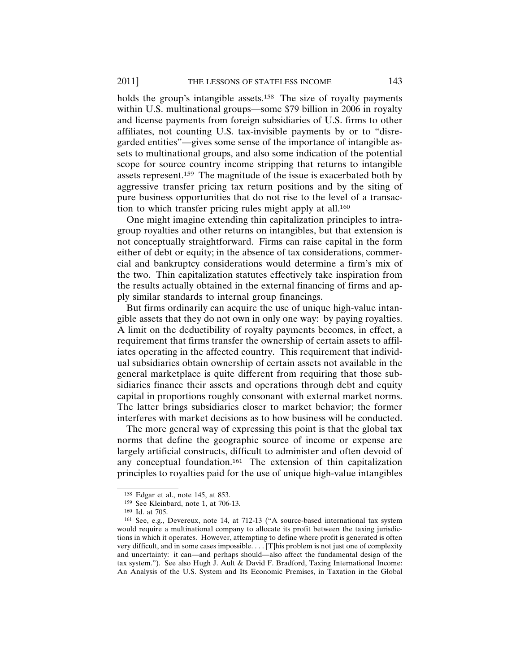holds the group's intangible assets.<sup>158</sup> The size of royalty payments within U.S. multinational groups—some \$79 billion in 2006 in royalty and license payments from foreign subsidiaries of U.S. firms to other affiliates, not counting U.S. tax-invisible payments by or to "disregarded entities"—gives some sense of the importance of intangible assets to multinational groups, and also some indication of the potential scope for source country income stripping that returns to intangible assets represent.159 The magnitude of the issue is exacerbated both by aggressive transfer pricing tax return positions and by the siting of pure business opportunities that do not rise to the level of a transaction to which transfer pricing rules might apply at all.160

One might imagine extending thin capitalization principles to intragroup royalties and other returns on intangibles, but that extension is not conceptually straightforward. Firms can raise capital in the form either of debt or equity; in the absence of tax considerations, commercial and bankruptcy considerations would determine a firm's mix of the two. Thin capitalization statutes effectively take inspiration from the results actually obtained in the external financing of firms and apply similar standards to internal group financings.

But firms ordinarily can acquire the use of unique high-value intangible assets that they do not own in only one way: by paying royalties. A limit on the deductibility of royalty payments becomes, in effect, a requirement that firms transfer the ownership of certain assets to affiliates operating in the affected country. This requirement that individual subsidiaries obtain ownership of certain assets not available in the general marketplace is quite different from requiring that those subsidiaries finance their assets and operations through debt and equity capital in proportions roughly consonant with external market norms. The latter brings subsidiaries closer to market behavior; the former interferes with market decisions as to how business will be conducted.

The more general way of expressing this point is that the global tax norms that define the geographic source of income or expense are largely artificial constructs, difficult to administer and often devoid of any conceptual foundation.161 The extension of thin capitalization principles to royalties paid for the use of unique high-value intangibles

<sup>158</sup> Edgar et al., note 145, at 853.

<sup>159</sup> See Kleinbard, note 1, at 706-13.

<sup>160</sup> Id. at 705.

<sup>161</sup> See, e.g., Devereux, note 14, at 712-13 ("A source-based international tax system would require a multinational company to allocate its profit between the taxing jurisdictions in which it operates. However, attempting to define where profit is generated is often very difficult, and in some cases impossible. . . . [T]his problem is not just one of complexity and uncertainty: it can—and perhaps should—also affect the fundamental design of the tax system."). See also Hugh J. Ault & David F. Bradford, Taxing International Income: An Analysis of the U.S. System and Its Economic Premises, in Taxation in the Global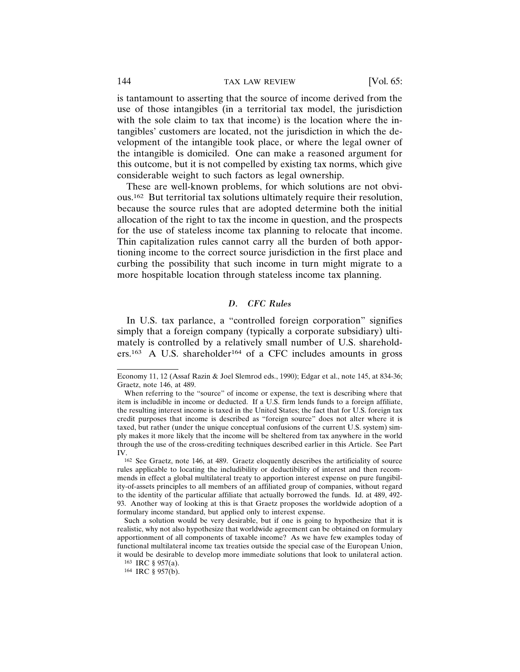is tantamount to asserting that the source of income derived from the use of those intangibles (in a territorial tax model, the jurisdiction with the sole claim to tax that income) is the location where the intangibles' customers are located, not the jurisdiction in which the development of the intangible took place, or where the legal owner of the intangible is domiciled. One can make a reasoned argument for this outcome, but it is not compelled by existing tax norms, which give considerable weight to such factors as legal ownership.

These are well-known problems, for which solutions are not obvious.162 But territorial tax solutions ultimately require their resolution, because the source rules that are adopted determine both the initial allocation of the right to tax the income in question, and the prospects for the use of stateless income tax planning to relocate that income. Thin capitalization rules cannot carry all the burden of both apportioning income to the correct source jurisdiction in the first place and curbing the possibility that such income in turn might migrate to a more hospitable location through stateless income tax planning.

# *D. CFC Rules*

In U.S. tax parlance, a "controlled foreign corporation" signifies simply that a foreign company (typically a corporate subsidiary) ultimately is controlled by a relatively small number of U.S. shareholders.<sup>163</sup> A U.S. shareholder<sup>164</sup> of a CFC includes amounts in gross

Economy 11, 12 (Assaf Razin & Joel Slemrod eds., 1990); Edgar et al., note 145, at 834-36; Graetz, note 146, at 489.

When referring to the "source" of income or expense, the text is describing where that item is includible in income or deducted. If a U.S. firm lends funds to a foreign affiliate, the resulting interest income is taxed in the United States; the fact that for U.S. foreign tax credit purposes that income is described as "foreign source" does not alter where it is taxed, but rather (under the unique conceptual confusions of the current U.S. system) simply makes it more likely that the income will be sheltered from tax anywhere in the world through the use of the cross-crediting techniques described earlier in this Article. See Part IV.<br><sup>162</sup> See Graetz, note 146, at 489. Graetz eloquently describes the artificiality of source

rules applicable to locating the includibility or deductibility of interest and then recommends in effect a global multilateral treaty to apportion interest expense on pure fungibility-of-assets principles to all members of an affiliated group of companies, without regard to the identity of the particular affiliate that actually borrowed the funds. Id. at 489, 492- 93. Another way of looking at this is that Graetz proposes the worldwide adoption of a formulary income standard, but applied only to interest expense.

Such a solution would be very desirable, but if one is going to hypothesize that it is realistic, why not also hypothesize that worldwide agreement can be obtained on formulary apportionment of all components of taxable income? As we have few examples today of functional multilateral income tax treaties outside the special case of the European Union, it would be desirable to develop more immediate solutions that look to unilateral action.

<sup>163</sup> IRC § 957(a).

<sup>164</sup> IRC § 957(b).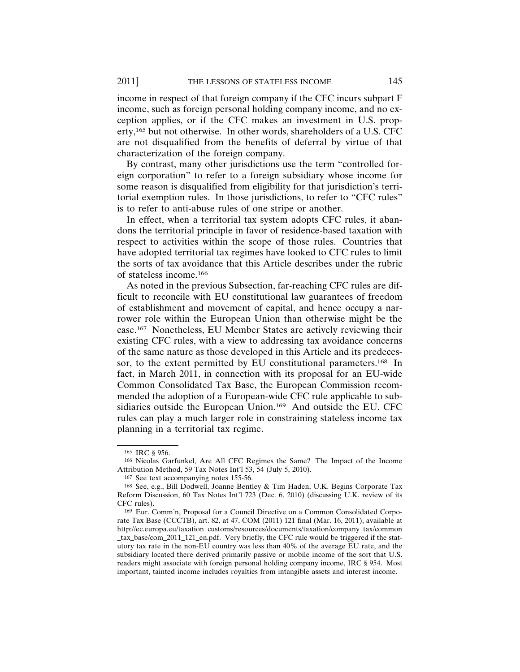income in respect of that foreign company if the CFC incurs subpart F income, such as foreign personal holding company income, and no exception applies, or if the CFC makes an investment in U.S. property,165 but not otherwise. In other words, shareholders of a U.S. CFC are not disqualified from the benefits of deferral by virtue of that characterization of the foreign company.

By contrast, many other jurisdictions use the term "controlled foreign corporation" to refer to a foreign subsidiary whose income for some reason is disqualified from eligibility for that jurisdiction's territorial exemption rules. In those jurisdictions, to refer to "CFC rules" is to refer to anti-abuse rules of one stripe or another.

In effect, when a territorial tax system adopts CFC rules, it abandons the territorial principle in favor of residence-based taxation with respect to activities within the scope of those rules. Countries that have adopted territorial tax regimes have looked to CFC rules to limit the sorts of tax avoidance that this Article describes under the rubric of stateless income.166

As noted in the previous Subsection, far-reaching CFC rules are difficult to reconcile with EU constitutional law guarantees of freedom of establishment and movement of capital, and hence occupy a narrower role within the European Union than otherwise might be the case.167 Nonetheless, EU Member States are actively reviewing their existing CFC rules, with a view to addressing tax avoidance concerns of the same nature as those developed in this Article and its predecessor, to the extent permitted by EU constitutional parameters.<sup>168</sup> In fact, in March 2011, in connection with its proposal for an EU-wide Common Consolidated Tax Base, the European Commission recommended the adoption of a European-wide CFC rule applicable to subsidiaries outside the European Union.169 And outside the EU, CFC rules can play a much larger role in constraining stateless income tax planning in a territorial tax regime.

<sup>165</sup> IRC § 956.

<sup>166</sup> Nicolas Garfunkel, Are All CFC Regimes the Same? The Impact of the Income Attribution Method, 59 Tax Notes Int'l 53, 54 (July 5, 2010).

<sup>167</sup> See text accompanying notes 155-56.

<sup>168</sup> See, e.g., Bill Dodwell, Joanne Bentley & Tim Haden, U.K. Begins Corporate Tax Reform Discussion, 60 Tax Notes Int'l 723 (Dec. 6, 2010) (discussing U.K. review of its CFC rules).

<sup>169</sup> Eur. Comm'n, Proposal for a Council Directive on a Common Consolidated Corporate Tax Base (CCCTB), art. 82, at 47, COM (2011) 121 final (Mar. 16, 2011), available at http://ec.europa.eu/taxation\_customs/resources/documents/taxation/company\_tax/common \_tax\_base/com\_2011\_121\_en.pdf. Very briefly, the CFC rule would be triggered if the statutory tax rate in the non-EU country was less than 40% of the average EU rate, and the subsidiary located there derived primarily passive or mobile income of the sort that U.S. readers might associate with foreign personal holding company income, IRC § 954. Most important, tainted income includes royalties from intangible assets and interest income.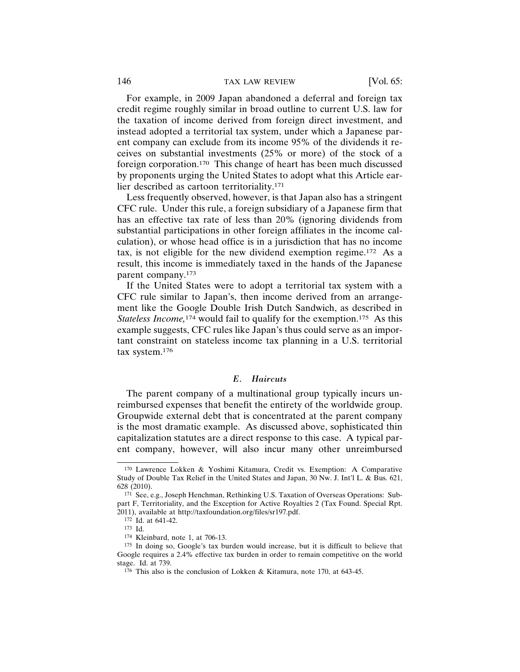For example, in 2009 Japan abandoned a deferral and foreign tax credit regime roughly similar in broad outline to current U.S. law for the taxation of income derived from foreign direct investment, and instead adopted a territorial tax system, under which a Japanese parent company can exclude from its income 95% of the dividends it receives on substantial investments (25% or more) of the stock of a foreign corporation.170 This change of heart has been much discussed by proponents urging the United States to adopt what this Article earlier described as cartoon territoriality.171

Less frequently observed, however, is that Japan also has a stringent CFC rule. Under this rule, a foreign subsidiary of a Japanese firm that has an effective tax rate of less than 20% (ignoring dividends from substantial participations in other foreign affiliates in the income calculation), or whose head office is in a jurisdiction that has no income tax, is not eligible for the new dividend exemption regime.172 As a result, this income is immediately taxed in the hands of the Japanese parent company.173

If the United States were to adopt a territorial tax system with a CFC rule similar to Japan's, then income derived from an arrangement like the Google Double Irish Dutch Sandwich, as described in *Stateless Income*,<sup>174</sup> would fail to qualify for the exemption.<sup>175</sup> As this example suggests, CFC rules like Japan's thus could serve as an important constraint on stateless income tax planning in a U.S. territorial tax system.176

## *E. Haircuts*

The parent company of a multinational group typically incurs unreimbursed expenses that benefit the entirety of the worldwide group. Groupwide external debt that is concentrated at the parent company is the most dramatic example. As discussed above, sophisticated thin capitalization statutes are a direct response to this case. A typical parent company, however, will also incur many other unreimbursed

<sup>170</sup> Lawrence Lokken & Yoshimi Kitamura, Credit vs. Exemption: A Comparative Study of Double Tax Relief in the United States and Japan, 30 Nw. J. Int'l L. & Bus. 621, 628 (2010).

<sup>171</sup> See, e.g., Joseph Henchman, Rethinking U.S. Taxation of Overseas Operations: Subpart F, Territoriality, and the Exception for Active Royalties 2 (Tax Found. Special Rpt. 2011), available at http://taxfoundation.org/files/sr197.pdf.

<sup>172</sup> Id. at 641-42.

<sup>173</sup> Id.

<sup>174</sup> Kleinbard, note 1, at 706-13.

<sup>175</sup> In doing so, Google's tax burden would increase, but it is difficult to believe that Google requires a 2.4% effective tax burden in order to remain competitive on the world stage. Id. at 739.

<sup>176</sup> This also is the conclusion of Lokken & Kitamura, note 170, at 643-45.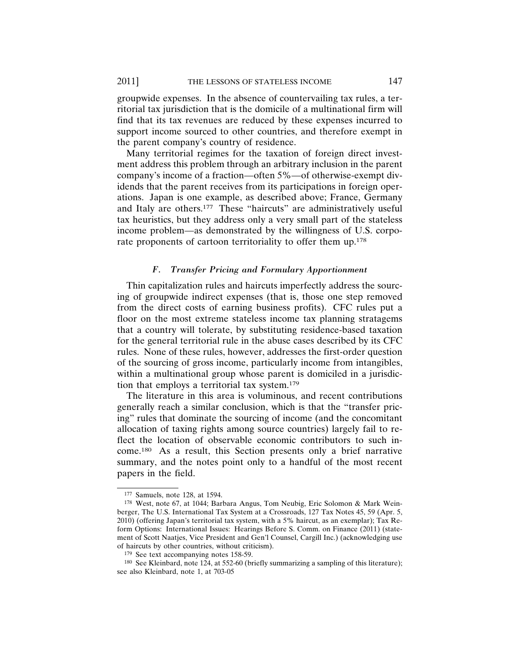groupwide expenses. In the absence of countervailing tax rules, a territorial tax jurisdiction that is the domicile of a multinational firm will find that its tax revenues are reduced by these expenses incurred to support income sourced to other countries, and therefore exempt in the parent company's country of residence.

Many territorial regimes for the taxation of foreign direct investment address this problem through an arbitrary inclusion in the parent company's income of a fraction—often 5%—of otherwise-exempt dividends that the parent receives from its participations in foreign operations. Japan is one example, as described above; France, Germany and Italy are others.177 These "haircuts" are administratively useful tax heuristics, but they address only a very small part of the stateless income problem—as demonstrated by the willingness of U.S. corporate proponents of cartoon territoriality to offer them up.<sup>178</sup>

## *F. Transfer Pricing and Formulary Apportionment*

Thin capitalization rules and haircuts imperfectly address the sourcing of groupwide indirect expenses (that is, those one step removed from the direct costs of earning business profits). CFC rules put a floor on the most extreme stateless income tax planning stratagems that a country will tolerate, by substituting residence-based taxation for the general territorial rule in the abuse cases described by its CFC rules. None of these rules, however, addresses the first-order question of the sourcing of gross income, particularly income from intangibles, within a multinational group whose parent is domiciled in a jurisdiction that employs a territorial tax system.179

The literature in this area is voluminous, and recent contributions generally reach a similar conclusion, which is that the "transfer pricing" rules that dominate the sourcing of income (and the concomitant allocation of taxing rights among source countries) largely fail to reflect the location of observable economic contributors to such income.180 As a result, this Section presents only a brief narrative summary, and the notes point only to a handful of the most recent papers in the field.

<sup>177</sup> Samuels, note 128, at 1594.

<sup>178</sup> West, note 67, at 1044; Barbara Angus, Tom Neubig, Eric Solomon & Mark Weinberger, The U.S. International Tax System at a Crossroads, 127 Tax Notes 45, 59 (Apr. 5, 2010) (offering Japan's territorial tax system, with a 5% haircut, as an exemplar); Tax Reform Options: International Issues: Hearings Before S. Comm. on Finance (2011) (statement of Scott Naatjes, Vice President and Gen'l Counsel, Cargill Inc.) (acknowledging use of haircuts by other countries, without criticism).

<sup>179</sup> See text accompanying notes 158-59.

<sup>180</sup> See Kleinbard, note 124, at 552-60 (briefly summarizing a sampling of this literature); see also Kleinbard, note 1, at 703-05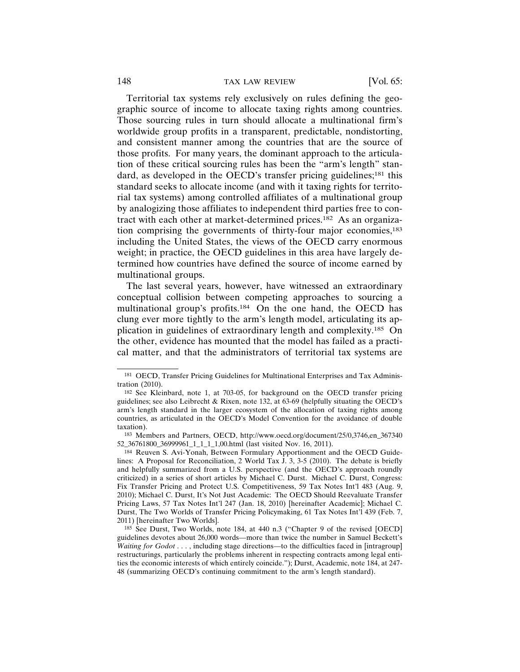Territorial tax systems rely exclusively on rules defining the geographic source of income to allocate taxing rights among countries. Those sourcing rules in turn should allocate a multinational firm's worldwide group profits in a transparent, predictable, nondistorting, and consistent manner among the countries that are the source of those profits. For many years, the dominant approach to the articulation of these critical sourcing rules has been the "arm's length" standard, as developed in the OECD's transfer pricing guidelines;<sup>181</sup> this standard seeks to allocate income (and with it taxing rights for territorial tax systems) among controlled affiliates of a multinational group by analogizing those affiliates to independent third parties free to contract with each other at market-determined prices.182 As an organization comprising the governments of thirty-four major economies,183 including the United States, the views of the OECD carry enormous weight; in practice, the OECD guidelines in this area have largely determined how countries have defined the source of income earned by multinational groups.

The last several years, however, have witnessed an extraordinary conceptual collision between competing approaches to sourcing a multinational group's profits.184 On the one hand, the OECD has clung ever more tightly to the arm's length model, articulating its application in guidelines of extraordinary length and complexity.185 On the other, evidence has mounted that the model has failed as a practical matter, and that the administrators of territorial tax systems are

<sup>181</sup> OECD, Transfer Pricing Guidelines for Multinational Enterprises and Tax Administration (2010).

<sup>182</sup> See Kleinbard, note 1, at 703-05, for background on the OECD transfer pricing guidelines; see also Leibrecht & Rixen, note 132, at 63-69 (helpfully situating the OECD's arm's length standard in the larger ecosystem of the allocation of taxing rights among countries, as articulated in the OECD's Model Convention for the avoidance of double taxation).

<sup>183</sup> Members and Partners, OECD, http://www.oecd.org/document/25/0,3746,en\_367340 52\_36761800\_36999961\_1\_1\_1\_1,00.html (last visited Nov. 16, 2011).

<sup>184</sup> Reuven S. Avi-Yonah, Between Formulary Apportionment and the OECD Guidelines: A Proposal for Reconciliation, 2 World Tax  $\hat{J}$ , 3, 3-5 (2010). The debate is briefly and helpfully summarized from a U.S. perspective (and the OECD's approach roundly criticized) in a series of short articles by Michael C. Durst. Michael C. Durst, Congress: Fix Transfer Pricing and Protect U.S. Competitiveness, 59 Tax Notes Int'l 483 (Aug. 9, 2010); Michael C. Durst, It's Not Just Academic: The OECD Should Reevaluate Transfer Pricing Laws, 57 Tax Notes Int'l 247 (Jan. 18, 2010) [hereinafter Academic]; Michael C. Durst, The Two Worlds of Transfer Pricing Policymaking, 61 Tax Notes Int'l 439 (Feb. 7, 2011) [hereinafter Two Worlds].

<sup>185</sup> See Durst, Two Worlds, note 184, at 440 n.3 ("Chapter 9 of the revised [OECD] guidelines devotes about 26,000 words—more than twice the number in Samuel Beckett's *Waiting for Godot* . . . , including stage directions—to the difficulties faced in [intragroup] restructurings, particularly the problems inherent in respecting contracts among legal entities the economic interests of which entirely coincide."); Durst, Academic, note 184, at 247- 48 (summarizing OECD's continuing commitment to the arm's length standard).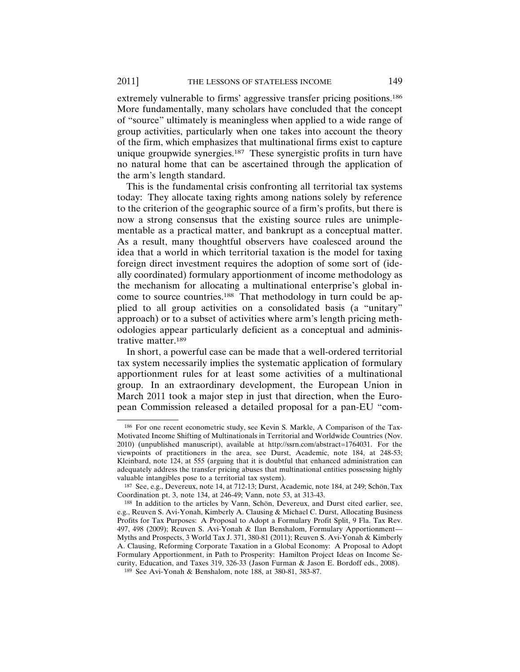extremely vulnerable to firms' aggressive transfer pricing positions.186 More fundamentally, many scholars have concluded that the concept of "source" ultimately is meaningless when applied to a wide range of group activities, particularly when one takes into account the theory of the firm, which emphasizes that multinational firms exist to capture unique groupwide synergies.187 These synergistic profits in turn have no natural home that can be ascertained through the application of the arm's length standard.

This is the fundamental crisis confronting all territorial tax systems today: They allocate taxing rights among nations solely by reference to the criterion of the geographic source of a firm's profits, but there is now a strong consensus that the existing source rules are unimplementable as a practical matter, and bankrupt as a conceptual matter. As a result, many thoughtful observers have coalesced around the idea that a world in which territorial taxation is the model for taxing foreign direct investment requires the adoption of some sort of (ideally coordinated) formulary apportionment of income methodology as the mechanism for allocating a multinational enterprise's global income to source countries.188 That methodology in turn could be applied to all group activities on a consolidated basis (a "unitary" approach) or to a subset of activities where arm's length pricing methodologies appear particularly deficient as a conceptual and administrative matter.189

In short, a powerful case can be made that a well-ordered territorial tax system necessarily implies the systematic application of formulary apportionment rules for at least some activities of a multinational group. In an extraordinary development, the European Union in March 2011 took a major step in just that direction, when the European Commission released a detailed proposal for a pan-EU "com-

<sup>186</sup> For one recent econometric study, see Kevin S. Markle, A Comparison of the Tax-Motivated Income Shifting of Multinationals in Territorial and Worldwide Countries (Nov. 2010) (unpublished manuscript), available at http://ssrn.com/abstract=1764031. For the viewpoints of practitioners in the area, see Durst, Academic, note 184, at 248-53; Kleinbard, note 124, at 555 (arguing that it is doubtful that enhanced administration can adequately address the transfer pricing abuses that multinational entities possessing highly valuable intangibles pose to a territorial tax system).

 $187$  See, e.g., Devereux, note 14, at 712-13; Durst, Academic, note 184, at 249; Schön, Tax Coordination pt. 3, note 134, at 246-49; Vann, note 53, at 313-43.

<sup>188</sup> In addition to the articles by Vann, Schön, Devereux, and Durst cited earlier, see, e.g., Reuven S. Avi-Yonah, Kimberly A. Clausing & Michael C. Durst, Allocating Business Profits for Tax Purposes: A Proposal to Adopt a Formulary Profit Split, 9 Fla. Tax Rev. 497, 498 (2009); Reuven S. Avi-Yonah & Ilan Benshalom, Formulary Apportionment— Myths and Prospects, 3 World Tax J. 371, 380-81 (2011); Reuven S. Avi-Yonah & Kimberly A. Clausing, Reforming Corporate Taxation in a Global Economy: A Proposal to Adopt Formulary Apportionment, in Path to Prosperity: Hamilton Project Ideas on Income Security, Education, and Taxes 319, 326-33 (Jason Furman & Jason E. Bordoff eds., 2008).

<sup>189</sup> See Avi-Yonah & Benshalom, note 188, at 380-81, 383-87.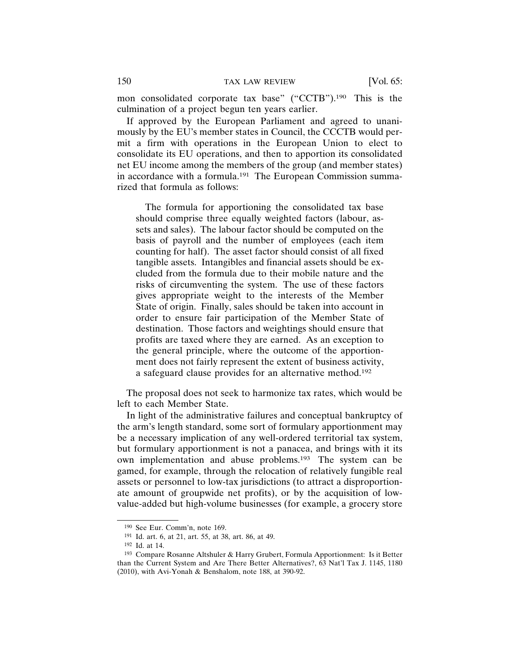mon consolidated corporate tax base" ("CCTB").190 This is the culmination of a project begun ten years earlier.

If approved by the European Parliament and agreed to unanimously by the EU's member states in Council, the CCCTB would permit a firm with operations in the European Union to elect to consolidate its EU operations, and then to apportion its consolidated net EU income among the members of the group (and member states) in accordance with a formula.<sup>191</sup> The European Commission summarized that formula as follows:

The formula for apportioning the consolidated tax base should comprise three equally weighted factors (labour, assets and sales). The labour factor should be computed on the basis of payroll and the number of employees (each item counting for half). The asset factor should consist of all fixed tangible assets. Intangibles and financial assets should be excluded from the formula due to their mobile nature and the risks of circumventing the system. The use of these factors gives appropriate weight to the interests of the Member State of origin. Finally, sales should be taken into account in order to ensure fair participation of the Member State of destination. Those factors and weightings should ensure that profits are taxed where they are earned. As an exception to the general principle, where the outcome of the apportionment does not fairly represent the extent of business activity, a safeguard clause provides for an alternative method.192

The proposal does not seek to harmonize tax rates, which would be left to each Member State.

In light of the administrative failures and conceptual bankruptcy of the arm's length standard, some sort of formulary apportionment may be a necessary implication of any well-ordered territorial tax system, but formulary apportionment is not a panacea, and brings with it its own implementation and abuse problems.193 The system can be gamed, for example, through the relocation of relatively fungible real assets or personnel to low-tax jurisdictions (to attract a disproportionate amount of groupwide net profits), or by the acquisition of lowvalue-added but high-volume businesses (for example, a grocery store

<sup>190</sup> See Eur. Comm'n, note 169.

<sup>191</sup> Id. art. 6, at 21, art. 55, at 38, art. 86, at 49.

<sup>192</sup> Id. at 14.

<sup>193</sup> Compare Rosanne Altshuler & Harry Grubert, Formula Apportionment: Is it Better than the Current System and Are There Better Alternatives?, 63 Nat'l Tax J. 1145, 1180 (2010), with Avi-Yonah & Benshalom, note 188, at 390-92.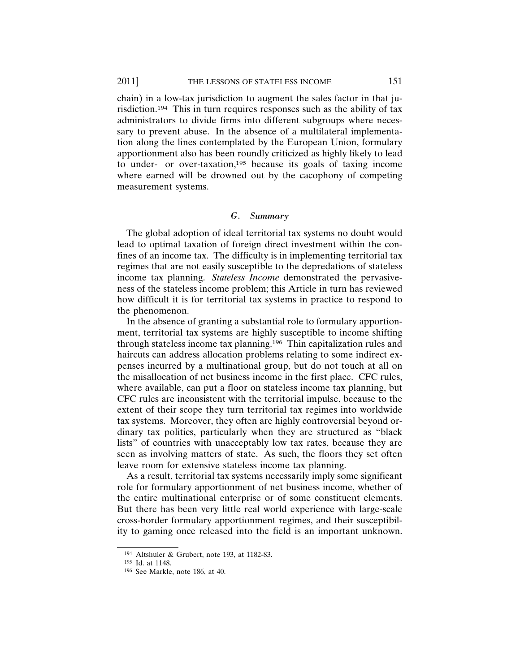chain) in a low-tax jurisdiction to augment the sales factor in that jurisdiction.194 This in turn requires responses such as the ability of tax administrators to divide firms into different subgroups where necessary to prevent abuse. In the absence of a multilateral implementation along the lines contemplated by the European Union, formulary apportionment also has been roundly criticized as highly likely to lead to under- or over-taxation,195 because its goals of taxing income where earned will be drowned out by the cacophony of competing measurement systems.

## *G. Summary*

The global adoption of ideal territorial tax systems no doubt would lead to optimal taxation of foreign direct investment within the confines of an income tax. The difficulty is in implementing territorial tax regimes that are not easily susceptible to the depredations of stateless income tax planning. *Stateless Income* demonstrated the pervasiveness of the stateless income problem; this Article in turn has reviewed how difficult it is for territorial tax systems in practice to respond to the phenomenon.

In the absence of granting a substantial role to formulary apportionment, territorial tax systems are highly susceptible to income shifting through stateless income tax planning.196 Thin capitalization rules and haircuts can address allocation problems relating to some indirect expenses incurred by a multinational group, but do not touch at all on the misallocation of net business income in the first place. CFC rules, where available, can put a floor on stateless income tax planning, but CFC rules are inconsistent with the territorial impulse, because to the extent of their scope they turn territorial tax regimes into worldwide tax systems. Moreover, they often are highly controversial beyond ordinary tax politics, particularly when they are structured as "black lists" of countries with unacceptably low tax rates, because they are seen as involving matters of state. As such, the floors they set often leave room for extensive stateless income tax planning.

As a result, territorial tax systems necessarily imply some significant role for formulary apportionment of net business income, whether of the entire multinational enterprise or of some constituent elements. But there has been very little real world experience with large-scale cross-border formulary apportionment regimes, and their susceptibility to gaming once released into the field is an important unknown.

<sup>194</sup> Altshuler & Grubert, note 193, at 1182-83.

<sup>195</sup> Id. at 1148.

<sup>196</sup> See Markle, note 186, at 40.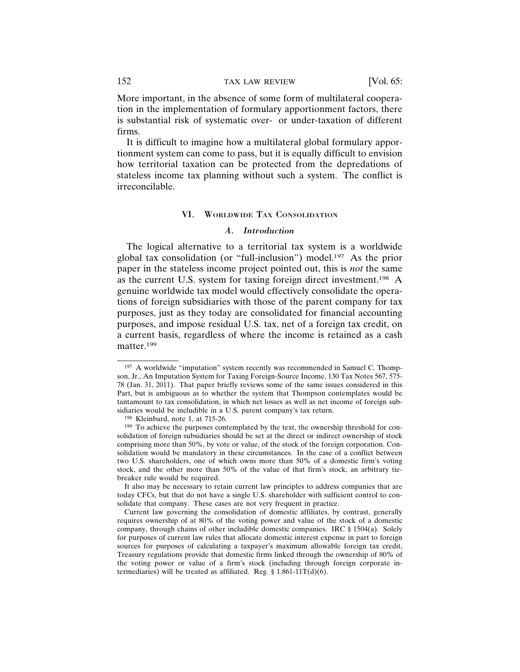More important, in the absence of some form of multilateral cooperation in the implementation of formulary apportionment factors, there is substantial risk of systematic over- or under-taxation of different firms.

It is difficult to imagine how a multilateral global formulary apportionment system can come to pass, but it is equally difficult to envision how territorial taxation can be protected from the depredations of stateless income tax planning without such a system. The conflict is irreconcilable.

## VI. WORLDWIDE TAX CONSOLIDATION

#### *A. Introduction*

The logical alternative to a territorial tax system is a worldwide global tax consolidation (or "full-inclusion") model.197 As the prior paper in the stateless income project pointed out, this is *not* the same as the current U.S. system for taxing foreign direct investment.198 A genuine worldwide tax model would effectively consolidate the operations of foreign subsidiaries with those of the parent company for tax purposes, just as they today are consolidated for financial accounting purposes, and impose residual U.S. tax, net of a foreign tax credit, on a current basis, regardless of where the income is retained as a cash matter.199

It also may be necessary to retain current law principles to address companies that are today CFCs, but that do not have a single U.S. shareholder with sufficient control to consolidate that company. These cases are not very frequent in practice.

<sup>197</sup> A worldwide "imputation" system recently was recommended in Samuel C. Thompson, Jr., An Imputation System for Taxing Foreign-Source Income, 130 Tax Notes 567, 575- 78 (Jan. 31, 2011). That paper briefly reviews some of the same issues considered in this Part, but is ambiguous as to whether the system that Thompson contemplates would be tantamount to tax consolidation, in which net losses as well as net income of foreign subsidiaries would be includible in a U.S. parent company's tax return.

<sup>198</sup> Kleinbard, note 1, at 715-26.

<sup>&</sup>lt;sup>199</sup> To achieve the purposes contemplated by the text, the ownership threshold for consolidation of foreign subsidiaries should be set at the direct or indirect ownership of stock comprising more than 50%, by vote or value, of the stock of the foreign corporation. Consolidation would be mandatory in these circumstances. In the case of a conflict between two U.S. shareholders, one of which owns more than 50% of a domestic firm's voting stock, and the other more than 50% of the value of that firm's stock, an arbitrary tiebreaker rule would be required.

Current law governing the consolidation of domestic affiliates, by contrast, generally requires ownership of at 80% of the voting power and value of the stock of a domestic company, through chains of other includible domestic companies. IRC § 1504(a). Solely for purposes of current law rules that allocate domestic interest expense in part to foreign sources for purposes of calculating a taxpayer's maximum allowable foreign tax credit, Treasury regulations provide that domestic firms linked through the ownership of 80% of the voting power or value of a firm's stock (including through foreign corporate intermediaries) will be treated as affiliated. Reg.  $\S 1.861-11T(d)(6)$ .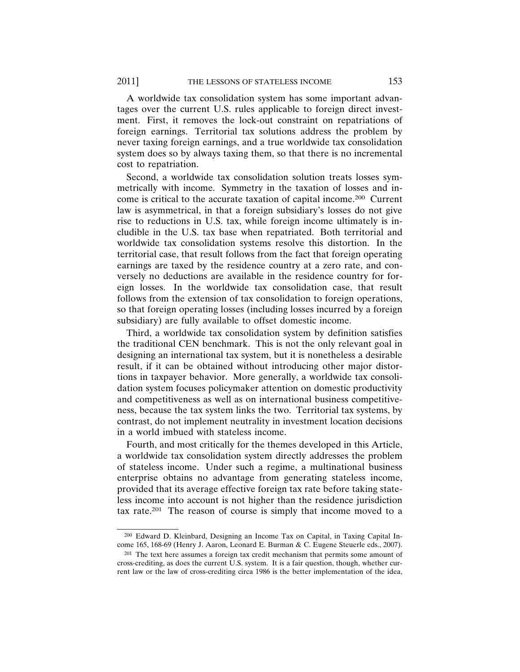A worldwide tax consolidation system has some important advantages over the current U.S. rules applicable to foreign direct investment. First, it removes the lock-out constraint on repatriations of foreign earnings. Territorial tax solutions address the problem by never taxing foreign earnings, and a true worldwide tax consolidation system does so by always taxing them, so that there is no incremental cost to repatriation.

Second, a worldwide tax consolidation solution treats losses symmetrically with income. Symmetry in the taxation of losses and income is critical to the accurate taxation of capital income.200 Current law is asymmetrical, in that a foreign subsidiary's losses do not give rise to reductions in U.S. tax, while foreign income ultimately is includible in the U.S. tax base when repatriated. Both territorial and worldwide tax consolidation systems resolve this distortion. In the territorial case, that result follows from the fact that foreign operating earnings are taxed by the residence country at a zero rate, and conversely no deductions are available in the residence country for foreign losses. In the worldwide tax consolidation case, that result follows from the extension of tax consolidation to foreign operations, so that foreign operating losses (including losses incurred by a foreign subsidiary) are fully available to offset domestic income.

Third, a worldwide tax consolidation system by definition satisfies the traditional CEN benchmark. This is not the only relevant goal in designing an international tax system, but it is nonetheless a desirable result, if it can be obtained without introducing other major distortions in taxpayer behavior. More generally, a worldwide tax consolidation system focuses policymaker attention on domestic productivity and competitiveness as well as on international business competitiveness, because the tax system links the two. Territorial tax systems, by contrast, do not implement neutrality in investment location decisions in a world imbued with stateless income.

Fourth, and most critically for the themes developed in this Article, a worldwide tax consolidation system directly addresses the problem of stateless income. Under such a regime, a multinational business enterprise obtains no advantage from generating stateless income, provided that its average effective foreign tax rate before taking stateless income into account is not higher than the residence jurisdiction tax rate.201 The reason of course is simply that income moved to a

<sup>200</sup> Edward D. Kleinbard, Designing an Income Tax on Capital, in Taxing Capital Income 165, 168-69 (Henry J. Aaron, Leonard E. Burman & C. Eugene Steuerle eds., 2007).

<sup>201</sup> The text here assumes a foreign tax credit mechanism that permits some amount of cross-crediting, as does the current U.S. system. It is a fair question, though, whether current law or the law of cross-crediting circa 1986 is the better implementation of the idea,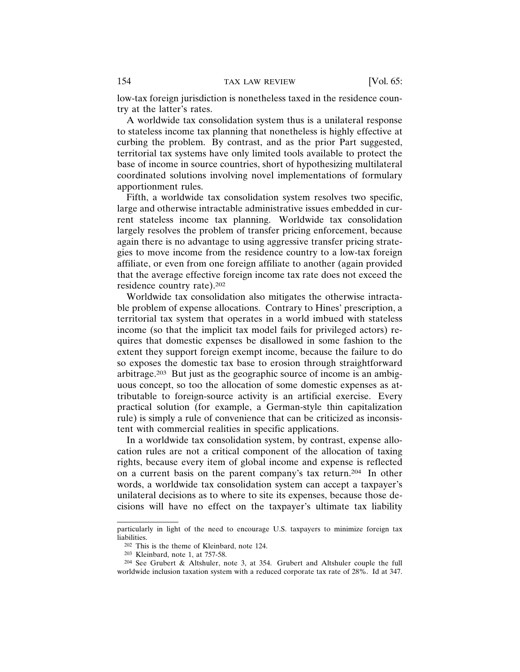low-tax foreign jurisdiction is nonetheless taxed in the residence country at the latter's rates.

A worldwide tax consolidation system thus is a unilateral response to stateless income tax planning that nonetheless is highly effective at curbing the problem. By contrast, and as the prior Part suggested, territorial tax systems have only limited tools available to protect the base of income in source countries, short of hypothesizing multilateral coordinated solutions involving novel implementations of formulary apportionment rules.

Fifth, a worldwide tax consolidation system resolves two specific, large and otherwise intractable administrative issues embedded in current stateless income tax planning. Worldwide tax consolidation largely resolves the problem of transfer pricing enforcement, because again there is no advantage to using aggressive transfer pricing strategies to move income from the residence country to a low-tax foreign affiliate, or even from one foreign affiliate to another (again provided that the average effective foreign income tax rate does not exceed the residence country rate).202

Worldwide tax consolidation also mitigates the otherwise intractable problem of expense allocations. Contrary to Hines' prescription, a territorial tax system that operates in a world imbued with stateless income (so that the implicit tax model fails for privileged actors) requires that domestic expenses be disallowed in some fashion to the extent they support foreign exempt income, because the failure to do so exposes the domestic tax base to erosion through straightforward arbitrage.203 But just as the geographic source of income is an ambiguous concept, so too the allocation of some domestic expenses as attributable to foreign-source activity is an artificial exercise. Every practical solution (for example, a German-style thin capitalization rule) is simply a rule of convenience that can be criticized as inconsistent with commercial realities in specific applications.

In a worldwide tax consolidation system, by contrast, expense allocation rules are not a critical component of the allocation of taxing rights, because every item of global income and expense is reflected on a current basis on the parent company's tax return.204 In other words, a worldwide tax consolidation system can accept a taxpayer's unilateral decisions as to where to site its expenses, because those decisions will have no effect on the taxpayer's ultimate tax liability

particularly in light of the need to encourage U.S. taxpayers to minimize foreign tax liabilities.

<sup>202</sup> This is the theme of Kleinbard, note 124.

<sup>203</sup> Kleinbard, note 1, at 757-58.

<sup>204</sup> See Grubert & Altshuler, note 3, at 354. Grubert and Altshuler couple the full worldwide inclusion taxation system with a reduced corporate tax rate of 28%. Id at 347.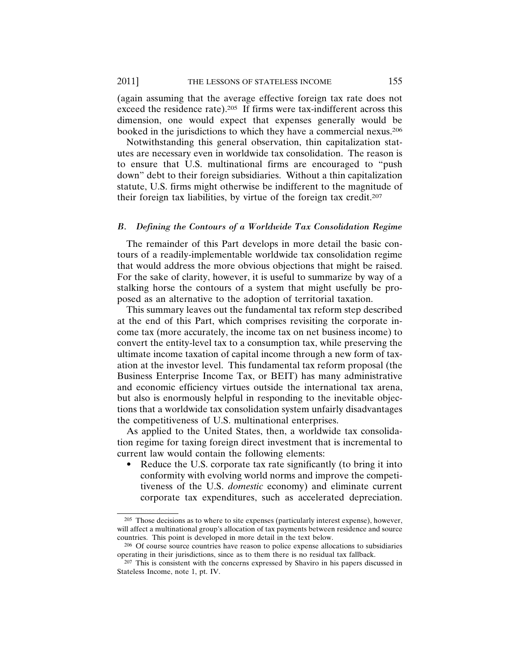(again assuming that the average effective foreign tax rate does not exceed the residence rate).205 If firms were tax-indifferent across this dimension, one would expect that expenses generally would be booked in the jurisdictions to which they have a commercial nexus.206

Notwithstanding this general observation, thin capitalization statutes are necessary even in worldwide tax consolidation. The reason is to ensure that U.S. multinational firms are encouraged to "push down" debt to their foreign subsidiaries. Without a thin capitalization statute, U.S. firms might otherwise be indifferent to the magnitude of their foreign tax liabilities, by virtue of the foreign tax credit.207

## *B. Defining the Contours of a Worldwide Tax Consolidation Regime*

The remainder of this Part develops in more detail the basic contours of a readily-implementable worldwide tax consolidation regime that would address the more obvious objections that might be raised. For the sake of clarity, however, it is useful to summarize by way of a stalking horse the contours of a system that might usefully be proposed as an alternative to the adoption of territorial taxation.

This summary leaves out the fundamental tax reform step described at the end of this Part, which comprises revisiting the corporate income tax (more accurately, the income tax on net business income) to convert the entity-level tax to a consumption tax, while preserving the ultimate income taxation of capital income through a new form of taxation at the investor level. This fundamental tax reform proposal (the Business Enterprise Income Tax, or BEIT) has many administrative and economic efficiency virtues outside the international tax arena, but also is enormously helpful in responding to the inevitable objections that a worldwide tax consolidation system unfairly disadvantages the competitiveness of U.S. multinational enterprises.

As applied to the United States, then, a worldwide tax consolidation regime for taxing foreign direct investment that is incremental to current law would contain the following elements:

Reduce the U.S. corporate tax rate significantly (to bring it into conformity with evolving world norms and improve the competitiveness of the U.S. *domestic* economy) and eliminate current corporate tax expenditures, such as accelerated depreciation.

<sup>205</sup> Those decisions as to where to site expenses (particularly interest expense), however, will affect a multinational group's allocation of tax payments between residence and source countries. This point is developed in more detail in the text below.

<sup>206</sup> Of course source countries have reason to police expense allocations to subsidiaries operating in their jurisdictions, since as to them there is no residual tax fallback.

<sup>207</sup> This is consistent with the concerns expressed by Shaviro in his papers discussed in Stateless Income, note 1, pt. IV.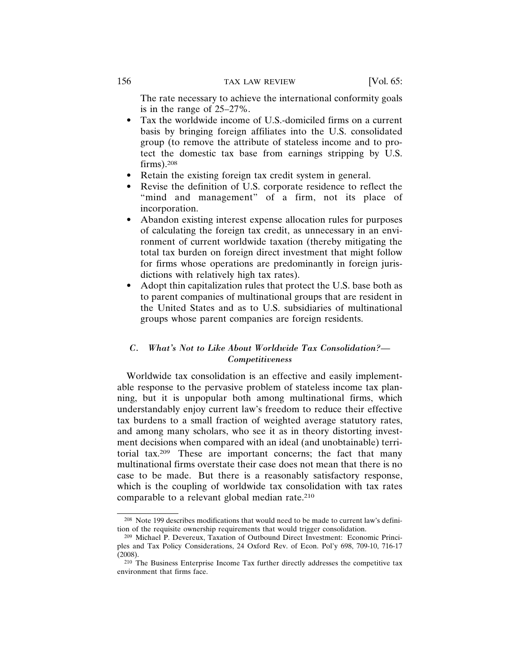The rate necessary to achieve the international conformity goals is in the range of 25–27%.

- Tax the worldwide income of U.S.-domiciled firms on a current basis by bringing foreign affiliates into the U.S. consolidated group (to remove the attribute of stateless income and to protect the domestic tax base from earnings stripping by U.S. firms).208
- Retain the existing foreign tax credit system in general.
- Revise the definition of U.S. corporate residence to reflect the "mind and management" of a firm, not its place of incorporation.
- Abandon existing interest expense allocation rules for purposes of calculating the foreign tax credit, as unnecessary in an environment of current worldwide taxation (thereby mitigating the total tax burden on foreign direct investment that might follow for firms whose operations are predominantly in foreign jurisdictions with relatively high tax rates).
- Adopt thin capitalization rules that protect the U.S. base both as to parent companies of multinational groups that are resident in the United States and as to U.S. subsidiaries of multinational groups whose parent companies are foreign residents.

# *C. What's Not to Like About Worldwide Tax Consolidation?— Competitiveness*

Worldwide tax consolidation is an effective and easily implementable response to the pervasive problem of stateless income tax planning, but it is unpopular both among multinational firms, which understandably enjoy current law's freedom to reduce their effective tax burdens to a small fraction of weighted average statutory rates, and among many scholars, who see it as in theory distorting investment decisions when compared with an ideal (and unobtainable) territorial tax.209 These are important concerns; the fact that many multinational firms overstate their case does not mean that there is no case to be made. But there is a reasonably satisfactory response, which is the coupling of worldwide tax consolidation with tax rates comparable to a relevant global median rate.210

<sup>208</sup> Note 199 describes modifications that would need to be made to current law's definition of the requisite ownership requirements that would trigger consolidation.

<sup>209</sup> Michael P. Devereux, Taxation of Outbound Direct Investment: Economic Principles and Tax Policy Considerations, 24 Oxford Rev. of Econ. Pol'y 698, 709-10, 716-17  $(2008).$ 

<sup>210</sup> The Business Enterprise Income Tax further directly addresses the competitive tax environment that firms face.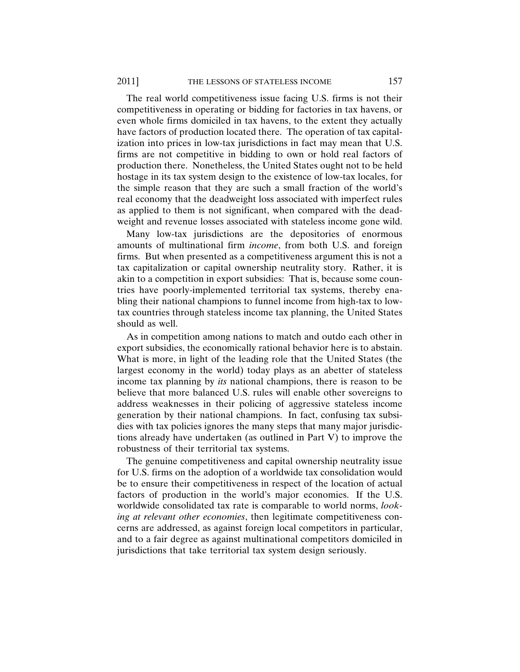The real world competitiveness issue facing U.S. firms is not their competitiveness in operating or bidding for factories in tax havens, or even whole firms domiciled in tax havens, to the extent they actually have factors of production located there. The operation of tax capitalization into prices in low-tax jurisdictions in fact may mean that U.S. firms are not competitive in bidding to own or hold real factors of production there. Nonetheless, the United States ought not to be held hostage in its tax system design to the existence of low-tax locales, for the simple reason that they are such a small fraction of the world's real economy that the deadweight loss associated with imperfect rules as applied to them is not significant, when compared with the deadweight and revenue losses associated with stateless income gone wild.

Many low-tax jurisdictions are the depositories of enormous amounts of multinational firm *income*, from both U.S. and foreign firms. But when presented as a competitiveness argument this is not a tax capitalization or capital ownership neutrality story. Rather, it is akin to a competition in export subsidies: That is, because some countries have poorly-implemented territorial tax systems, thereby enabling their national champions to funnel income from high-tax to lowtax countries through stateless income tax planning, the United States should as well.

As in competition among nations to match and outdo each other in export subsidies, the economically rational behavior here is to abstain. What is more, in light of the leading role that the United States (the largest economy in the world) today plays as an abetter of stateless income tax planning by *its* national champions, there is reason to be believe that more balanced U.S. rules will enable other sovereigns to address weaknesses in their policing of aggressive stateless income generation by their national champions. In fact, confusing tax subsidies with tax policies ignores the many steps that many major jurisdictions already have undertaken (as outlined in Part V) to improve the robustness of their territorial tax systems.

The genuine competitiveness and capital ownership neutrality issue for U.S. firms on the adoption of a worldwide tax consolidation would be to ensure their competitiveness in respect of the location of actual factors of production in the world's major economies. If the U.S. worldwide consolidated tax rate is comparable to world norms, *looking at relevant other economies*, then legitimate competitiveness concerns are addressed, as against foreign local competitors in particular, and to a fair degree as against multinational competitors domiciled in jurisdictions that take territorial tax system design seriously.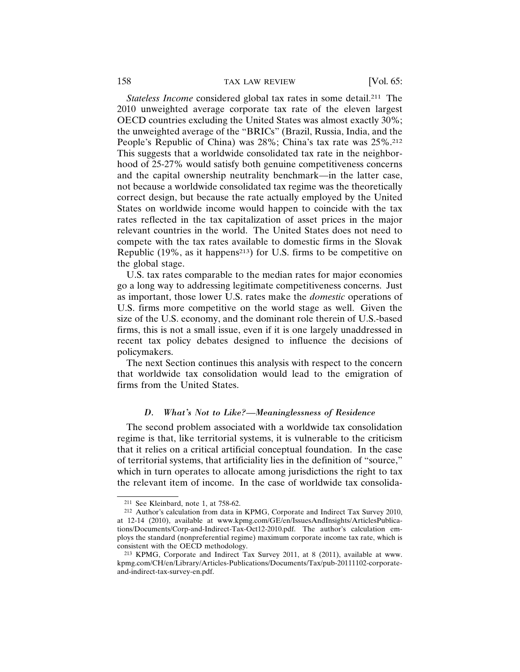*Stateless Income* considered global tax rates in some detail.211 The 2010 unweighted average corporate tax rate of the eleven largest OECD countries excluding the United States was almost exactly 30%; the unweighted average of the "BRICs" (Brazil, Russia, India, and the People's Republic of China) was 28%; China's tax rate was 25%.212 This suggests that a worldwide consolidated tax rate in the neighborhood of 25-27% would satisfy both genuine competitiveness concerns and the capital ownership neutrality benchmark—in the latter case, not because a worldwide consolidated tax regime was the theoretically correct design, but because the rate actually employed by the United States on worldwide income would happen to coincide with the tax rates reflected in the tax capitalization of asset prices in the major relevant countries in the world. The United States does not need to compete with the tax rates available to domestic firms in the Slovak Republic  $(19\%$ , as it happens<sup>213</sup>) for U.S. firms to be competitive on the global stage.

U.S. tax rates comparable to the median rates for major economies go a long way to addressing legitimate competitiveness concerns. Just as important, those lower U.S. rates make the *domestic* operations of U.S. firms more competitive on the world stage as well. Given the size of the U.S. economy, and the dominant role therein of U.S.-based firms, this is not a small issue, even if it is one largely unaddressed in recent tax policy debates designed to influence the decisions of policymakers.

The next Section continues this analysis with respect to the concern that worldwide tax consolidation would lead to the emigration of firms from the United States.

## *D. What's Not to Like?—Meaninglessness of Residence*

The second problem associated with a worldwide tax consolidation regime is that, like territorial systems, it is vulnerable to the criticism that it relies on a critical artificial conceptual foundation. In the case of territorial systems, that artificiality lies in the definition of "source," which in turn operates to allocate among jurisdictions the right to tax the relevant item of income. In the case of worldwide tax consolida-

<sup>211</sup> See Kleinbard, note 1, at 758-62.

<sup>212</sup> Author's calculation from data in KPMG, Corporate and Indirect Tax Survey 2010, at 12-14 (2010), available at www.kpmg.com/GE/en/IssuesAndInsights/ArticlesPublications/Documents/Corp-and-Indirect-Tax-Oct12-2010.pdf. The author's calculation employs the standard (nonpreferential regime) maximum corporate income tax rate, which is consistent with the OECD methodology.

<sup>213</sup> KPMG, Corporate and Indirect Tax Survey 2011, at 8 (2011), available at www. kpmg.com/CH/en/Library/Articles-Publications/Documents/Tax/pub-20111102-corporateand-indirect-tax-survey-en.pdf.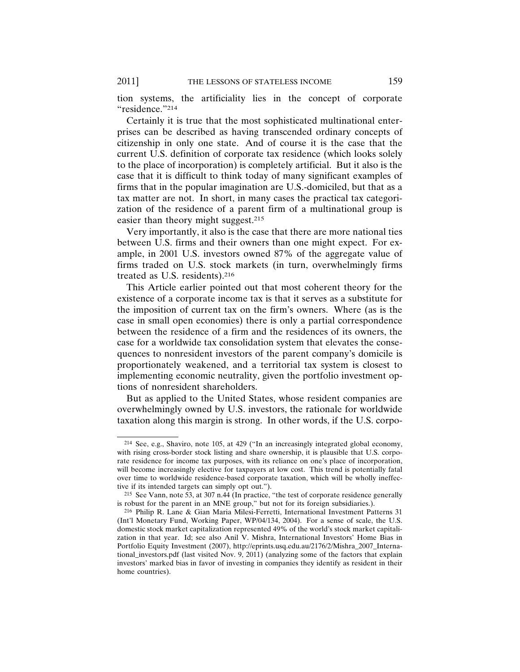tion systems, the artificiality lies in the concept of corporate "residence."214

Certainly it is true that the most sophisticated multinational enterprises can be described as having transcended ordinary concepts of citizenship in only one state. And of course it is the case that the current U.S. definition of corporate tax residence (which looks solely to the place of incorporation) is completely artificial. But it also is the case that it is difficult to think today of many significant examples of firms that in the popular imagination are U.S.-domiciled, but that as a tax matter are not. In short, in many cases the practical tax categorization of the residence of a parent firm of a multinational group is easier than theory might suggest.<sup>215</sup>

Very importantly, it also is the case that there are more national ties between U.S. firms and their owners than one might expect. For example, in 2001 U.S. investors owned 87% of the aggregate value of firms traded on U.S. stock markets (in turn, overwhelmingly firms treated as U.S. residents).216

This Article earlier pointed out that most coherent theory for the existence of a corporate income tax is that it serves as a substitute for the imposition of current tax on the firm's owners. Where (as is the case in small open economies) there is only a partial correspondence between the residence of a firm and the residences of its owners, the case for a worldwide tax consolidation system that elevates the consequences to nonresident investors of the parent company's domicile is proportionately weakened, and a territorial tax system is closest to implementing economic neutrality, given the portfolio investment options of nonresident shareholders.

But as applied to the United States, whose resident companies are overwhelmingly owned by U.S. investors, the rationale for worldwide taxation along this margin is strong. In other words, if the U.S. corpo-

<sup>214</sup> See, e.g., Shaviro, note 105, at 429 ("In an increasingly integrated global economy, with rising cross-border stock listing and share ownership, it is plausible that U.S. corporate residence for income tax purposes, with its reliance on one's place of incorporation, will become increasingly elective for taxpayers at low cost. This trend is potentially fatal over time to worldwide residence-based corporate taxation, which will be wholly ineffective if its intended targets can simply opt out.").

<sup>215</sup> See Vann, note 53, at 307 n.44 (In practice, "the test of corporate residence generally is robust for the parent in an MNE group," but not for its foreign subsidiaries.).

<sup>216</sup> Philip R. Lane & Gian Maria Milesi-Ferretti, International Investment Patterns 31 (Int'l Monetary Fund, Working Paper, WP/04/134, 2004). For a sense of scale, the U.S. domestic stock market capitalization represented 49% of the world's stock market capitalization in that year. Id; see also Anil V. Mishra, International Investors' Home Bias in Portfolio Equity Investment (2007), http://eprints.usq.edu.au/2176/2/Mishra\_2007\_International\_investors.pdf (last visited Nov. 9, 2011) (analyzing some of the factors that explain investors' marked bias in favor of investing in companies they identify as resident in their home countries).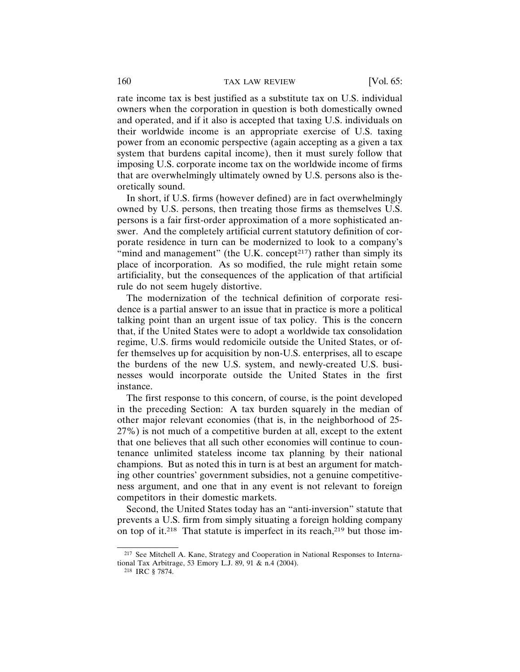rate income tax is best justified as a substitute tax on U.S. individual owners when the corporation in question is both domestically owned and operated, and if it also is accepted that taxing U.S. individuals on their worldwide income is an appropriate exercise of U.S. taxing power from an economic perspective (again accepting as a given a tax system that burdens capital income), then it must surely follow that imposing U.S. corporate income tax on the worldwide income of firms that are overwhelmingly ultimately owned by U.S. persons also is theoretically sound.

In short, if U.S. firms (however defined) are in fact overwhelmingly owned by U.S. persons, then treating those firms as themselves U.S. persons is a fair first-order approximation of a more sophisticated answer. And the completely artificial current statutory definition of corporate residence in turn can be modernized to look to a company's "mind and management" (the U.K. concept<sup>217</sup>) rather than simply its place of incorporation. As so modified, the rule might retain some artificiality, but the consequences of the application of that artificial rule do not seem hugely distortive.

The modernization of the technical definition of corporate residence is a partial answer to an issue that in practice is more a political talking point than an urgent issue of tax policy. This is the concern that, if the United States were to adopt a worldwide tax consolidation regime, U.S. firms would redomicile outside the United States, or offer themselves up for acquisition by non-U.S. enterprises, all to escape the burdens of the new U.S. system, and newly-created U.S. businesses would incorporate outside the United States in the first instance.

The first response to this concern, of course, is the point developed in the preceding Section: A tax burden squarely in the median of other major relevant economies (that is, in the neighborhood of 25- 27%) is not much of a competitive burden at all, except to the extent that one believes that all such other economies will continue to countenance unlimited stateless income tax planning by their national champions. But as noted this in turn is at best an argument for matching other countries' government subsidies, not a genuine competitiveness argument, and one that in any event is not relevant to foreign competitors in their domestic markets.

Second, the United States today has an "anti-inversion" statute that prevents a U.S. firm from simply situating a foreign holding company on top of it.218 That statute is imperfect in its reach,219 but those im-

<sup>217</sup> See Mitchell A. Kane, Strategy and Cooperation in National Responses to International Tax Arbitrage, 53 Emory L.J. 89, 91 & n.4 (2004).

<sup>218</sup> IRC § 7874.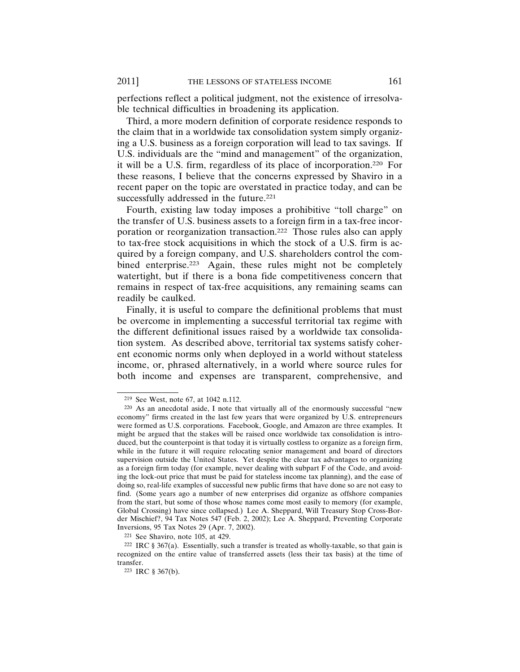perfections reflect a political judgment, not the existence of irresolvable technical difficulties in broadening its application.

Third, a more modern definition of corporate residence responds to the claim that in a worldwide tax consolidation system simply organizing a U.S. business as a foreign corporation will lead to tax savings. If U.S. individuals are the "mind and management" of the organization, it will be a U.S. firm, regardless of its place of incorporation.220 For these reasons, I believe that the concerns expressed by Shaviro in a recent paper on the topic are overstated in practice today, and can be successfully addressed in the future.<sup>221</sup>

Fourth, existing law today imposes a prohibitive "toll charge" on the transfer of U.S. business assets to a foreign firm in a tax-free incorporation or reorganization transaction.222 Those rules also can apply to tax-free stock acquisitions in which the stock of a U.S. firm is acquired by a foreign company, and U.S. shareholders control the combined enterprise.<sup>223</sup> Again, these rules might not be completely watertight, but if there is a bona fide competitiveness concern that remains in respect of tax-free acquisitions, any remaining seams can readily be caulked.

Finally, it is useful to compare the definitional problems that must be overcome in implementing a successful territorial tax regime with the different definitional issues raised by a worldwide tax consolidation system. As described above, territorial tax systems satisfy coherent economic norms only when deployed in a world without stateless income, or, phrased alternatively, in a world where source rules for both income and expenses are transparent, comprehensive, and

<sup>219</sup> See West, note 67, at 1042 n.112.

<sup>220</sup> As an anecdotal aside, I note that virtually all of the enormously successful "new economy" firms created in the last few years that were organized by U.S. entrepreneurs were formed as U.S. corporations. Facebook, Google, and Amazon are three examples. It might be argued that the stakes will be raised once worldwide tax consolidation is introduced, but the counterpoint is that today it is virtually costless to organize as a foreign firm, while in the future it will require relocating senior management and board of directors supervision outside the United States. Yet despite the clear tax advantages to organizing as a foreign firm today (for example, never dealing with subpart F of the Code, and avoiding the lock-out price that must be paid for stateless income tax planning), and the ease of doing so, real-life examples of successful new public firms that have done so are not easy to find. (Some years ago a number of new enterprises did organize as offshore companies from the start, but some of those whose names come most easily to memory (for example, Global Crossing) have since collapsed.) Lee A. Sheppard, Will Treasury Stop Cross-Border Mischief?, 94 Tax Notes 547 (Feb. 2, 2002); Lee A. Sheppard, Preventing Corporate Inversions, 95 Tax Notes 29 (Apr. 7, 2002).

<sup>221</sup> See Shaviro, note 105, at 429.

 $222$  IRC § 367(a). Essentially, such a transfer is treated as wholly-taxable, so that gain is recognized on the entire value of transferred assets (less their tax basis) at the time of transfer.

<sup>223</sup> IRC § 367(b).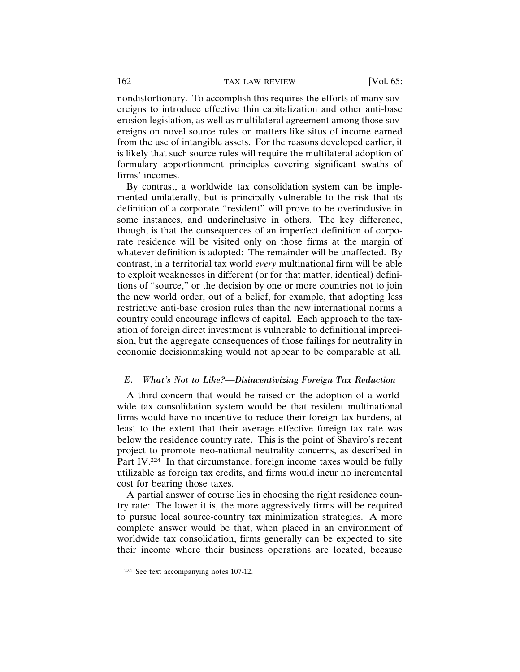nondistortionary. To accomplish this requires the efforts of many sovereigns to introduce effective thin capitalization and other anti-base erosion legislation, as well as multilateral agreement among those sovereigns on novel source rules on matters like situs of income earned from the use of intangible assets. For the reasons developed earlier, it is likely that such source rules will require the multilateral adoption of formulary apportionment principles covering significant swaths of firms' incomes.

By contrast, a worldwide tax consolidation system can be implemented unilaterally, but is principally vulnerable to the risk that its definition of a corporate "resident" will prove to be overinclusive in some instances, and underinclusive in others. The key difference, though, is that the consequences of an imperfect definition of corporate residence will be visited only on those firms at the margin of whatever definition is adopted: The remainder will be unaffected. By contrast, in a territorial tax world *every* multinational firm will be able to exploit weaknesses in different (or for that matter, identical) definitions of "source," or the decision by one or more countries not to join the new world order, out of a belief, for example, that adopting less restrictive anti-base erosion rules than the new international norms a country could encourage inflows of capital. Each approach to the taxation of foreign direct investment is vulnerable to definitional imprecision, but the aggregate consequences of those failings for neutrality in economic decisionmaking would not appear to be comparable at all.

## *E. What's Not to Like?—Disincentivizing Foreign Tax Reduction*

A third concern that would be raised on the adoption of a worldwide tax consolidation system would be that resident multinational firms would have no incentive to reduce their foreign tax burdens, at least to the extent that their average effective foreign tax rate was below the residence country rate. This is the point of Shaviro's recent project to promote neo-national neutrality concerns, as described in Part IV.<sup>224</sup> In that circumstance, foreign income taxes would be fully utilizable as foreign tax credits, and firms would incur no incremental cost for bearing those taxes.

A partial answer of course lies in choosing the right residence country rate: The lower it is, the more aggressively firms will be required to pursue local source-country tax minimization strategies. A more complete answer would be that, when placed in an environment of worldwide tax consolidation, firms generally can be expected to site their income where their business operations are located, because

<sup>224</sup> See text accompanying notes 107-12.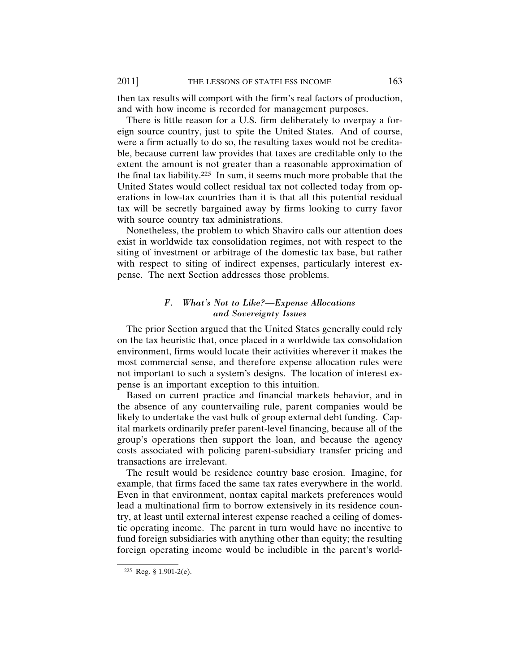then tax results will comport with the firm's real factors of production, and with how income is recorded for management purposes.

There is little reason for a U.S. firm deliberately to overpay a foreign source country, just to spite the United States. And of course, were a firm actually to do so, the resulting taxes would not be creditable, because current law provides that taxes are creditable only to the extent the amount is not greater than a reasonable approximation of the final tax liability.225 In sum, it seems much more probable that the United States would collect residual tax not collected today from operations in low-tax countries than it is that all this potential residual tax will be secretly bargained away by firms looking to curry favor with source country tax administrations.

Nonetheless, the problem to which Shaviro calls our attention does exist in worldwide tax consolidation regimes, not with respect to the siting of investment or arbitrage of the domestic tax base, but rather with respect to siting of indirect expenses, particularly interest expense. The next Section addresses those problems.

# *F. What's Not to Like?—Expense Allocations and Sovereignty Issues*

The prior Section argued that the United States generally could rely on the tax heuristic that, once placed in a worldwide tax consolidation environment, firms would locate their activities wherever it makes the most commercial sense, and therefore expense allocation rules were not important to such a system's designs. The location of interest expense is an important exception to this intuition.

Based on current practice and financial markets behavior, and in the absence of any countervailing rule, parent companies would be likely to undertake the vast bulk of group external debt funding. Capital markets ordinarily prefer parent-level financing, because all of the group's operations then support the loan, and because the agency costs associated with policing parent-subsidiary transfer pricing and transactions are irrelevant.

The result would be residence country base erosion. Imagine, for example, that firms faced the same tax rates everywhere in the world. Even in that environment, nontax capital markets preferences would lead a multinational firm to borrow extensively in its residence country, at least until external interest expense reached a ceiling of domestic operating income. The parent in turn would have no incentive to fund foreign subsidiaries with anything other than equity; the resulting foreign operating income would be includible in the parent's world-

<sup>225</sup> Reg. § 1.901-2(e).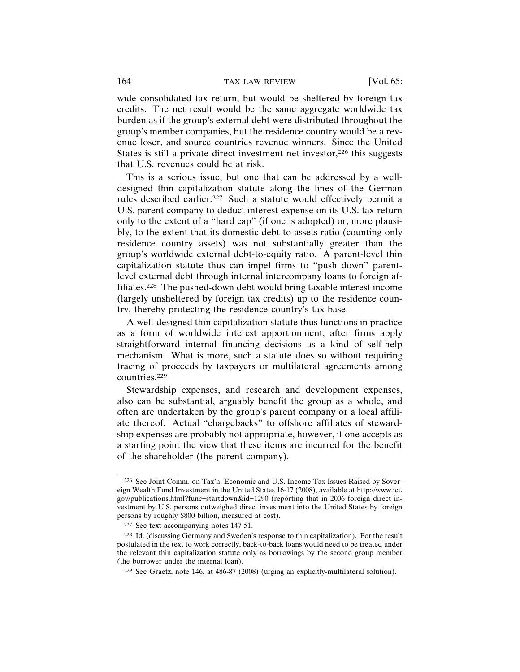wide consolidated tax return, but would be sheltered by foreign tax credits. The net result would be the same aggregate worldwide tax burden as if the group's external debt were distributed throughout the group's member companies, but the residence country would be a revenue loser, and source countries revenue winners. Since the United States is still a private direct investment net investor,<sup>226</sup> this suggests that U.S. revenues could be at risk.

This is a serious issue, but one that can be addressed by a welldesigned thin capitalization statute along the lines of the German rules described earlier.227 Such a statute would effectively permit a U.S. parent company to deduct interest expense on its U.S. tax return only to the extent of a "hard cap" (if one is adopted) or, more plausibly, to the extent that its domestic debt-to-assets ratio (counting only residence country assets) was not substantially greater than the group's worldwide external debt-to-equity ratio. A parent-level thin capitalization statute thus can impel firms to "push down" parentlevel external debt through internal intercompany loans to foreign affiliates.228 The pushed-down debt would bring taxable interest income (largely unsheltered by foreign tax credits) up to the residence country, thereby protecting the residence country's tax base.

A well-designed thin capitalization statute thus functions in practice as a form of worldwide interest apportionment, after firms apply straightforward internal financing decisions as a kind of self-help mechanism. What is more, such a statute does so without requiring tracing of proceeds by taxpayers or multilateral agreements among countries.229

Stewardship expenses, and research and development expenses, also can be substantial, arguably benefit the group as a whole, and often are undertaken by the group's parent company or a local affiliate thereof. Actual "chargebacks" to offshore affiliates of stewardship expenses are probably not appropriate, however, if one accepts as a starting point the view that these items are incurred for the benefit of the shareholder (the parent company).

<sup>226</sup> See Joint Comm. on Tax'n, Economic and U.S. Income Tax Issues Raised by Sovereign Wealth Fund Investment in the United States 16-17 (2008), available at http://www.jct. gov/publications.html?func=startdown&id=1290 (reporting that in 2006 foreign direct investment by U.S. persons outweighed direct investment into the United States by foreign persons by roughly \$800 billion, measured at cost).

<sup>227</sup> See text accompanying notes 147-51.

<sup>228</sup> Id. (discussing Germany and Sweden's response to thin capitalization). For the result postulated in the text to work correctly, back-to-back loans would need to be treated under the relevant thin capitalization statute only as borrowings by the second group member (the borrower under the internal loan).

<sup>229</sup> See Graetz, note 146, at 486-87 (2008) (urging an explicitly-multilateral solution).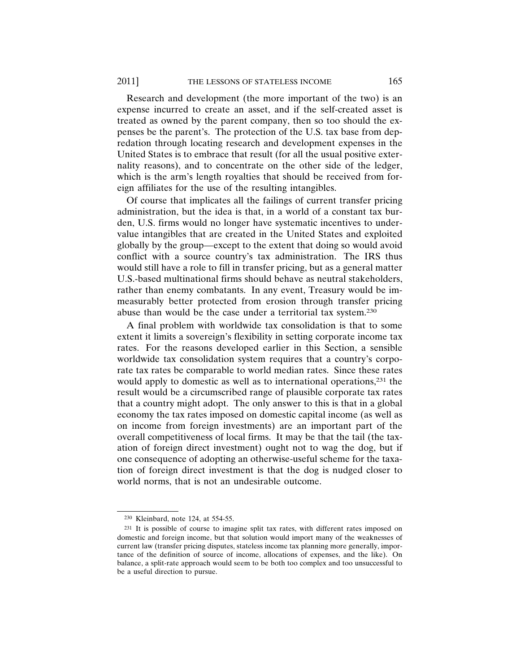Research and development (the more important of the two) is an expense incurred to create an asset, and if the self-created asset is treated as owned by the parent company, then so too should the expenses be the parent's. The protection of the U.S. tax base from depredation through locating research and development expenses in the United States is to embrace that result (for all the usual positive externality reasons), and to concentrate on the other side of the ledger, which is the arm's length royalties that should be received from foreign affiliates for the use of the resulting intangibles.

Of course that implicates all the failings of current transfer pricing administration, but the idea is that, in a world of a constant tax burden, U.S. firms would no longer have systematic incentives to undervalue intangibles that are created in the United States and exploited globally by the group—except to the extent that doing so would avoid conflict with a source country's tax administration. The IRS thus would still have a role to fill in transfer pricing, but as a general matter U.S.-based multinational firms should behave as neutral stakeholders, rather than enemy combatants. In any event, Treasury would be immeasurably better protected from erosion through transfer pricing abuse than would be the case under a territorial tax system.230

A final problem with worldwide tax consolidation is that to some extent it limits a sovereign's flexibility in setting corporate income tax rates. For the reasons developed earlier in this Section, a sensible worldwide tax consolidation system requires that a country's corporate tax rates be comparable to world median rates. Since these rates would apply to domestic as well as to international operations,<sup>231</sup> the result would be a circumscribed range of plausible corporate tax rates that a country might adopt. The only answer to this is that in a global economy the tax rates imposed on domestic capital income (as well as on income from foreign investments) are an important part of the overall competitiveness of local firms. It may be that the tail (the taxation of foreign direct investment) ought not to wag the dog, but if one consequence of adopting an otherwise-useful scheme for the taxation of foreign direct investment is that the dog is nudged closer to world norms, that is not an undesirable outcome.

<sup>230</sup> Kleinbard, note 124, at 554-55.

<sup>231</sup> It is possible of course to imagine split tax rates, with different rates imposed on domestic and foreign income, but that solution would import many of the weaknesses of current law (transfer pricing disputes, stateless income tax planning more generally, importance of the definition of source of income, allocations of expenses, and the like). On balance, a split-rate approach would seem to be both too complex and too unsuccessful to be a useful direction to pursue.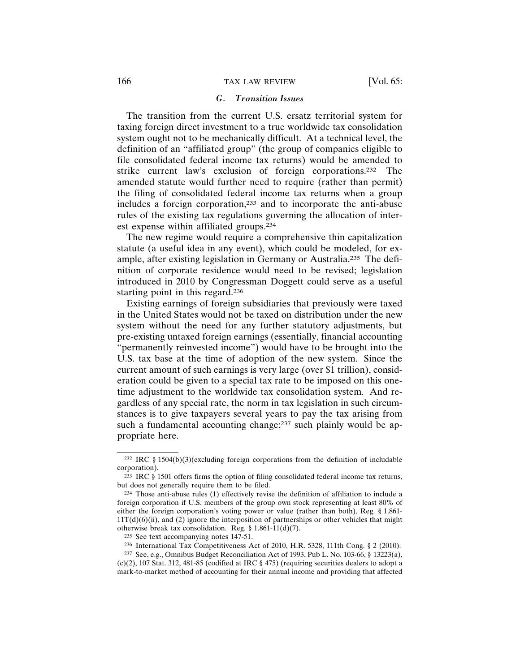## *G. Transition Issues*

The transition from the current U.S. ersatz territorial system for taxing foreign direct investment to a true worldwide tax consolidation system ought not to be mechanically difficult. At a technical level, the definition of an "affiliated group" (the group of companies eligible to file consolidated federal income tax returns) would be amended to strike current law's exclusion of foreign corporations.232 The amended statute would further need to require (rather than permit) the filing of consolidated federal income tax returns when a group includes a foreign corporation,233 and to incorporate the anti-abuse rules of the existing tax regulations governing the allocation of interest expense within affiliated groups.234

The new regime would require a comprehensive thin capitalization statute (a useful idea in any event), which could be modeled, for example, after existing legislation in Germany or Australia.235 The definition of corporate residence would need to be revised; legislation introduced in 2010 by Congressman Doggett could serve as a useful starting point in this regard.236

Existing earnings of foreign subsidiaries that previously were taxed in the United States would not be taxed on distribution under the new system without the need for any further statutory adjustments, but pre-existing untaxed foreign earnings (essentially, financial accounting "permanently reinvested income") would have to be brought into the U.S. tax base at the time of adoption of the new system. Since the current amount of such earnings is very large (over \$1 trillion), consideration could be given to a special tax rate to be imposed on this onetime adjustment to the worldwide tax consolidation system. And regardless of any special rate, the norm in tax legislation in such circumstances is to give taxpayers several years to pay the tax arising from such a fundamental accounting change; $237$  such plainly would be appropriate here.

<sup>232</sup> IRC § 1504(b)(3)(excluding foreign corporations from the definition of includable corporation).

<sup>233</sup> IRC § 1501 offers firms the option of filing consolidated federal income tax returns, but does not generally require them to be filed.

<sup>234</sup> Those anti-abuse rules (1) effectively revise the definition of affiliation to include a foreign corporation if U.S. members of the group own stock representing at least 80% of either the foreign corporation's voting power or value (rather than both), Reg. § 1.861-  $11T(d)(6)(ii)$ , and (2) ignore the interposition of partnerships or other vehicles that might otherwise break tax consolidation. Reg. § 1.861-11(d)(7).

<sup>235</sup> See text accompanying notes 147-51.

<sup>236</sup> International Tax Competitiveness Act of 2010, H.R. 5328, 111th Cong. § 2 (2010).

<sup>237</sup> See, e.g., Omnibus Budget Reconciliation Act of 1993, Pub L. No. 103-66, § 13223(a), (c)(2), 107 Stat. 312, 481-85 (codified at IRC § 475) (requiring securities dealers to adopt a mark-to-market method of accounting for their annual income and providing that affected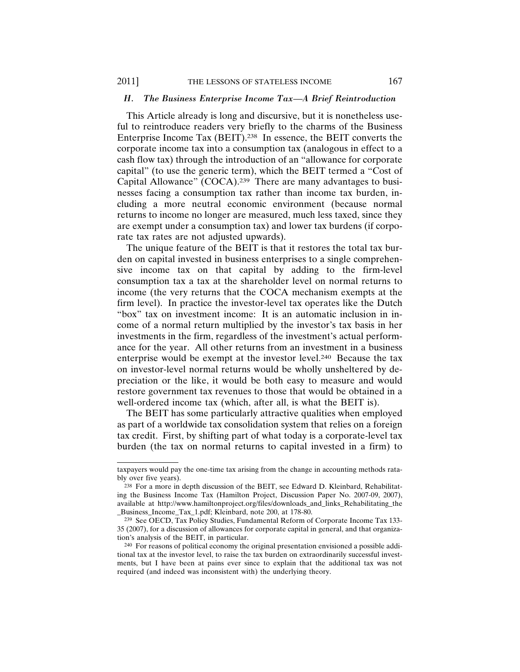## *H. The Business Enterprise Income Tax—A Brief Reintroduction*

This Article already is long and discursive, but it is nonetheless useful to reintroduce readers very briefly to the charms of the Business Enterprise Income Tax (BEIT).238 In essence, the BEIT converts the corporate income tax into a consumption tax (analogous in effect to a cash flow tax) through the introduction of an "allowance for corporate capital" (to use the generic term), which the BEIT termed a "Cost of Capital Allowance" (COCA).239 There are many advantages to businesses facing a consumption tax rather than income tax burden, including a more neutral economic environment (because normal returns to income no longer are measured, much less taxed, since they are exempt under a consumption tax) and lower tax burdens (if corporate tax rates are not adjusted upwards).

The unique feature of the BEIT is that it restores the total tax burden on capital invested in business enterprises to a single comprehensive income tax on that capital by adding to the firm-level consumption tax a tax at the shareholder level on normal returns to income (the very returns that the COCA mechanism exempts at the firm level). In practice the investor-level tax operates like the Dutch "box" tax on investment income: It is an automatic inclusion in income of a normal return multiplied by the investor's tax basis in her investments in the firm, regardless of the investment's actual performance for the year. All other returns from an investment in a business enterprise would be exempt at the investor level.240 Because the tax on investor-level normal returns would be wholly unsheltered by depreciation or the like, it would be both easy to measure and would restore government tax revenues to those that would be obtained in a well-ordered income tax (which, after all, is what the BEIT is).

The BEIT has some particularly attractive qualities when employed as part of a worldwide tax consolidation system that relies on a foreign tax credit. First, by shifting part of what today is a corporate-level tax burden (the tax on normal returns to capital invested in a firm) to

taxpayers would pay the one-time tax arising from the change in accounting methods ratably over five years).

<sup>238</sup> For a more in depth discussion of the BEIT, see Edward D. Kleinbard, Rehabilitating the Business Income Tax (Hamilton Project, Discussion Paper No. 2007-09, 2007), available at http://www.hamiltonproject.org/files/downloads\_and\_links\_Rehabilitating\_the \_Business\_Income\_Tax\_1.pdf; Kleinbard, note 200, at 178-80.

<sup>239</sup> See OECD, Tax Policy Studies, Fundamental Reform of Corporate Income Tax 133- 35 (2007), for a discussion of allowances for corporate capital in general, and that organization's analysis of the BEIT, in particular.

<sup>240</sup> For reasons of political economy the original presentation envisioned a possible additional tax at the investor level, to raise the tax burden on extraordinarily successful investments, but I have been at pains ever since to explain that the additional tax was not required (and indeed was inconsistent with) the underlying theory.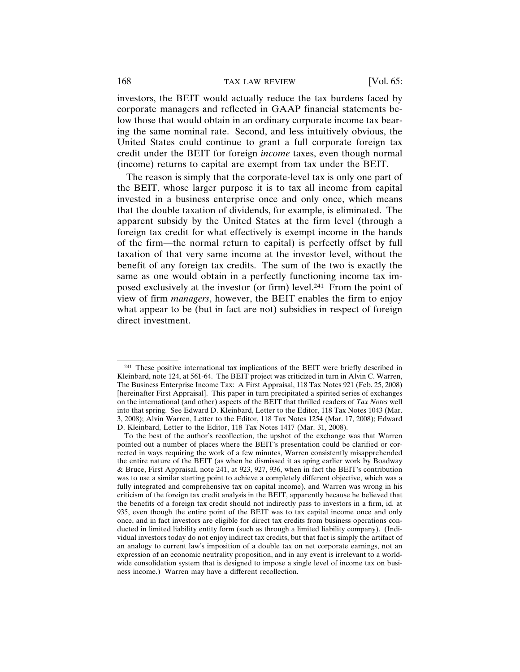investors, the BEIT would actually reduce the tax burdens faced by corporate managers and reflected in GAAP financial statements below those that would obtain in an ordinary corporate income tax bearing the same nominal rate. Second, and less intuitively obvious, the United States could continue to grant a full corporate foreign tax credit under the BEIT for foreign *income* taxes, even though normal (income) returns to capital are exempt from tax under the BEIT.

The reason is simply that the corporate-level tax is only one part of the BEIT, whose larger purpose it is to tax all income from capital invested in a business enterprise once and only once, which means that the double taxation of dividends, for example, is eliminated. The apparent subsidy by the United States at the firm level (through a foreign tax credit for what effectively is exempt income in the hands of the firm—the normal return to capital) is perfectly offset by full taxation of that very same income at the investor level, without the benefit of any foreign tax credits. The sum of the two is exactly the same as one would obtain in a perfectly functioning income tax imposed exclusively at the investor (or firm) level.241 From the point of view of firm *managers*, however, the BEIT enables the firm to enjoy what appear to be (but in fact are not) subsidies in respect of foreign direct investment.

<sup>241</sup> These positive international tax implications of the BEIT were briefly described in Kleinbard, note 124, at 561-64. The BEIT project was criticized in turn in Alvin C. Warren, The Business Enterprise Income Tax: A First Appraisal, 118 Tax Notes 921 (Feb. 25, 2008) [hereinafter First Appraisal]. This paper in turn precipitated a spirited series of exchanges on the international (and other) aspects of the BEIT that thrilled readers of *Tax Notes* well into that spring. See Edward D. Kleinbard, Letter to the Editor, 118 Tax Notes 1043 (Mar. 3, 2008); Alvin Warren, Letter to the Editor, 118 Tax Notes 1254 (Mar. 17, 2008); Edward D. Kleinbard, Letter to the Editor, 118 Tax Notes 1417 (Mar. 31, 2008).

To the best of the author's recollection, the upshot of the exchange was that Warren pointed out a number of places where the BEIT's presentation could be clarified or corrected in ways requiring the work of a few minutes, Warren consistently misapprehended the entire nature of the BEIT (as when he dismissed it as aping earlier work by Boadway & Bruce, First Appraisal, note 241, at 923, 927, 936, when in fact the BEIT's contribution was to use a similar starting point to achieve a completely different objective, which was a fully integrated and comprehensive tax on capital income), and Warren was wrong in his criticism of the foreign tax credit analysis in the BEIT, apparently because he believed that the benefits of a foreign tax credit should not indirectly pass to investors in a firm, id. at 935, even though the entire point of the BEIT was to tax capital income once and only once, and in fact investors are eligible for direct tax credits from business operations conducted in limited liability entity form (such as through a limited liability company). (Individual investors today do not enjoy indirect tax credits, but that fact is simply the artifact of an analogy to current law's imposition of a double tax on net corporate earnings, not an expression of an economic neutrality proposition, and in any event is irrelevant to a worldwide consolidation system that is designed to impose a single level of income tax on business income.) Warren may have a different recollection.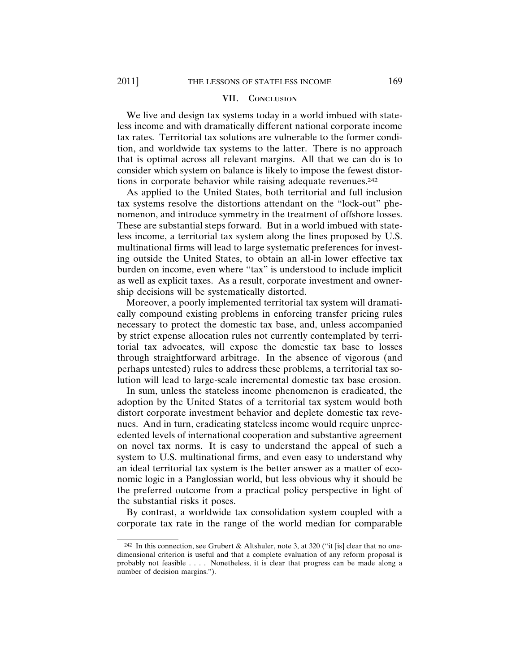#### VII. CONCLUSION

We live and design tax systems today in a world imbued with stateless income and with dramatically different national corporate income tax rates. Territorial tax solutions are vulnerable to the former condition, and worldwide tax systems to the latter. There is no approach that is optimal across all relevant margins. All that we can do is to consider which system on balance is likely to impose the fewest distortions in corporate behavior while raising adequate revenues.<sup>242</sup>

As applied to the United States, both territorial and full inclusion tax systems resolve the distortions attendant on the "lock-out" phenomenon, and introduce symmetry in the treatment of offshore losses. These are substantial steps forward. But in a world imbued with stateless income, a territorial tax system along the lines proposed by U.S. multinational firms will lead to large systematic preferences for investing outside the United States, to obtain an all-in lower effective tax burden on income, even where "tax" is understood to include implicit as well as explicit taxes. As a result, corporate investment and ownership decisions will be systematically distorted.

Moreover, a poorly implemented territorial tax system will dramatically compound existing problems in enforcing transfer pricing rules necessary to protect the domestic tax base, and, unless accompanied by strict expense allocation rules not currently contemplated by territorial tax advocates, will expose the domestic tax base to losses through straightforward arbitrage. In the absence of vigorous (and perhaps untested) rules to address these problems, a territorial tax solution will lead to large-scale incremental domestic tax base erosion.

In sum, unless the stateless income phenomenon is eradicated, the adoption by the United States of a territorial tax system would both distort corporate investment behavior and deplete domestic tax revenues. And in turn, eradicating stateless income would require unprecedented levels of international cooperation and substantive agreement on novel tax norms. It is easy to understand the appeal of such a system to U.S. multinational firms, and even easy to understand why an ideal territorial tax system is the better answer as a matter of economic logic in a Panglossian world, but less obvious why it should be the preferred outcome from a practical policy perspective in light of the substantial risks it poses.

By contrast, a worldwide tax consolidation system coupled with a corporate tax rate in the range of the world median for comparable

<sup>&</sup>lt;sup>242</sup> In this connection, see Grubert & Altshuler, note 3, at 320 ("it [is] clear that no onedimensional criterion is useful and that a complete evaluation of any reform proposal is probably not feasible . . . . Nonetheless, it is clear that progress can be made along a number of decision margins.").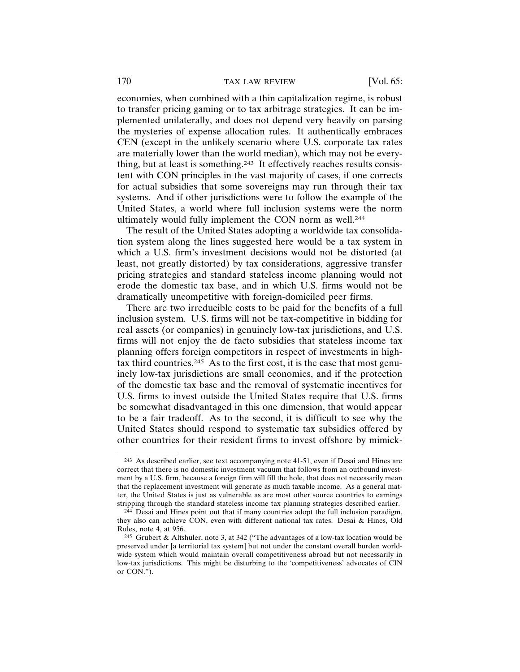## 170 TAX LAW REVIEW [Vol. 65:

economies, when combined with a thin capitalization regime, is robust to transfer pricing gaming or to tax arbitrage strategies. It can be implemented unilaterally, and does not depend very heavily on parsing the mysteries of expense allocation rules. It authentically embraces CEN (except in the unlikely scenario where U.S. corporate tax rates are materially lower than the world median), which may not be everything, but at least is something.<sup>243</sup> It effectively reaches results consistent with CON principles in the vast majority of cases, if one corrects for actual subsidies that some sovereigns may run through their tax systems. And if other jurisdictions were to follow the example of the United States, a world where full inclusion systems were the norm ultimately would fully implement the CON norm as well.244

The result of the United States adopting a worldwide tax consolidation system along the lines suggested here would be a tax system in which a U.S. firm's investment decisions would not be distorted (at least, not greatly distorted) by tax considerations, aggressive transfer pricing strategies and standard stateless income planning would not erode the domestic tax base, and in which U.S. firms would not be dramatically uncompetitive with foreign-domiciled peer firms.

There are two irreducible costs to be paid for the benefits of a full inclusion system. U.S. firms will not be tax-competitive in bidding for real assets (or companies) in genuinely low-tax jurisdictions, and U.S. firms will not enjoy the de facto subsidies that stateless income tax planning offers foreign competitors in respect of investments in hightax third countries.245 As to the first cost, it is the case that most genuinely low-tax jurisdictions are small economies, and if the protection of the domestic tax base and the removal of systematic incentives for U.S. firms to invest outside the United States require that U.S. firms be somewhat disadvantaged in this one dimension, that would appear to be a fair tradeoff. As to the second, it is difficult to see why the United States should respond to systematic tax subsidies offered by other countries for their resident firms to invest offshore by mimick-

<sup>243</sup> As described earlier, see text accompanying note 41-51, even if Desai and Hines are correct that there is no domestic investment vacuum that follows from an outbound investment by a U.S. firm, because a foreign firm will fill the hole, that does not necessarily mean that the replacement investment will generate as much taxable income. As a general matter, the United States is just as vulnerable as are most other source countries to earnings stripping through the standard stateless income tax planning strategies described earlier.

<sup>244</sup> Desai and Hines point out that if many countries adopt the full inclusion paradigm, they also can achieve CON, even with different national tax rates. Desai & Hines, Old Rules, note 4, at 956.

<sup>245</sup> Grubert & Altshuler, note 3, at 342 ("The advantages of a low-tax location would be preserved under [a territorial tax system] but not under the constant overall burden worldwide system which would maintain overall competitiveness abroad but not necessarily in low-tax jurisdictions. This might be disturbing to the 'competitiveness' advocates of CIN or CON.").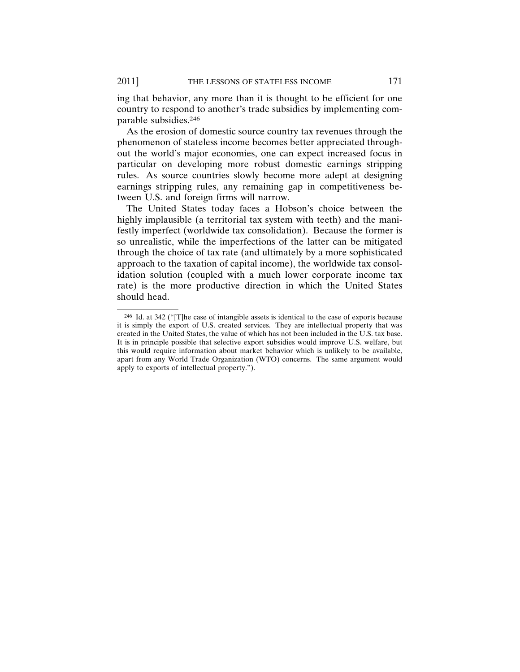ing that behavior, any more than it is thought to be efficient for one country to respond to another's trade subsidies by implementing comparable subsidies.246

As the erosion of domestic source country tax revenues through the phenomenon of stateless income becomes better appreciated throughout the world's major economies, one can expect increased focus in particular on developing more robust domestic earnings stripping rules. As source countries slowly become more adept at designing earnings stripping rules, any remaining gap in competitiveness between U.S. and foreign firms will narrow.

The United States today faces a Hobson's choice between the highly implausible (a territorial tax system with teeth) and the manifestly imperfect (worldwide tax consolidation). Because the former is so unrealistic, while the imperfections of the latter can be mitigated through the choice of tax rate (and ultimately by a more sophisticated approach to the taxation of capital income), the worldwide tax consolidation solution (coupled with a much lower corporate income tax rate) is the more productive direction in which the United States should head.

<sup>246</sup> Id. at 342 ("[T]he case of intangible assets is identical to the case of exports because it is simply the export of U.S. created services. They are intellectual property that was created in the United States, the value of which has not been included in the U.S. tax base. It is in principle possible that selective export subsidies would improve U.S. welfare, but this would require information about market behavior which is unlikely to be available, apart from any World Trade Organization (WTO) concerns. The same argument would apply to exports of intellectual property.").